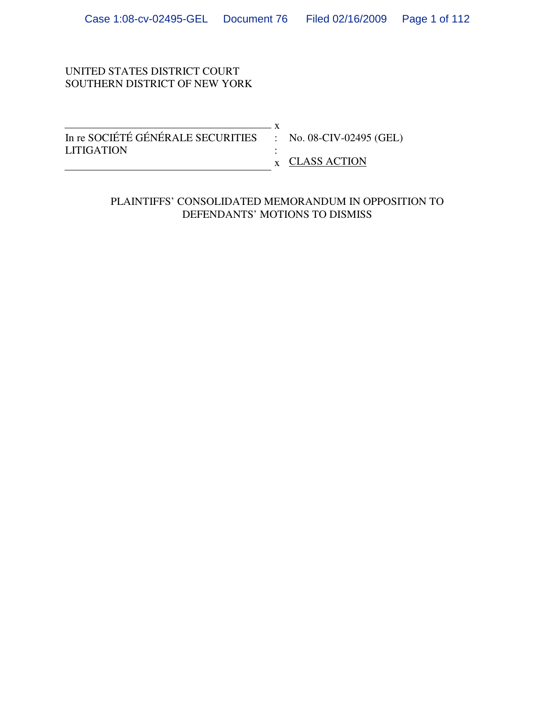### UNITED STATES DISTRICT COURT SOUTHERN DISTRICT OF NEW YORK

| In re SOCIÉTÉ GÉNÉRALE SECURITIES : No. 08-CIV-02495 (GEL) |                                        |
|------------------------------------------------------------|----------------------------------------|
| <b>LITIGATION</b>                                          |                                        |
|                                                            | $\boldsymbol{\mathsf{x}}$ CLASS ACTION |

### PLAINTIFFS' CONSOLIDATED MEMORANDUM IN OPPOSITION TO DEFENDANTS' MOTIONS TO DISMISS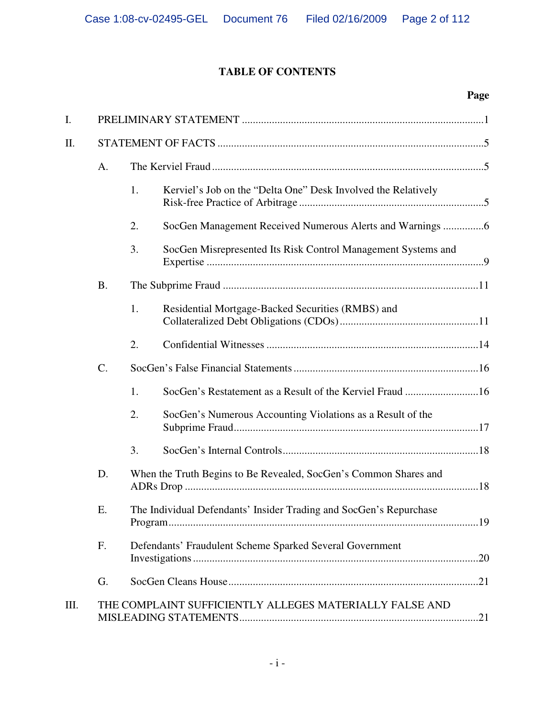# **TABLE OF CONTENTS**

| I. |           |    |                                                                    |  |  |  |
|----|-----------|----|--------------------------------------------------------------------|--|--|--|
| П. |           |    |                                                                    |  |  |  |
|    | Α.        |    |                                                                    |  |  |  |
|    |           | 1. | Kerviel's Job on the "Delta One" Desk Involved the Relatively      |  |  |  |
|    |           | 2. | SocGen Management Received Numerous Alerts and Warnings 6          |  |  |  |
|    |           | 3. | SocGen Misrepresented Its Risk Control Management Systems and      |  |  |  |
|    | <b>B.</b> |    |                                                                    |  |  |  |
|    |           | 1. | Residential Mortgage-Backed Securities (RMBS) and                  |  |  |  |
|    |           | 2. |                                                                    |  |  |  |
|    | $C$ .     |    |                                                                    |  |  |  |
|    |           | 1. | SocGen's Restatement as a Result of the Kerviel Fraud 16           |  |  |  |
|    |           | 2. | SocGen's Numerous Accounting Violations as a Result of the         |  |  |  |
|    |           | 3. |                                                                    |  |  |  |
|    | D.        |    | When the Truth Begins to Be Revealed, SocGen's Common Shares and   |  |  |  |
|    | Ε.        |    | The Individual Defendants' Insider Trading and SocGen's Repurchase |  |  |  |
|    | F.        |    | Defendants' Fraudulent Scheme Sparked Several Government           |  |  |  |
|    | G.        |    |                                                                    |  |  |  |
| Ш. |           |    | THE COMPLAINT SUFFICIENTLY ALLEGES MATERIALLY FALSE AND            |  |  |  |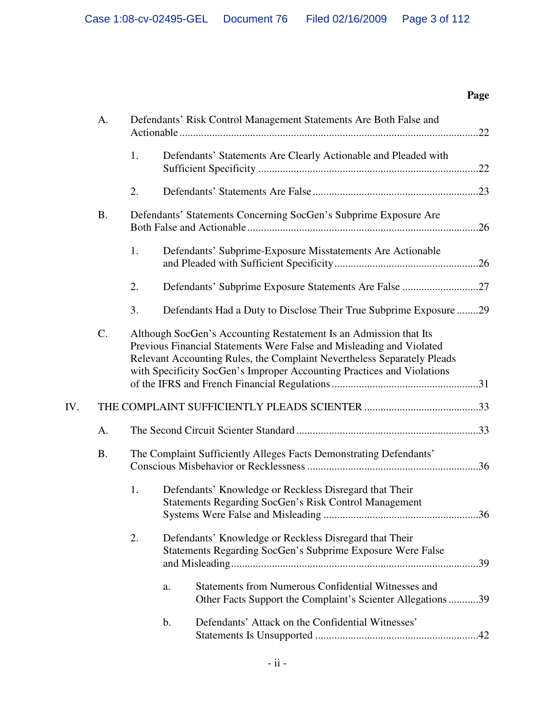|     | A.        | Defendants' Risk Control Management Statements Are Both False and |               |                                                                                                                                                                                                                                                                                                |     |
|-----|-----------|-------------------------------------------------------------------|---------------|------------------------------------------------------------------------------------------------------------------------------------------------------------------------------------------------------------------------------------------------------------------------------------------------|-----|
|     |           | 1.                                                                |               | Defendants' Statements Are Clearly Actionable and Pleaded with                                                                                                                                                                                                                                 |     |
|     |           | 2.                                                                |               |                                                                                                                                                                                                                                                                                                |     |
|     | <b>B.</b> |                                                                   |               | Defendants' Statements Concerning SocGen's Subprime Exposure Are                                                                                                                                                                                                                               |     |
|     |           | 1.                                                                |               | Defendants' Subprime-Exposure Misstatements Are Actionable                                                                                                                                                                                                                                     |     |
|     |           | 2.                                                                |               |                                                                                                                                                                                                                                                                                                |     |
|     |           | 3.                                                                |               | Defendants Had a Duty to Disclose Their True Subprime Exposure29                                                                                                                                                                                                                               |     |
|     | C.        |                                                                   |               | Although SocGen's Accounting Restatement Is an Admission that Its<br>Previous Financial Statements Were False and Misleading and Violated<br>Relevant Accounting Rules, the Complaint Nevertheless Separately Pleads<br>with Specificity SocGen's Improper Accounting Practices and Violations |     |
| IV. |           |                                                                   |               |                                                                                                                                                                                                                                                                                                |     |
|     | А.        |                                                                   |               |                                                                                                                                                                                                                                                                                                |     |
|     | <b>B.</b> |                                                                   |               | The Complaint Sufficiently Alleges Facts Demonstrating Defendants'                                                                                                                                                                                                                             |     |
|     |           | 1.                                                                |               | Defendants' Knowledge or Reckless Disregard that Their<br>Statements Regarding SocGen's Risk Control Management                                                                                                                                                                                |     |
|     |           | 2.                                                                |               | Defendants' Knowledge or Reckless Disregard that Their<br>Statements Regarding SocGen's Subprime Exposure Were False                                                                                                                                                                           | .39 |
|     |           |                                                                   | a.            | <b>Statements from Numerous Confidential Witnesses and</b><br>Other Facts Support the Complaint's Scienter Allegations39                                                                                                                                                                       |     |
|     |           |                                                                   | $\mathbf b$ . | Defendants' Attack on the Confidential Witnesses'                                                                                                                                                                                                                                              |     |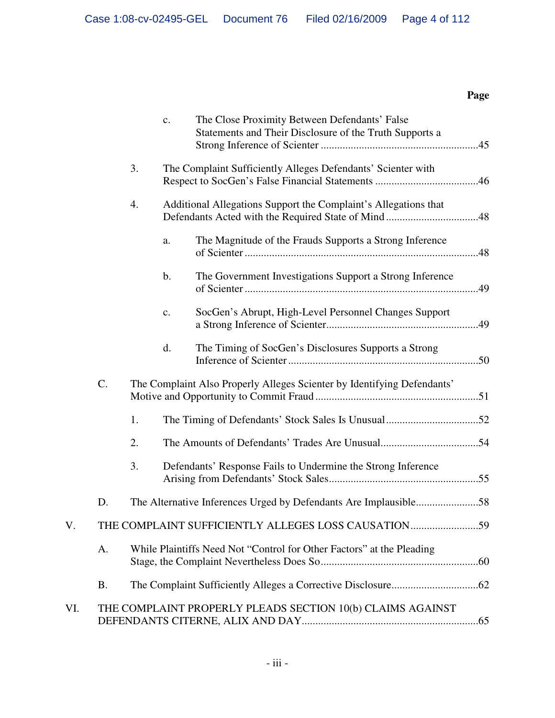|     |           |    | c.             | The Close Proximity Between Defendants' False<br>Statements and Their Disclosure of the Truth Supports a |  |
|-----|-----------|----|----------------|----------------------------------------------------------------------------------------------------------|--|
|     |           | 3. |                | The Complaint Sufficiently Alleges Defendants' Scienter with                                             |  |
|     |           | 4. |                | Additional Allegations Support the Complaint's Allegations that                                          |  |
|     |           |    | a.             | The Magnitude of the Frauds Supports a Strong Inference                                                  |  |
|     |           |    | $\mathbf b$ .  | The Government Investigations Support a Strong Inference                                                 |  |
|     |           |    | $\mathbf{c}$ . | SocGen's Abrupt, High-Level Personnel Changes Support                                                    |  |
|     |           |    | d.             | The Timing of SocGen's Disclosures Supports a Strong                                                     |  |
|     | C.        |    |                | The Complaint Also Properly Alleges Scienter by Identifying Defendants'                                  |  |
|     |           | 1. |                |                                                                                                          |  |
|     |           | 2. |                |                                                                                                          |  |
|     |           | 3. |                | Defendants' Response Fails to Undermine the Strong Inference                                             |  |
|     | D.        |    |                | The Alternative Inferences Urged by Defendants Are Implausible58                                         |  |
| V.  |           |    |                |                                                                                                          |  |
|     | A.        |    |                | While Plaintiffs Need Not "Control for Other Factors" at the Pleading                                    |  |
|     | <b>B.</b> |    |                |                                                                                                          |  |
| VI. |           |    |                | THE COMPLAINT PROPERLY PLEADS SECTION 10(b) CLAIMS AGAINST                                               |  |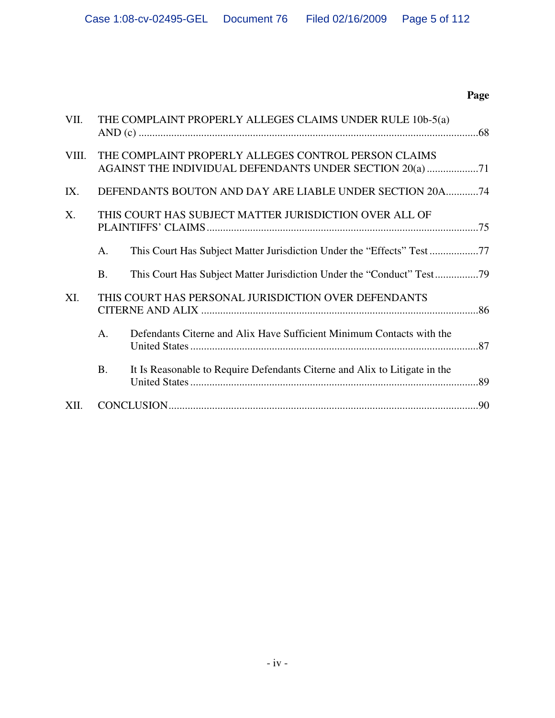| VII.        | THE COMPLAINT PROPERLY ALLEGES CLAIMS UNDER RULE 10b-5(a)                                                        |                                                                            |  |  |  |
|-------------|------------------------------------------------------------------------------------------------------------------|----------------------------------------------------------------------------|--|--|--|
| VIII.       | THE COMPLAINT PROPERLY ALLEGES CONTROL PERSON CLAIMS<br>AGAINST THE INDIVIDUAL DEFENDANTS UNDER SECTION 20(a) 71 |                                                                            |  |  |  |
| IX.         |                                                                                                                  | DEFENDANTS BOUTON AND DAY ARE LIABLE UNDER SECTION 20A74                   |  |  |  |
| $X_{\cdot}$ |                                                                                                                  | THIS COURT HAS SUBJECT MATTER JURISDICTION OVER ALL OF                     |  |  |  |
|             | A.                                                                                                               |                                                                            |  |  |  |
|             | <b>B.</b>                                                                                                        |                                                                            |  |  |  |
| XI.         |                                                                                                                  | THIS COURT HAS PERSONAL JURISDICTION OVER DEFENDANTS                       |  |  |  |
|             | A.                                                                                                               | Defendants Citerne and Alix Have Sufficient Minimum Contacts with the      |  |  |  |
|             | <b>B.</b>                                                                                                        | It Is Reasonable to Require Defendants Citerne and Alix to Litigate in the |  |  |  |
| XII.        |                                                                                                                  |                                                                            |  |  |  |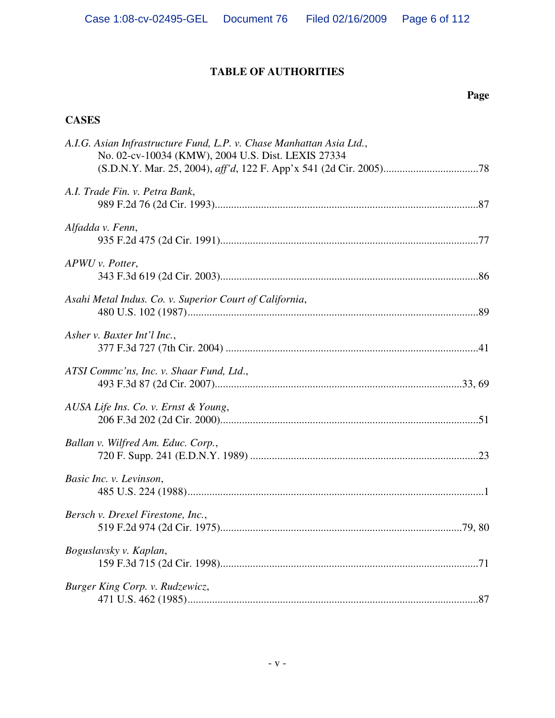# **TABLE OF AUTHORITIES**

## **Page**

# **CASES**

| A.I.G. Asian Infrastructure Fund, L.P. v. Chase Manhattan Asia Ltd.,<br>No. 02-cv-10034 (KMW), 2004 U.S. Dist. LEXIS 27334 |
|----------------------------------------------------------------------------------------------------------------------------|
| A.I. Trade Fin. v. Petra Bank,                                                                                             |
| Alfadda v. Fenn,                                                                                                           |
| APWU v. Potter,                                                                                                            |
| Asahi Metal Indus. Co. v. Superior Court of California,                                                                    |
| Asher v. Baxter Int'l Inc.,                                                                                                |
| ATSI Commc'ns, Inc. v. Shaar Fund, Ltd.,                                                                                   |
| AUSA Life Ins. Co. v. Ernst & Young,                                                                                       |
| Ballan v. Wilfred Am. Educ. Corp.,                                                                                         |
| Basic Inc. v. Levinson,                                                                                                    |
| Bersch v. Drexel Firestone, Inc.,                                                                                          |
| Boguslavsky v. Kaplan,                                                                                                     |
| Burger King Corp. v. Rudzewicz,                                                                                            |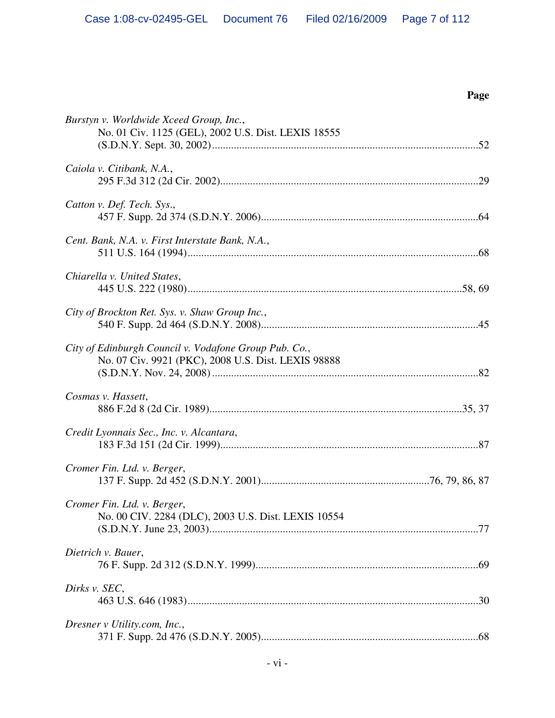| Burstyn v. Worldwide Xceed Group, Inc.,<br>No. 01 Civ. 1125 (GEL), 2002 U.S. Dist. LEXIS 18555               |
|--------------------------------------------------------------------------------------------------------------|
| Caiola v. Citibank, N.A.,                                                                                    |
| Catton v. Def. Tech. Sys.,                                                                                   |
| Cent. Bank, N.A. v. First Interstate Bank, N.A.,                                                             |
| Chiarella v. United States,                                                                                  |
| City of Brockton Ret. Sys. v. Shaw Group Inc.,                                                               |
| City of Edinburgh Council v. Vodafone Group Pub. Co.,<br>No. 07 Civ. 9921 (PKC), 2008 U.S. Dist. LEXIS 98888 |
| Cosmas v. Hassett,                                                                                           |
| Credit Lyonnais Sec., Inc. v. Alcantara,                                                                     |
| Cromer Fin. Ltd. v. Berger,                                                                                  |
| Cromer Fin. Ltd. v. Berger,<br>No. 00 CIV. 2284 (DLC), 2003 U.S. Dist. LEXIS 10554                           |
| Dietrich v. Bauer,                                                                                           |
| Dirks v. SEC,                                                                                                |
| Dresner v Utility.com, Inc.,                                                                                 |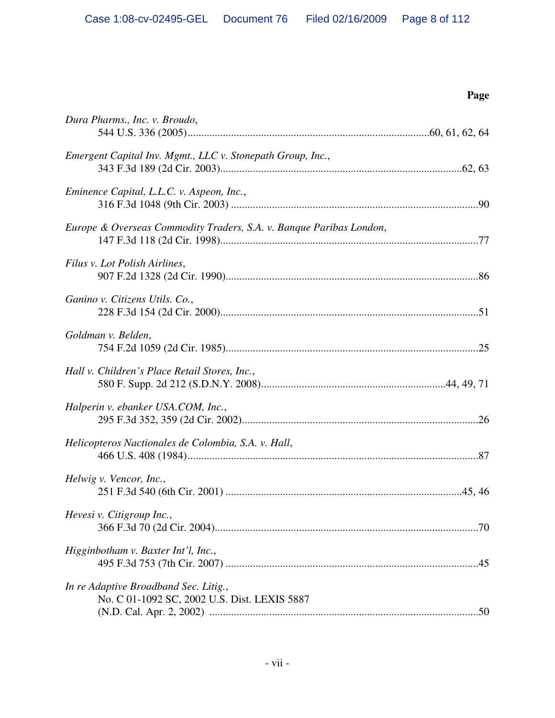| Dura Pharms., Inc. v. Broudo,                                                         |
|---------------------------------------------------------------------------------------|
| Emergent Capital Inv. Mgmt., LLC v. Stonepath Group, Inc.,                            |
| Eminence Capital, L.L.C. v. Aspeon, Inc.,                                             |
| Europe & Overseas Commodity Traders, S.A. v. Banque Paribas London,                   |
| Filus v. Lot Polish Airlines,                                                         |
| Ganino v. Citizens Utils. Co.,                                                        |
| Goldman v. Belden,                                                                    |
| Hall v. Children's Place Retail Stores, Inc.,                                         |
| Halperin v. ebanker USA.COM, Inc.,                                                    |
| Helicopteros Nactionales de Colombia, S.A. v. Hall,                                   |
| Helwig v. Vencor, Inc.,                                                               |
| Hevesi v. Citigroup Inc.,                                                             |
| Higginbotham v. Baxter Int'l, Inc.,                                                   |
| In re Adaptive Broadband Sec. Litig.,<br>No. C 01-1092 SC, 2002 U.S. Dist. LEXIS 5887 |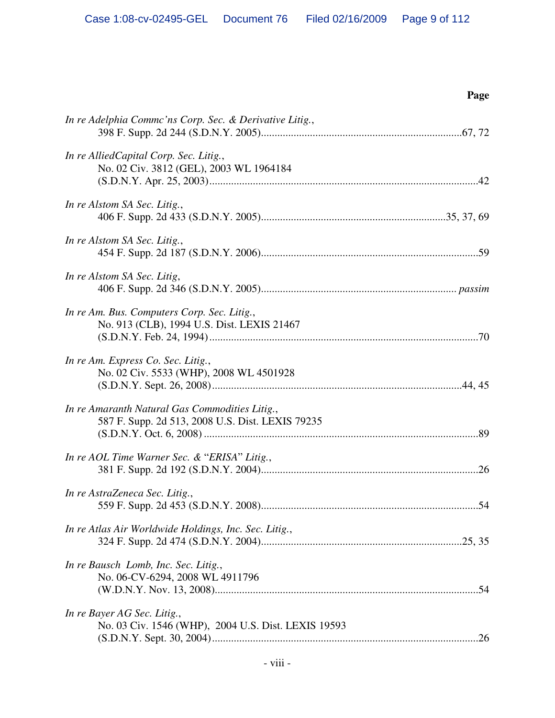| Page                                                                                               |
|----------------------------------------------------------------------------------------------------|
| In re Adelphia Commc'ns Corp. Sec. & Derivative Litig.,                                            |
| In re AlliedCapital Corp. Sec. Litig.,<br>No. 02 Civ. 3812 (GEL), 2003 WL 1964184                  |
| In re Alstom SA Sec. Litig.,                                                                       |
| In re Alstom SA Sec. Litig.,                                                                       |
| In re Alstom SA Sec. Litig,                                                                        |
| In re Am. Bus. Computers Corp. Sec. Litig.,<br>No. 913 (CLB), 1994 U.S. Dist. LEXIS 21467          |
| In re Am. Express Co. Sec. Litig.,<br>No. 02 Civ. 5533 (WHP), 2008 WL 4501928                      |
| In re Amaranth Natural Gas Commodities Litig.,<br>587 F. Supp. 2d 513, 2008 U.S. Dist. LEXIS 79235 |
| In re AOL Time Warner Sec. & "ERISA" Litig.,                                                       |
| In re AstraZeneca Sec. Litig.,                                                                     |
| In re Atlas Air Worldwide Holdings, Inc. Sec. Litig.,                                              |
| In re Bausch Lomb, Inc. Sec. Litig.,<br>No. 06-CV-6294, 2008 WL 4911796                            |
| In re Bayer AG Sec. Litig.,<br>No. 03 Civ. 1546 (WHP), 2004 U.S. Dist. LEXIS 19593                 |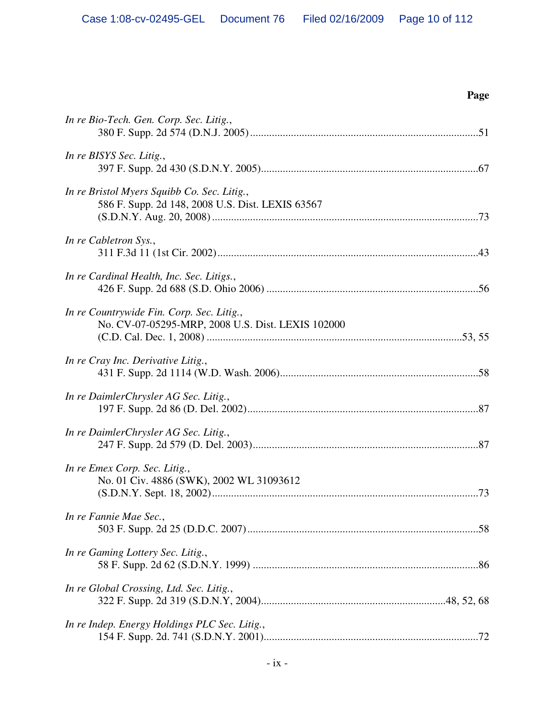| In re Bio-Tech. Gen. Corp. Sec. Litig.,                                                         |
|-------------------------------------------------------------------------------------------------|
| In re BISYS Sec. Litig.,                                                                        |
| In re Bristol Myers Squibb Co. Sec. Litig.,<br>586 F. Supp. 2d 148, 2008 U.S. Dist. LEXIS 63567 |
| In re Cabletron Sys.,                                                                           |
| In re Cardinal Health, Inc. Sec. Litigs.,                                                       |
| In re Countrywide Fin. Corp. Sec. Litig.,<br>No. CV-07-05295-MRP, 2008 U.S. Dist. LEXIS 102000  |
| In re Cray Inc. Derivative Litig.,                                                              |
| In re DaimlerChrysler AG Sec. Litig.,                                                           |
| In re DaimlerChrysler AG Sec. Litig.,                                                           |
| In re Emex Corp. Sec. Litig.,<br>No. 01 Civ. 4886 (SWK), 2002 WL 31093612                       |
| In re Fannie Mae Sec.                                                                           |
| In re Gaming Lottery Sec. Litig.,                                                               |
| In re Global Crossing, Ltd. Sec. Litig.,                                                        |
| In re Indep. Energy Holdings PLC Sec. Litig.,                                                   |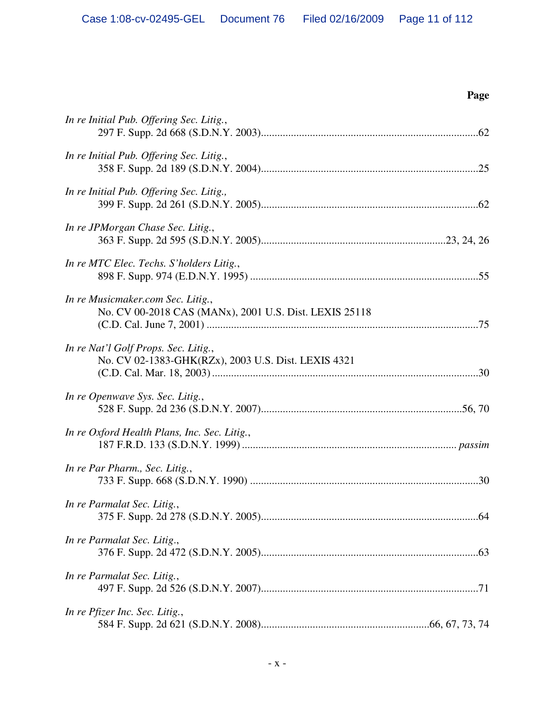| In re Initial Pub. Offering Sec. Litig.,                                                    |
|---------------------------------------------------------------------------------------------|
| In re Initial Pub. Offering Sec. Litig.,                                                    |
| In re Initial Pub. Offering Sec. Litig.,                                                    |
| In re JPMorgan Chase Sec. Litig.,                                                           |
| In re MTC Elec. Techs. S'holders Litig.,                                                    |
| In re Musicmaker.com Sec. Litig.,<br>No. CV 00-2018 CAS (MANx), 2001 U.S. Dist. LEXIS 25118 |
| In re Nat'l Golf Props. Sec. Litig.,<br>No. CV 02-1383-GHK(RZx), 2003 U.S. Dist. LEXIS 4321 |
| In re Openwave Sys. Sec. Litig.,                                                            |
| In re Oxford Health Plans, Inc. Sec. Litig.,                                                |
| In re Par Pharm., Sec. Litig.,                                                              |
| In re Parmalat Sec. Litig.,                                                                 |
| In re Parmalat Sec. Litig.,                                                                 |
| In re Parmalat Sec. Litig.,                                                                 |
| In re Pfizer Inc. Sec. Litig.,                                                              |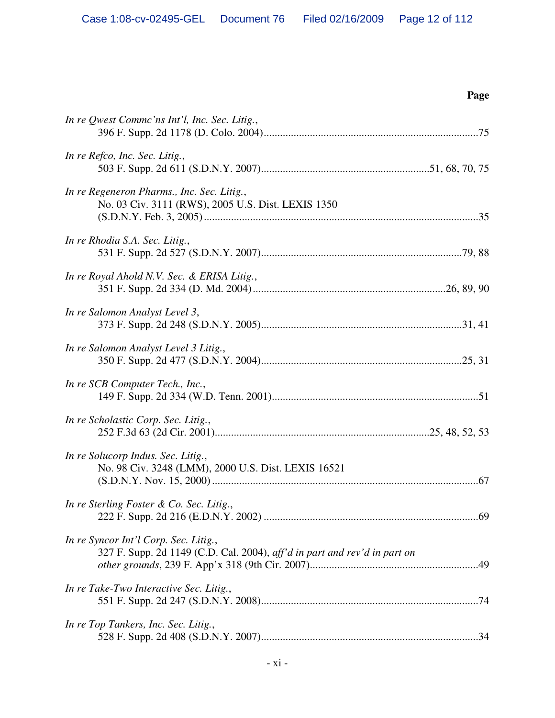| In re Qwest Commc'ns Int'l, Inc. Sec. Litig.,                                                                      |
|--------------------------------------------------------------------------------------------------------------------|
| In re Refco, Inc. Sec. Litig.,                                                                                     |
| In re Regeneron Pharms., Inc. Sec. Litig.,<br>No. 03 Civ. 3111 (RWS), 2005 U.S. Dist. LEXIS 1350                   |
| In re Rhodia S.A. Sec. Litig.,                                                                                     |
| In re Royal Ahold N.V. Sec. & ERISA Litig.,                                                                        |
| In re Salomon Analyst Level 3,                                                                                     |
| In re Salomon Analyst Level 3 Litig.,                                                                              |
| In re SCB Computer Tech., Inc.,                                                                                    |
| In re Scholastic Corp. Sec. Litig.,                                                                                |
| In re Solucorp Indus. Sec. Litig.,<br>No. 98 Civ. 3248 (LMM), 2000 U.S. Dist. LEXIS 16521                          |
| In re Sterling Foster & Co. Sec. Litig.,                                                                           |
| In re Syncor Int'l Corp. Sec. Litig.,<br>327 F. Supp. 2d 1149 (C.D. Cal. 2004), aff'd in part and rev'd in part on |
| In re Take-Two Interactive Sec. Litig.,                                                                            |
| In re Top Tankers, Inc. Sec. Litig.,                                                                               |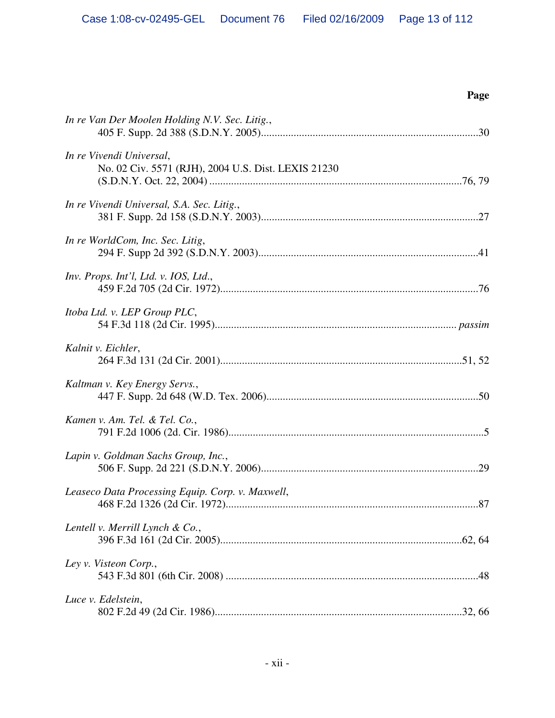| In re Van Der Moolen Holding N.V. Sec. Litig.,                                  |  |
|---------------------------------------------------------------------------------|--|
| In re Vivendi Universal,<br>No. 02 Civ. 5571 (RJH), 2004 U.S. Dist. LEXIS 21230 |  |
| In re Vivendi Universal, S.A. Sec. Litig.,                                      |  |
| In re WorldCom, Inc. Sec. Litig,                                                |  |
| Inv. Props. Int'l, Ltd. v. IOS, Ltd.,                                           |  |
| Itoba Ltd. v. LEP Group PLC,                                                    |  |
| Kalnit v. Eichler,                                                              |  |
| Kaltman v. Key Energy Servs.,                                                   |  |
| Kamen v. Am. Tel. & Tel. Co.,                                                   |  |
| Lapin v. Goldman Sachs Group, Inc.,                                             |  |
| Leaseco Data Processing Equip. Corp. v. Maxwell,                                |  |
| Lentell v. Merrill Lynch & Co.,                                                 |  |
| Ley v. Visteon Corp.,                                                           |  |
| Luce v. Edelstein,                                                              |  |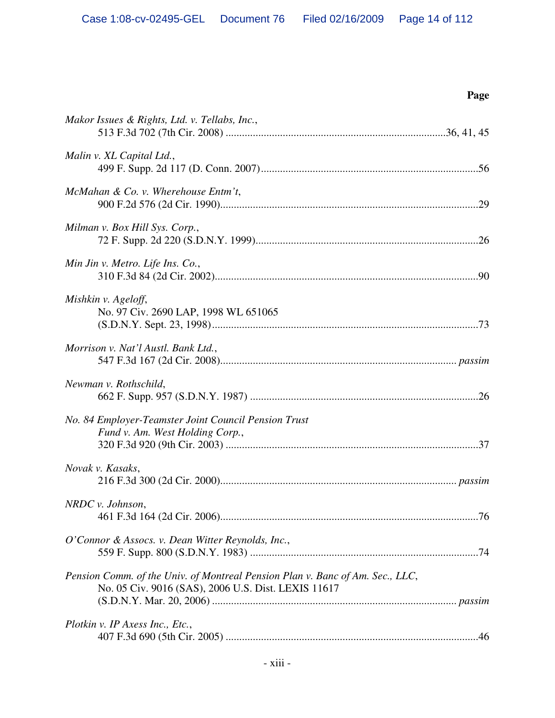| Makor Issues & Rights, Ltd. v. Tellabs, Inc.,                                                                                        |
|--------------------------------------------------------------------------------------------------------------------------------------|
| Malin v. XL Capital Ltd.,                                                                                                            |
| McMahan & Co. v. Wherehouse Entm't,                                                                                                  |
| Milman v. Box Hill Sys. Corp.,                                                                                                       |
| Min Jin v. Metro. Life Ins. Co.,                                                                                                     |
| Mishkin v. Ageloff,<br>No. 97 Civ. 2690 LAP, 1998 WL 651065                                                                          |
| Morrison v. Nat'l Austl. Bank Ltd.,                                                                                                  |
| Newman v. Rothschild,                                                                                                                |
| No. 84 Employer-Teamster Joint Council Pension Trust<br>Fund v. Am. West Holding Corp.,                                              |
| Novak v. Kasaks,                                                                                                                     |
| NRDC v. Johnson,                                                                                                                     |
| O'Connor & Assocs. v. Dean Witter Reynolds, Inc.,                                                                                    |
| Pension Comm. of the Univ. of Montreal Pension Plan v. Banc of Am. Sec., LLC,<br>No. 05 Civ. 9016 (SAS), 2006 U.S. Dist. LEXIS 11617 |
| Plotkin v. IP Axess Inc., Etc.,                                                                                                      |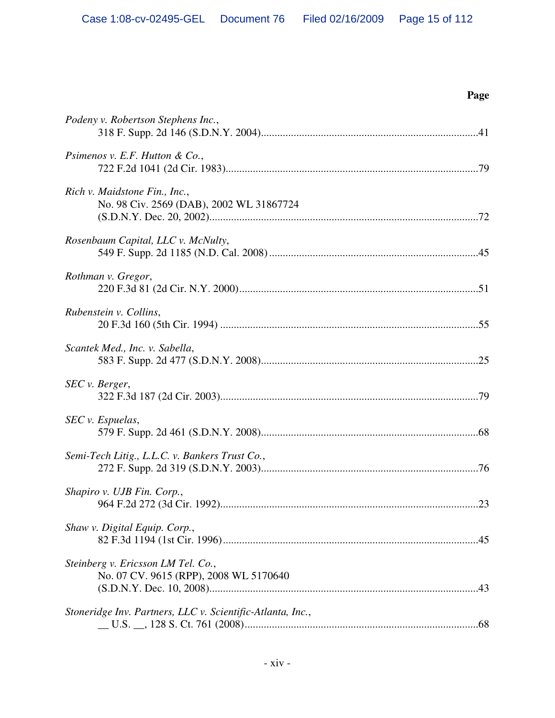| Podeny v. Robertson Stephens Inc.,                                           |
|------------------------------------------------------------------------------|
| Psimenos v. E.F. Hutton & Co.,                                               |
| Rich v. Maidstone Fin., Inc.,<br>No. 98 Civ. 2569 (DAB), 2002 WL 31867724    |
| Rosenbaum Capital, LLC v. McNulty,                                           |
| Rothman v. Gregor,                                                           |
| Rubenstein v. Collins,                                                       |
| Scantek Med., Inc. v. Sabella,                                               |
| SEC v. Berger,                                                               |
| SEC v. Espuelas,                                                             |
| Semi-Tech Litig., L.L.C. v. Bankers Trust Co.,                               |
| Shapiro v. UJB Fin. Corp.,                                                   |
| Shaw v. Digital Equip. Corp.,                                                |
| Steinberg v. Ericsson LM Tel. Co.,<br>No. 07 CV. 9615 (RPP), 2008 WL 5170640 |
| Stoneridge Inv. Partners, LLC v. Scientific-Atlanta, Inc.,                   |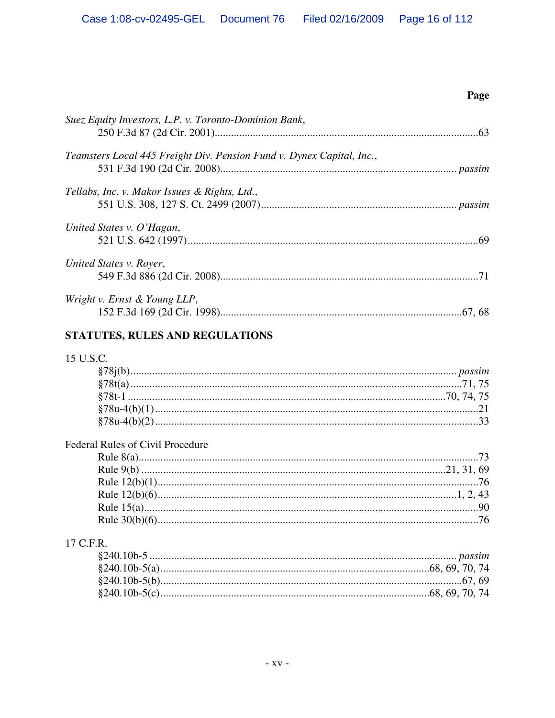| Suez Equity Investors, L.P. v. Toronto-Dominion Bank,                 |  |
|-----------------------------------------------------------------------|--|
| Teamsters Local 445 Freight Div. Pension Fund v. Dynex Capital, Inc., |  |
| Tellabs, Inc. v. Makor Issues & Rights, Ltd.,                         |  |
| United States v. O'Hagan,                                             |  |
| United States v. Royer,                                               |  |
| Wright v. Ernst & Young LLP,                                          |  |

## STATUTES, RULES AND REGULATIONS

### 15 U.S.C.

## Federal Rules of Civil Procedure

# 17 C.F.R.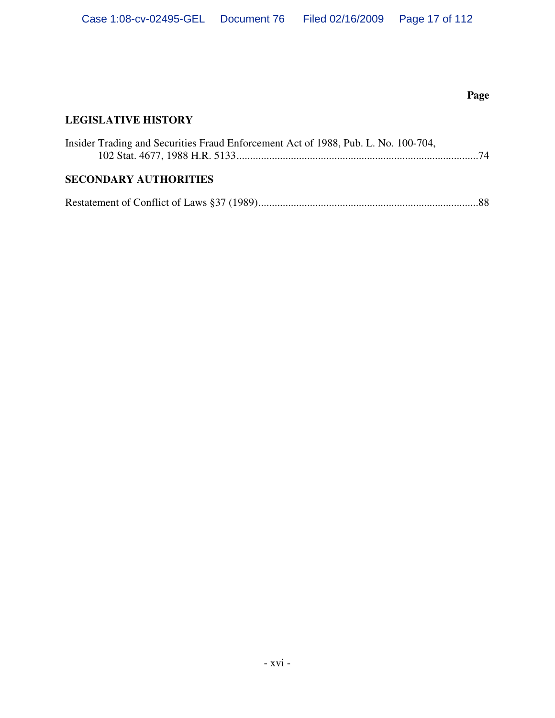### **LEGISLATIVE HISTORY**

| Insider Trading and Securities Fraud Enforcement Act of 1988, Pub. L. No. 100-704, |  |
|------------------------------------------------------------------------------------|--|
| <b>SECONDARY AUTHORITIES</b>                                                       |  |
|                                                                                    |  |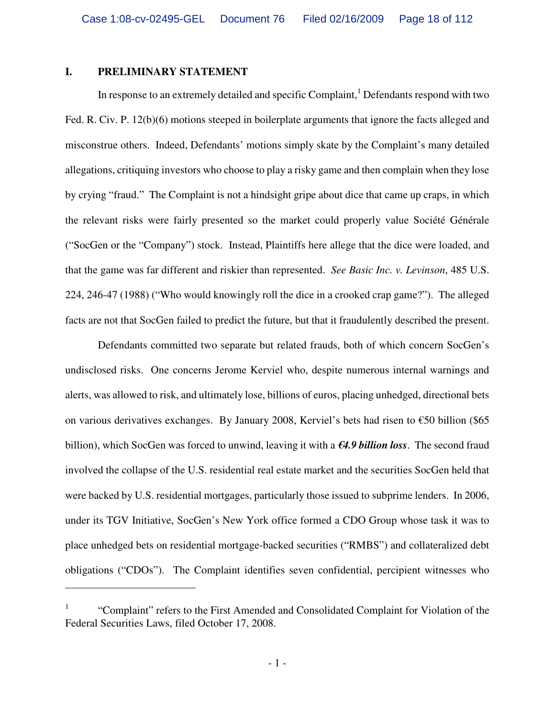#### **I. PRELIMINARY STATEMENT**

 $\overline{a}$ 

In response to an extremely detailed and specific  $Complain, 1$  Defendants respond with two Fed. R. Civ. P. 12(b)(6) motions steeped in boilerplate arguments that ignore the facts alleged and misconstrue others. Indeed, Defendants' motions simply skate by the Complaint's many detailed allegations, critiquing investors who choose to play a risky game and then complain when they lose by crying "fraud." The Complaint is not a hindsight gripe about dice that came up craps, in which the relevant risks were fairly presented so the market could properly value Société Générale ("SocGen or the "Company") stock. Instead, Plaintiffs here allege that the dice were loaded, and that the game was far different and riskier than represented. *See Basic Inc. v. Levinson*, 485 U.S. 224, 246-47 (1988) ("Who would knowingly roll the dice in a crooked crap game?"). The alleged facts are not that SocGen failed to predict the future, but that it fraudulently described the present.

Defendants committed two separate but related frauds, both of which concern SocGen's undisclosed risks. One concerns Jerome Kerviel who, despite numerous internal warnings and alerts, was allowed to risk, and ultimately lose, billions of euros, placing unhedged, directional bets on various derivatives exchanges. By January 2008, Kerviel's bets had risen to €50 billion (\$65 billion), which SocGen was forced to unwind, leaving it with a *€4.9 billion loss*. The second fraud involved the collapse of the U.S. residential real estate market and the securities SocGen held that were backed by U.S. residential mortgages, particularly those issued to subprime lenders. In 2006, under its TGV Initiative, SocGen's New York office formed a CDO Group whose task it was to place unhedged bets on residential mortgage-backed securities ("RMBS") and collateralized debt obligations ("CDOs"). The Complaint identifies seven confidential, percipient witnesses who

<sup>1</sup> "Complaint" refers to the First Amended and Consolidated Complaint for Violation of the Federal Securities Laws, filed October 17, 2008.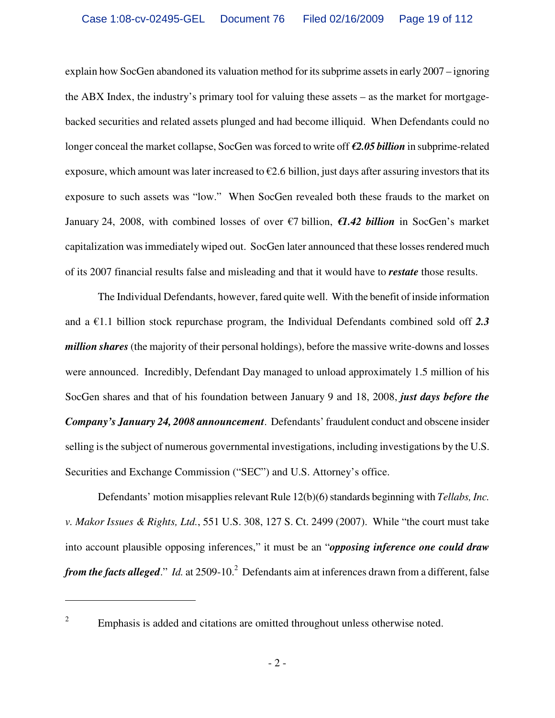explain how SocGen abandoned its valuation method for its subprime assets in early 2007 – ignoring the ABX Index, the industry's primary tool for valuing these assets – as the market for mortgagebacked securities and related assets plunged and had become illiquid. When Defendants could no longer conceal the market collapse, SocGen was forced to write off *€2.05 billion* in subprime-related exposure, which amount was later increased to  $\epsilon$ 2.6 billion, just days after assuring investors that its exposure to such assets was "low." When SocGen revealed both these frauds to the market on January 24, 2008, with combined losses of over €7 billion, *€1.42 billion* in SocGen's market capitalization was immediately wiped out. SocGen later announced that these losses rendered much of its 2007 financial results false and misleading and that it would have to *restate* those results.

The Individual Defendants, however, fared quite well. With the benefit of inside information and a €1.1 billion stock repurchase program, the Individual Defendants combined sold off *2.3 million shares* (the majority of their personal holdings), before the massive write-downs and losses were announced. Incredibly, Defendant Day managed to unload approximately 1.5 million of his SocGen shares and that of his foundation between January 9 and 18, 2008, *just days before the Company's January 24, 2008 announcement*. Defendants' fraudulent conduct and obscene insider selling is the subject of numerous governmental investigations, including investigations by the U.S. Securities and Exchange Commission ("SEC") and U.S. Attorney's office.

Defendants' motion misapplies relevant Rule 12(b)(6) standards beginning with *Tellabs, Inc. v. Makor Issues & Rights, Ltd.*, 551 U.S. 308, 127 S. Ct. 2499 (2007). While "the court must take into account plausible opposing inferences," it must be an "*opposing inference one could draw*  from the facts alleged." Id. at 2509-10.<sup>2</sup> Defendants aim at inferences drawn from a different, false

 $\overline{a}$ 

<sup>2</sup> Emphasis is added and citations are omitted throughout unless otherwise noted.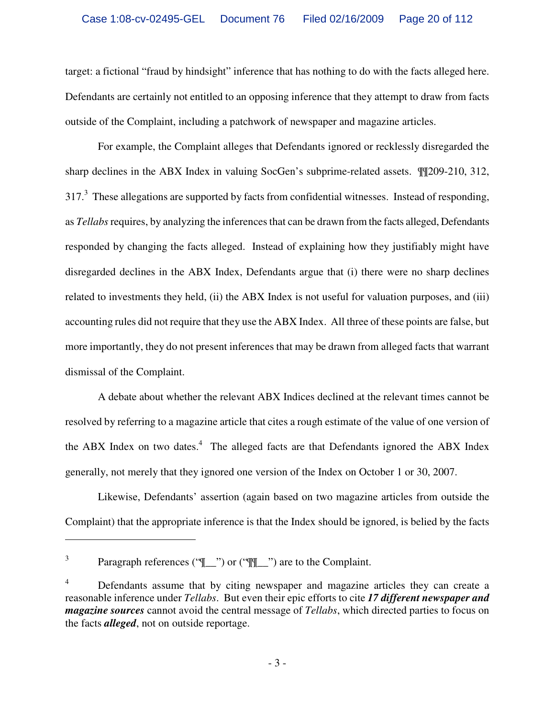target: a fictional "fraud by hindsight" inference that has nothing to do with the facts alleged here. Defendants are certainly not entitled to an opposing inference that they attempt to draw from facts outside of the Complaint, including a patchwork of newspaper and magazine articles.

For example, the Complaint alleges that Defendants ignored or recklessly disregarded the sharp declines in the ABX Index in valuing SocGen's subprime-related assets. ¶¶209-210, 312,  $317<sup>3</sup>$  These allegations are supported by facts from confidential witnesses. Instead of responding, as *Tellabs* requires, by analyzing the inferences that can be drawn from the facts alleged, Defendants responded by changing the facts alleged. Instead of explaining how they justifiably might have disregarded declines in the ABX Index, Defendants argue that (i) there were no sharp declines related to investments they held, (ii) the ABX Index is not useful for valuation purposes, and (iii) accounting rules did not require that they use the ABX Index. All three of these points are false, but more importantly, they do not present inferences that may be drawn from alleged facts that warrant dismissal of the Complaint.

A debate about whether the relevant ABX Indices declined at the relevant times cannot be resolved by referring to a magazine article that cites a rough estimate of the value of one version of the ABX Index on two dates. $4$  The alleged facts are that Defendants ignored the ABX Index generally, not merely that they ignored one version of the Index on October 1 or 30, 2007.

Likewise, Defendants' assertion (again based on two magazine articles from outside the Complaint) that the appropriate inference is that the Index should be ignored, is belied by the facts

1

<sup>3</sup> Paragraph references ("[[\_\_") or ("[[[\_\_") are to the Complaint.

<sup>4</sup> Defendants assume that by citing newspaper and magazine articles they can create a reasonable inference under *Tellabs*. But even their epic efforts to cite *17 different newspaper and magazine sources* cannot avoid the central message of *Tellabs*, which directed parties to focus on the facts *alleged*, not on outside reportage.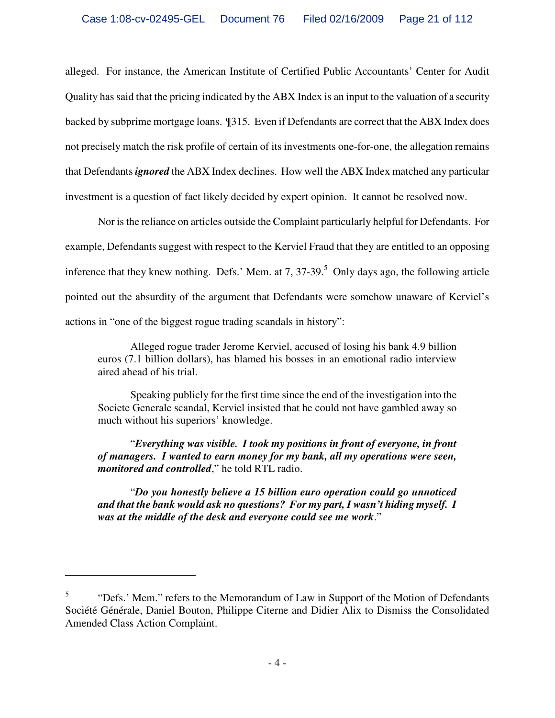alleged. For instance, the American Institute of Certified Public Accountants' Center for Audit Quality has said that the pricing indicated by the ABX Index is an input to the valuation of a security backed by subprime mortgage loans. ¶315. Even if Defendants are correct that the ABX Index does not precisely match the risk profile of certain of its investments one-for-one, the allegation remains that Defendants *ignored* the ABX Index declines. How well the ABX Index matched any particular investment is a question of fact likely decided by expert opinion. It cannot be resolved now.

Nor is the reliance on articles outside the Complaint particularly helpful for Defendants. For example, Defendants suggest with respect to the Kerviel Fraud that they are entitled to an opposing inference that they knew nothing. Defs.' Mem. at 7, 37-39. $<sup>5</sup>$  Only days ago, the following article</sup> pointed out the absurdity of the argument that Defendants were somehow unaware of Kerviel's actions in "one of the biggest rogue trading scandals in history":

Alleged rogue trader Jerome Kerviel, accused of losing his bank 4.9 billion euros (7.1 billion dollars), has blamed his bosses in an emotional radio interview aired ahead of his trial.

Speaking publicly for the first time since the end of the investigation into the Societe Generale scandal, Kerviel insisted that he could not have gambled away so much without his superiors' knowledge.

"*Everything was visible. I took my positions in front of everyone, in front of managers. I wanted to earn money for my bank, all my operations were seen, monitored and controlled*," he told RTL radio.

"*Do you honestly believe a 15 billion euro operation could go unnoticed and that the bank would ask no questions? For my part, I wasn't hiding myself. I was at the middle of the desk and everyone could see me work*."

<u>.</u>

<sup>5</sup> "Defs.' Mem." refers to the Memorandum of Law in Support of the Motion of Defendants Société Générale, Daniel Bouton, Philippe Citerne and Didier Alix to Dismiss the Consolidated Amended Class Action Complaint.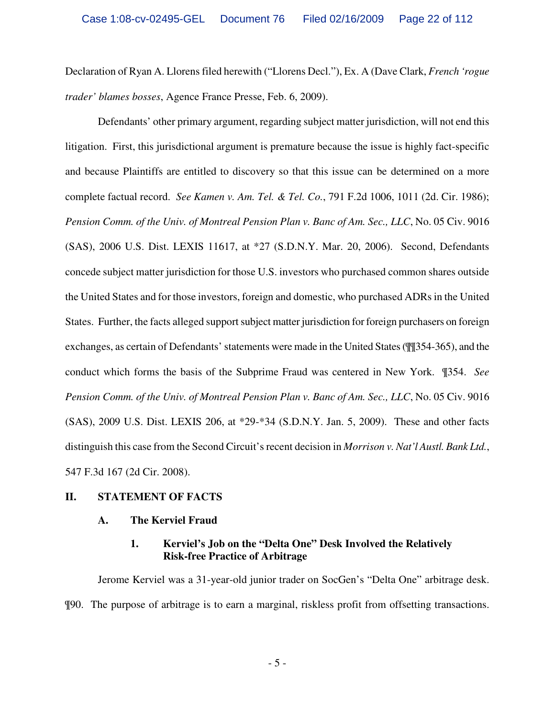Declaration of Ryan A. Llorens filed herewith ("Llorens Decl."), Ex. A (Dave Clark, *French 'rogue trader' blames bosses*, Agence France Presse, Feb. 6, 2009).

Defendants' other primary argument, regarding subject matter jurisdiction, will not end this litigation. First, this jurisdictional argument is premature because the issue is highly fact-specific and because Plaintiffs are entitled to discovery so that this issue can be determined on a more complete factual record. *See Kamen v. Am. Tel. & Tel. Co.*, 791 F.2d 1006, 1011 (2d. Cir. 1986); *Pension Comm. of the Univ. of Montreal Pension Plan v. Banc of Am. Sec., LLC*, No. 05 Civ. 9016 (SAS), 2006 U.S. Dist. LEXIS 11617, at \*27 (S.D.N.Y. Mar. 20, 2006). Second, Defendants concede subject matter jurisdiction for those U.S. investors who purchased common shares outside the United States and for those investors, foreign and domestic, who purchased ADRs in the United States. Further, the facts alleged support subject matter jurisdiction for foreign purchasers on foreign exchanges, as certain of Defendants' statements were made in the United States (¶¶354-365), and the conduct which forms the basis of the Subprime Fraud was centered in New York. ¶354. *See Pension Comm. of the Univ. of Montreal Pension Plan v. Banc of Am. Sec., LLC*, No. 05 Civ. 9016 (SAS), 2009 U.S. Dist. LEXIS 206, at \*29-\*34 (S.D.N.Y. Jan. 5, 2009). These and other facts distinguish this case from the Second Circuit's recent decision in *Morrison v. Nat'l Austl. Bank Ltd.*, 547 F.3d 167 (2d Cir. 2008).

#### **II. STATEMENT OF FACTS**

#### **A. The Kerviel Fraud**

### **1. Kerviel's Job on the "Delta One" Desk Involved the Relatively Risk-free Practice of Arbitrage**

Jerome Kerviel was a 31-year-old junior trader on SocGen's "Delta One" arbitrage desk. ¶90. The purpose of arbitrage is to earn a marginal, riskless profit from offsetting transactions.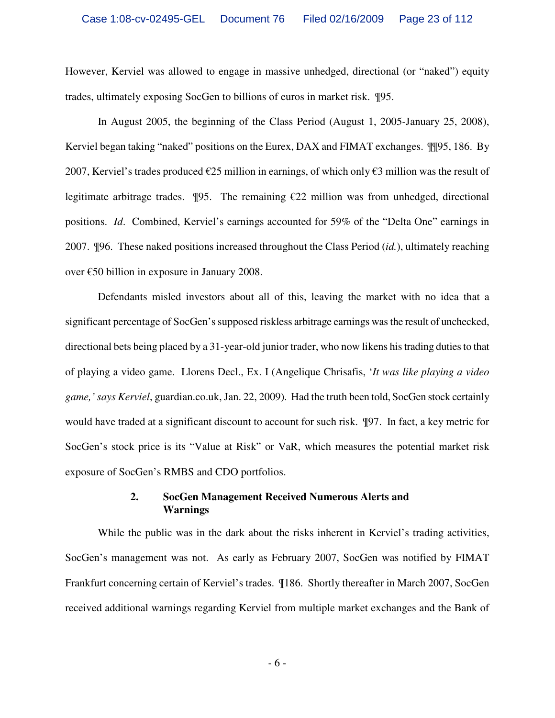However, Kerviel was allowed to engage in massive unhedged, directional (or "naked") equity trades, ultimately exposing SocGen to billions of euros in market risk. ¶95.

In August 2005, the beginning of the Class Period (August 1, 2005-January 25, 2008), Kerviel began taking "naked" positions on the Eurex, DAX and FIMAT exchanges. ¶¶95, 186. By 2007, Kerviel's trades produced  $\epsilon$ 25 million in earnings, of which only  $\epsilon$ 3 million was the result of legitimate arbitrage trades.  $\P$ 95. The remaining  $E$ 22 million was from unhedged, directional positions. *Id*. Combined, Kerviel's earnings accounted for 59% of the "Delta One" earnings in 2007. ¶96. These naked positions increased throughout the Class Period (*id.*), ultimately reaching over €50 billion in exposure in January 2008.

Defendants misled investors about all of this, leaving the market with no idea that a significant percentage of SocGen's supposed riskless arbitrage earnings was the result of unchecked, directional bets being placed by a 31-year-old junior trader, who now likens his trading duties to that of playing a video game. Llorens Decl., Ex. I (Angelique Chrisafis, '*It was like playing a video game,' says Kerviel*, guardian.co.uk, Jan. 22, 2009). Had the truth been told, SocGen stock certainly would have traded at a significant discount to account for such risk. ¶97. In fact, a key metric for SocGen's stock price is its "Value at Risk" or VaR, which measures the potential market risk exposure of SocGen's RMBS and CDO portfolios.

#### **2. SocGen Management Received Numerous Alerts and Warnings**

While the public was in the dark about the risks inherent in Kerviel's trading activities, SocGen's management was not. As early as February 2007, SocGen was notified by FIMAT Frankfurt concerning certain of Kerviel's trades. ¶186. Shortly thereafter in March 2007, SocGen received additional warnings regarding Kerviel from multiple market exchanges and the Bank of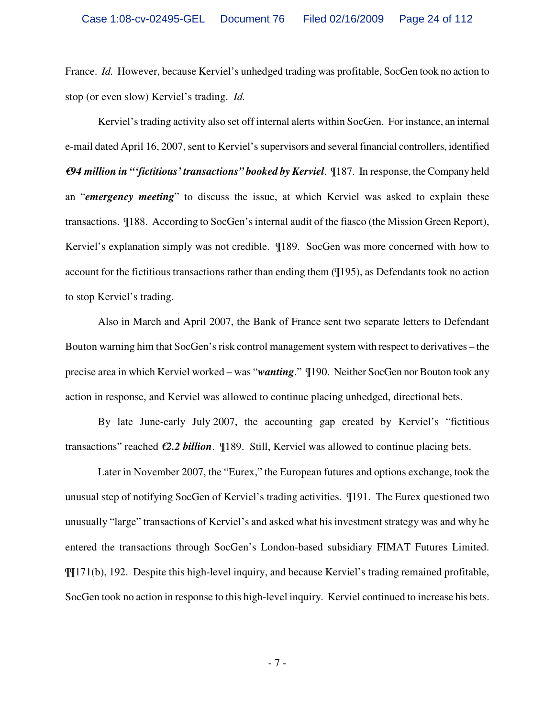France. *Id.* However, because Kerviel's unhedged trading was profitable, SocGen took no action to stop (or even slow) Kerviel's trading. *Id.*

Kerviel's trading activity also set off internal alerts within SocGen. For instance, an internal e-mail dated April 16, 2007, sent to Kerviel's supervisors and several financial controllers, identified *€94 million in "'fictitious' transactions" booked by Kerviel*. ¶187. In response, the Company held an "*emergency meeting*" to discuss the issue, at which Kerviel was asked to explain these transactions. ¶188. According to SocGen's internal audit of the fiasco (the Mission Green Report), Kerviel's explanation simply was not credible. ¶189. SocGen was more concerned with how to account for the fictitious transactions rather than ending them (¶195), as Defendants took no action to stop Kerviel's trading.

Also in March and April 2007, the Bank of France sent two separate letters to Defendant Bouton warning him that SocGen's risk control management system with respect to derivatives – the precise area in which Kerviel worked – was "*wanting*." ¶190. Neither SocGen nor Bouton took any action in response, and Kerviel was allowed to continue placing unhedged, directional bets.

By late June-early July 2007, the accounting gap created by Kerviel's "fictitious transactions" reached *€2.2 billion*. ¶189. Still, Kerviel was allowed to continue placing bets.

Later in November 2007, the "Eurex," the European futures and options exchange, took the unusual step of notifying SocGen of Kerviel's trading activities. ¶191. The Eurex questioned two unusually "large" transactions of Kerviel's and asked what his investment strategy was and why he entered the transactions through SocGen's London-based subsidiary FIMAT Futures Limited. ¶¶171(b), 192. Despite this high-level inquiry, and because Kerviel's trading remained profitable, SocGen took no action in response to this high-level inquiry. Kerviel continued to increase his bets.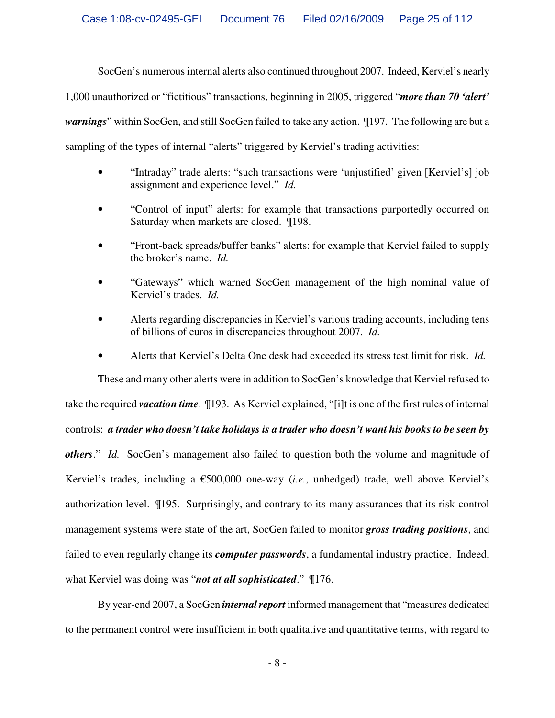SocGen's numerous internal alerts also continued throughout 2007. Indeed, Kerviel's nearly

1,000 unauthorized or "fictitious" transactions, beginning in 2005, triggered "*more than 70 'alert'* 

*warnings*" within SocGen, and still SocGen failed to take any action. ¶197. The following are but a

sampling of the types of internal "alerts" triggered by Kerviel's trading activities:

- "Intraday" trade alerts: "such transactions were 'unjustified' given [Kerviel's] job assignment and experience level." *Id.*
- "Control of input" alerts: for example that transactions purportedly occurred on Saturday when markets are closed. ¶198.
- "Front-back spreads/buffer banks" alerts: for example that Kerviel failed to supply the broker's name. *Id.*
- "Gateways" which warned SocGen management of the high nominal value of Kerviel's trades. *Id.*
- Alerts regarding discrepancies in Kerviel's various trading accounts, including tens of billions of euros in discrepancies throughout 2007. *Id.*
- Alerts that Kerviel's Delta One desk had exceeded its stress test limit for risk. *Id.*

These and many other alerts were in addition to SocGen's knowledge that Kerviel refused to take the required *vacation time*. ¶193. As Kerviel explained, "[i]t is one of the first rules of internal controls: *a trader who doesn't take holidays is a trader who doesn't want his books to be seen by others*." *Id.* SocGen's management also failed to question both the volume and magnitude of Kerviel's trades, including a €500,000 one-way (*i.e.*, unhedged) trade, well above Kerviel's authorization level. ¶195. Surprisingly, and contrary to its many assurances that its risk-control management systems were state of the art, SocGen failed to monitor *gross trading positions*, and failed to even regularly change its *computer passwords*, a fundamental industry practice. Indeed, what Kerviel was doing was "*not at all sophisticated*." ¶176.

By year-end 2007, a SocGen *internal report* informed management that "measures dedicated to the permanent control were insufficient in both qualitative and quantitative terms, with regard to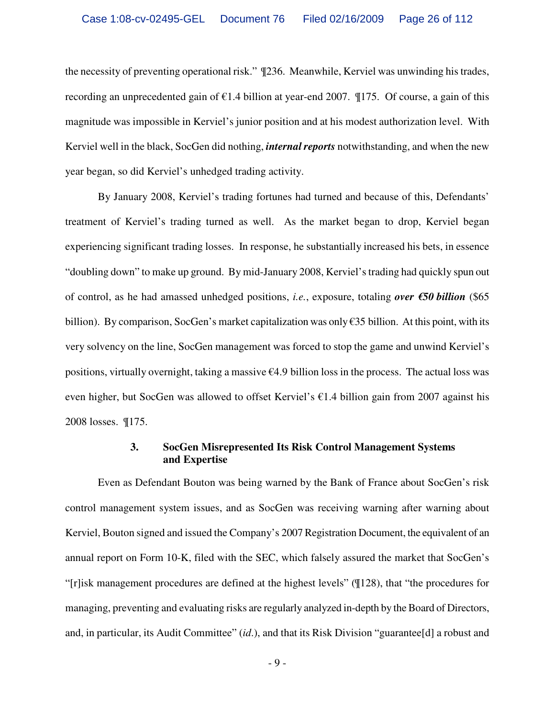the necessity of preventing operational risk." ¶236. Meanwhile, Kerviel was unwinding his trades, recording an unprecedented gain of  $\epsilon$ 1.4 billion at year-end 2007.  $\P$ 175. Of course, a gain of this magnitude was impossible in Kerviel's junior position and at his modest authorization level. With Kerviel well in the black, SocGen did nothing, *internal reports* notwithstanding, and when the new year began, so did Kerviel's unhedged trading activity.

By January 2008, Kerviel's trading fortunes had turned and because of this, Defendants' treatment of Kerviel's trading turned as well. As the market began to drop, Kerviel began experiencing significant trading losses. In response, he substantially increased his bets, in essence "doubling down" to make up ground. By mid-January 2008, Kerviel's trading had quickly spun out of control, as he had amassed unhedged positions, *i.e.*, exposure, totaling *over €50 billion* (\$65 billion). By comparison, SocGen's market capitalization was only €35 billion. At this point, with its very solvency on the line, SocGen management was forced to stop the game and unwind Kerviel's positions, virtually overnight, taking a massive  $\epsilon$ 4.9 billion loss in the process. The actual loss was even higher, but SocGen was allowed to offset Kerviel's  $\epsilon$ 1.4 billion gain from 2007 against his 2008 losses. ¶175.

#### **3. SocGen Misrepresented Its Risk Control Management Systems and Expertise**

Even as Defendant Bouton was being warned by the Bank of France about SocGen's risk control management system issues, and as SocGen was receiving warning after warning about Kerviel, Bouton signed and issued the Company's 2007 Registration Document, the equivalent of an annual report on Form 10-K, filed with the SEC, which falsely assured the market that SocGen's "[r]isk management procedures are defined at the highest levels" (¶128), that "the procedures for managing, preventing and evaluating risks are regularly analyzed in-depth by the Board of Directors, and, in particular, its Audit Committee" (*id*.), and that its Risk Division "guarantee[d] a robust and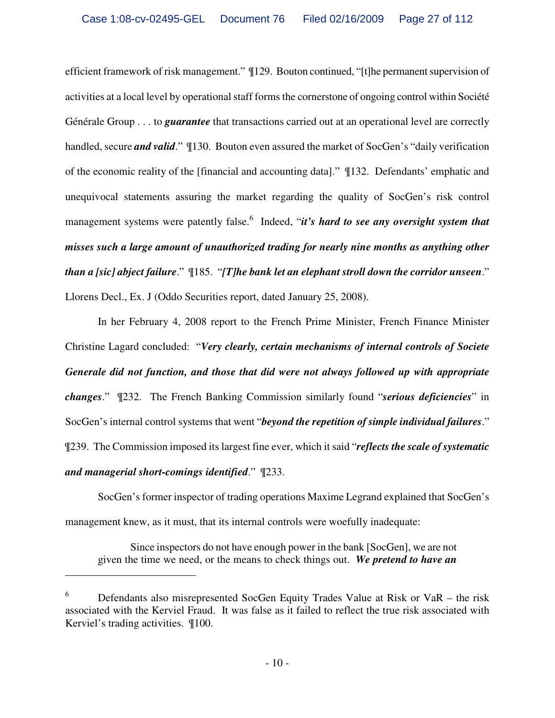efficient framework of risk management." ¶129. Bouton continued, "[t]he permanent supervision of activities at a local level by operational staff forms the cornerstone of ongoing control within Société Générale Group . . . to *guarantee* that transactions carried out at an operational level are correctly handled, secure *and valid*." ¶130. Bouton even assured the market of SocGen's "daily verification of the economic reality of the [financial and accounting data]." ¶132. Defendants' emphatic and unequivocal statements assuring the market regarding the quality of SocGen's risk control management systems were patently false.<sup>6</sup> Indeed, "*it's hard to see any oversight system that misses such a large amount of unauthorized trading for nearly nine months as anything other than a [sic] abject failure*." ¶185. "*[T]he bank let an elephant stroll down the corridor unseen*." Llorens Decl., Ex. J (Oddo Securities report, dated January 25, 2008).

In her February 4, 2008 report to the French Prime Minister, French Finance Minister Christine Lagard concluded: "*Very clearly, certain mechanisms of internal controls of Societe Generale did not function, and those that did were not always followed up with appropriate changes*." ¶232. The French Banking Commission similarly found "*serious deficiencies*" in SocGen's internal control systems that went "*beyond the repetition of simple individual failures*." ¶239. The Commission imposed its largest fine ever, which it said "*reflects the scale of systematic and managerial short-comings identified*." ¶233.

SocGen's former inspector of trading operations Maxime Legrand explained that SocGen's management knew, as it must, that its internal controls were woefully inadequate:

Since inspectors do not have enough power in the bank [SocGen], we are not given the time we need, or the means to check things out. *We pretend to have an* 

<u>.</u>

<sup>6</sup> Defendants also misrepresented SocGen Equity Trades Value at Risk or VaR – the risk associated with the Kerviel Fraud. It was false as it failed to reflect the true risk associated with Kerviel's trading activities. ¶100.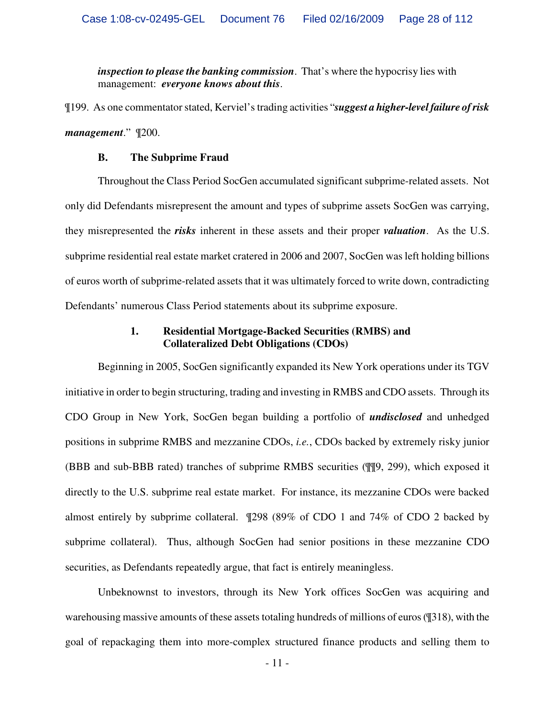*inspection to please the banking commission*. That's where the hypocrisy lies with management: *everyone knows about this*.

¶199. As one commentator stated, Kerviel's trading activities "*suggest a higher-level failure of risk management*." ¶200.

#### **B. The Subprime Fraud**

Throughout the Class Period SocGen accumulated significant subprime-related assets. Not only did Defendants misrepresent the amount and types of subprime assets SocGen was carrying, they misrepresented the *risks* inherent in these assets and their proper *valuation*. As the U.S. subprime residential real estate market cratered in 2006 and 2007, SocGen was left holding billions of euros worth of subprime-related assets that it was ultimately forced to write down, contradicting Defendants' numerous Class Period statements about its subprime exposure.

### **1. Residential Mortgage-Backed Securities (RMBS) and Collateralized Debt Obligations (CDOs)**

Beginning in 2005, SocGen significantly expanded its New York operations under its TGV initiative in order to begin structuring, trading and investing in RMBS and CDO assets. Through its CDO Group in New York, SocGen began building a portfolio of *undisclosed* and unhedged positions in subprime RMBS and mezzanine CDOs, *i.e.*, CDOs backed by extremely risky junior (BBB and sub-BBB rated) tranches of subprime RMBS securities (¶¶9, 299), which exposed it directly to the U.S. subprime real estate market. For instance, its mezzanine CDOs were backed almost entirely by subprime collateral. ¶298 (89% of CDO 1 and 74% of CDO 2 backed by subprime collateral). Thus, although SocGen had senior positions in these mezzanine CDO securities, as Defendants repeatedly argue, that fact is entirely meaningless.

Unbeknownst to investors, through its New York offices SocGen was acquiring and warehousing massive amounts of these assets totaling hundreds of millions of euros (¶318), with the goal of repackaging them into more-complex structured finance products and selling them to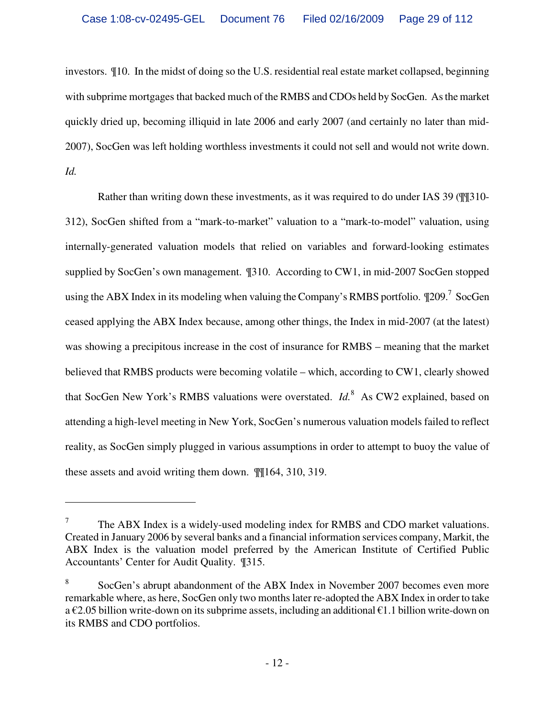investors. ¶10. In the midst of doing so the U.S. residential real estate market collapsed, beginning with subprime mortgages that backed much of the RMBS and CDOs held by SocGen. As the market quickly dried up, becoming illiquid in late 2006 and early 2007 (and certainly no later than mid-2007), SocGen was left holding worthless investments it could not sell and would not write down. *Id.*

Rather than writing down these investments, as it was required to do under IAS 39 (¶¶310- 312), SocGen shifted from a "mark-to-market" valuation to a "mark-to-model" valuation, using internally-generated valuation models that relied on variables and forward-looking estimates supplied by SocGen's own management. ¶310. According to CW1, in mid-2007 SocGen stopped using the ABX Index in its modeling when valuing the Company's RMBS portfolio.  $\P$ 209.<sup>7</sup> SocGen ceased applying the ABX Index because, among other things, the Index in mid-2007 (at the latest) was showing a precipitous increase in the cost of insurance for RMBS – meaning that the market believed that RMBS products were becoming volatile – which, according to CW1, clearly showed that SocGen New York's RMBS valuations were overstated. *Id.*<sup>8</sup> As CW2 explained, based on attending a high-level meeting in New York, SocGen's numerous valuation models failed to reflect reality, as SocGen simply plugged in various assumptions in order to attempt to buoy the value of these assets and avoid writing them down. ¶¶164, 310, 319.

<u>.</u>

<sup>7</sup> The ABX Index is a widely-used modeling index for RMBS and CDO market valuations. Created in January 2006 by several banks and a financial information services company, Markit, the ABX Index is the valuation model preferred by the American Institute of Certified Public Accountants' Center for Audit Quality. ¶315.

<sup>8</sup> SocGen's abrupt abandonment of the ABX Index in November 2007 becomes even more remarkable where, as here, SocGen only two months later re-adopted the ABX Index in order to take a €2.05 billion write-down on its subprime assets, including an additional €1.1 billion write-down on its RMBS and CDO portfolios.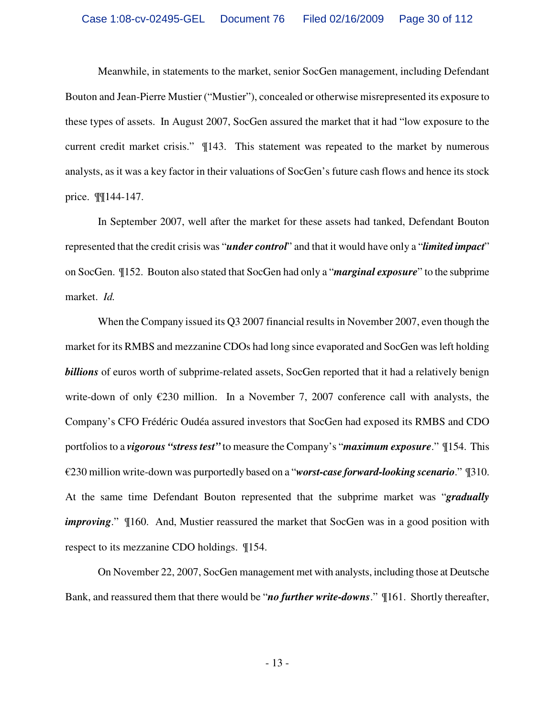Meanwhile, in statements to the market, senior SocGen management, including Defendant Bouton and Jean-Pierre Mustier ("Mustier"), concealed or otherwise misrepresented its exposure to these types of assets. In August 2007, SocGen assured the market that it had "low exposure to the current credit market crisis." ¶143. This statement was repeated to the market by numerous analysts, as it was a key factor in their valuations of SocGen's future cash flows and hence its stock price. ¶¶144-147.

In September 2007, well after the market for these assets had tanked, Defendant Bouton represented that the credit crisis was "*under control*" and that it would have only a "*limited impact*" on SocGen. ¶152. Bouton also stated that SocGen had only a "*marginal exposure*" to the subprime market. *Id.*

When the Company issued its Q3 2007 financial results in November 2007, even though the market for its RMBS and mezzanine CDOs had long since evaporated and SocGen was left holding *billions* of euros worth of subprime-related assets, SocGen reported that it had a relatively benign write-down of only  $\epsilon$ 230 million. In a November 7, 2007 conference call with analysts, the Company's CFO Frédéric Oudéa assured investors that SocGen had exposed its RMBS and CDO portfolios to a *vigorous "stress test"* to measure the Company's "*maximum exposure*." ¶154. This €230 million write-down was purportedly based on a "*worst-case forward-looking scenario*." ¶310. At the same time Defendant Bouton represented that the subprime market was "*gradually improving*."  $\P$ 160. And, Mustier reassured the market that SocGen was in a good position with respect to its mezzanine CDO holdings. ¶154.

On November 22, 2007, SocGen management met with analysts, including those at Deutsche Bank, and reassured them that there would be "*no further write-downs*." ¶161. Shortly thereafter,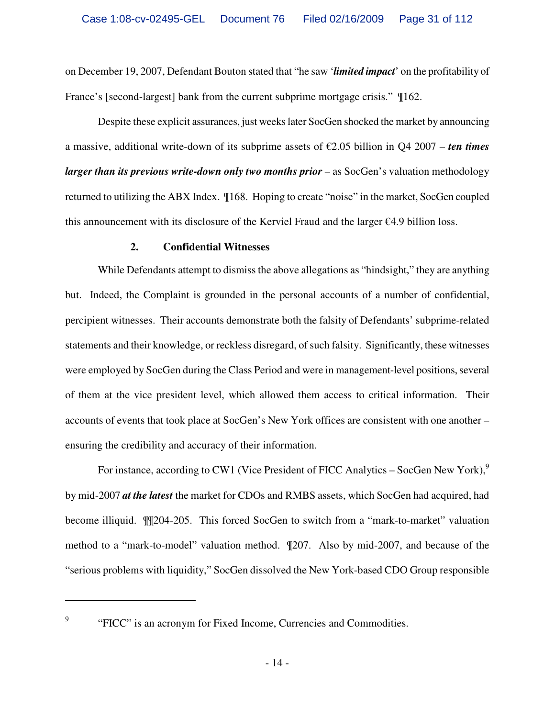on December 19, 2007, Defendant Bouton stated that "he saw '*limited impact*' on the profitability of France's [second-largest] bank from the current subprime mortgage crisis."  $\P$ 162.

Despite these explicit assurances, just weeks later SocGen shocked the market by announcing a massive, additional write-down of its subprime assets of €2.05 billion in Q4 2007 – *ten times larger than its previous write-down only two months prior* – as SocGen's valuation methodology returned to utilizing the ABX Index. ¶168. Hoping to create "noise" in the market, SocGen coupled this announcement with its disclosure of the Kerviel Fraud and the larger €4.9 billion loss.

#### **2. Confidential Witnesses**

While Defendants attempt to dismiss the above allegations as "hindsight," they are anything but. Indeed, the Complaint is grounded in the personal accounts of a number of confidential, percipient witnesses. Their accounts demonstrate both the falsity of Defendants' subprime-related statements and their knowledge, or reckless disregard, of such falsity. Significantly, these witnesses were employed by SocGen during the Class Period and were in management-level positions, several of them at the vice president level, which allowed them access to critical information. Their accounts of events that took place at SocGen's New York offices are consistent with one another – ensuring the credibility and accuracy of their information.

For instance, according to CW1 (Vice President of FICC Analytics – SocGen New York),<sup>9</sup> by mid-2007 *at the latest* the market for CDOs and RMBS assets, which SocGen had acquired, had become illiquid. ¶¶204-205. This forced SocGen to switch from a "mark-to-market" valuation method to a "mark-to-model" valuation method. ¶207. Also by mid-2007, and because of the "serious problems with liquidity," SocGen dissolved the New York-based CDO Group responsible

9

1

 <sup>&</sup>quot;FICC" is an acronym for Fixed Income, Currencies and Commodities.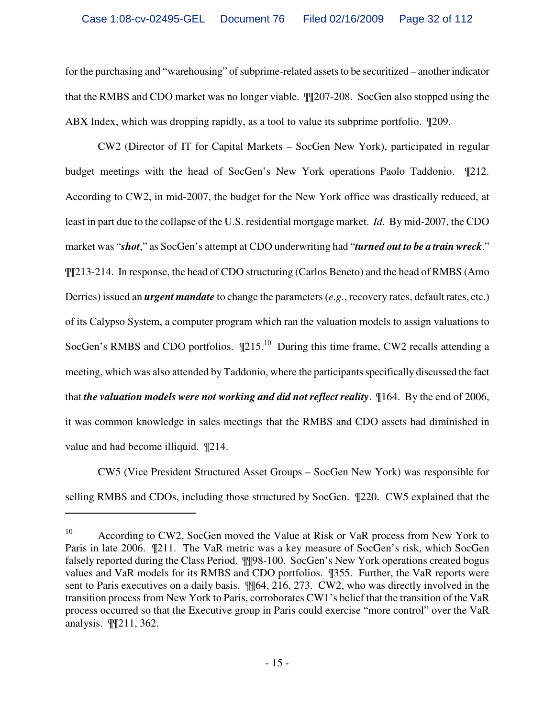for the purchasing and "warehousing" of subprime-related assets to be securitized – another indicator that the RMBS and CDO market was no longer viable. ¶¶207-208. SocGen also stopped using the ABX Index, which was dropping rapidly, as a tool to value its subprime portfolio. ¶209.

CW2 (Director of IT for Capital Markets – SocGen New York), participated in regular budget meetings with the head of SocGen's New York operations Paolo Taddonio. ¶212. According to CW2, in mid-2007, the budget for the New York office was drastically reduced, at least in part due to the collapse of the U.S. residential mortgage market. *Id.* By mid-2007, the CDO market was "*shot*," as SocGen's attempt at CDO underwriting had "*turned out to be a train wreck*." ¶¶213-214. In response, the head of CDO structuring (Carlos Beneto) and the head of RMBS (Arno Derries) issued an *urgent mandate* to change the parameters (*e.g.*, recovery rates, default rates, etc.) of its Calypso System, a computer program which ran the valuation models to assign valuations to SocGen's RMBS and CDO portfolios.  $\P$ 215.<sup>10</sup> During this time frame, CW2 recalls attending a meeting, which was also attended by Taddonio, where the participants specifically discussed the fact that *the valuation models were not working and did not reflect reality*. ¶164. By the end of 2006, it was common knowledge in sales meetings that the RMBS and CDO assets had diminished in value and had become illiquid. ¶214.

CW5 (Vice President Structured Asset Groups – SocGen New York) was responsible for selling RMBS and CDOs, including those structured by SocGen. ¶220. CW5 explained that the

 $\overline{a}$ 

<sup>&</sup>lt;sup>10</sup> According to CW2, SocGen moved the Value at Risk or VaR process from New York to Paris in late 2006. ¶211. The VaR metric was a key measure of SocGen's risk, which SocGen falsely reported during the Class Period. ¶¶98-100. SocGen's New York operations created bogus values and VaR models for its RMBS and CDO portfolios. ¶355. Further, the VaR reports were sent to Paris executives on a daily basis.  $\P$ [64, 216, 273. CW2, who was directly involved in the transition process from New York to Paris, corroborates CW1's belief that the transition of the VaR process occurred so that the Executive group in Paris could exercise "more control" over the VaR analysis. ¶¶211, 362.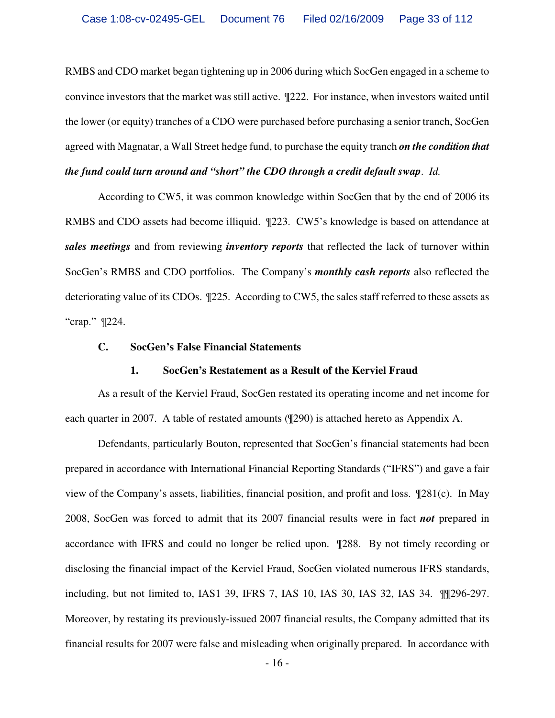RMBS and CDO market began tightening up in 2006 during which SocGen engaged in a scheme to convince investors that the market was still active. ¶222. For instance, when investors waited until the lower (or equity) tranches of a CDO were purchased before purchasing a senior tranch, SocGen agreed with Magnatar, a Wall Street hedge fund, to purchase the equity tranch *on the condition that the fund could turn around and "short" the CDO through a credit default swap*. *Id.*

According to CW5, it was common knowledge within SocGen that by the end of 2006 its RMBS and CDO assets had become illiquid. ¶223. CW5's knowledge is based on attendance at *sales meetings* and from reviewing *inventory reports* that reflected the lack of turnover within SocGen's RMBS and CDO portfolios. The Company's *monthly cash reports* also reflected the deteriorating value of its CDOs. ¶225. According to CW5, the sales staff referred to these assets as "crap." ¶224.

#### **C. SocGen's False Financial Statements**

#### **1. SocGen's Restatement as a Result of the Kerviel Fraud**

As a result of the Kerviel Fraud, SocGen restated its operating income and net income for each quarter in 2007. A table of restated amounts (¶290) is attached hereto as Appendix A.

Defendants, particularly Bouton, represented that SocGen's financial statements had been prepared in accordance with International Financial Reporting Standards ("IFRS") and gave a fair view of the Company's assets, liabilities, financial position, and profit and loss. ¶281(c). In May 2008, SocGen was forced to admit that its 2007 financial results were in fact *not* prepared in accordance with IFRS and could no longer be relied upon. ¶288. By not timely recording or disclosing the financial impact of the Kerviel Fraud, SocGen violated numerous IFRS standards, including, but not limited to, IAS1 39, IFRS 7, IAS 10, IAS 30, IAS 32, IAS 34. ¶¶296-297. Moreover, by restating its previously-issued 2007 financial results, the Company admitted that its financial results for 2007 were false and misleading when originally prepared. In accordance with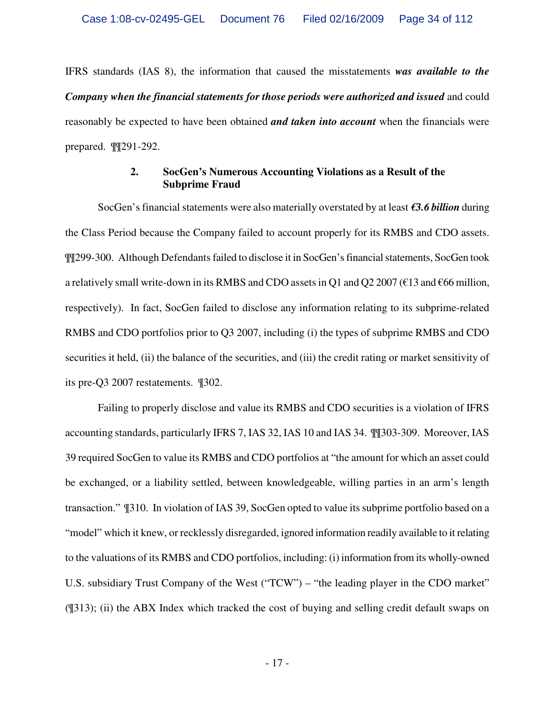IFRS standards (IAS 8), the information that caused the misstatements *was available to the Company when the financial statements for those periods were authorized and issued* and could reasonably be expected to have been obtained *and taken into account* when the financials were prepared. ¶¶291-292.

#### **2. SocGen's Numerous Accounting Violations as a Result of the Subprime Fraud**

SocGen's financial statements were also materially overstated by at least *€3.6 billion* during the Class Period because the Company failed to account properly for its RMBS and CDO assets. ¶¶299-300. Although Defendants failed to disclose it in SocGen's financial statements, SocGen took a relatively small write-down in its RMBS and CDO assets in Q1 and Q2 2007 ( $\epsilon$ 13 and  $\epsilon$ 66 million, respectively). In fact, SocGen failed to disclose any information relating to its subprime-related RMBS and CDO portfolios prior to Q3 2007, including (i) the types of subprime RMBS and CDO securities it held, (ii) the balance of the securities, and (iii) the credit rating or market sensitivity of its pre-Q3 2007 restatements. ¶302.

Failing to properly disclose and value its RMBS and CDO securities is a violation of IFRS accounting standards, particularly IFRS 7, IAS 32, IAS 10 and IAS 34. ¶¶303-309. Moreover, IAS 39 required SocGen to value its RMBS and CDO portfolios at "the amount for which an asset could be exchanged, or a liability settled, between knowledgeable, willing parties in an arm's length transaction." ¶310. In violation of IAS 39, SocGen opted to value its subprime portfolio based on a "model" which it knew, or recklessly disregarded, ignored information readily available to it relating to the valuations of its RMBS and CDO portfolios, including: (i) information from its wholly-owned U.S. subsidiary Trust Company of the West ("TCW") – "the leading player in the CDO market" (¶313); (ii) the ABX Index which tracked the cost of buying and selling credit default swaps on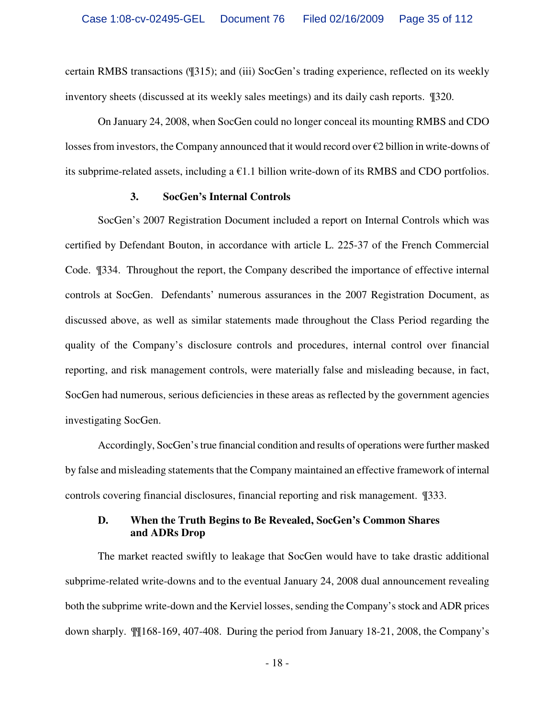certain RMBS transactions (¶315); and (iii) SocGen's trading experience, reflected on its weekly inventory sheets (discussed at its weekly sales meetings) and its daily cash reports. ¶320.

On January 24, 2008, when SocGen could no longer conceal its mounting RMBS and CDO losses from investors, the Company announced that it would record over €2 billion in write-downs of its subprime-related assets, including a  $\epsilon$ 1.1 billion write-down of its RMBS and CDO portfolios.

#### **3. SocGen's Internal Controls**

SocGen's 2007 Registration Document included a report on Internal Controls which was certified by Defendant Bouton, in accordance with article L. 225-37 of the French Commercial Code. ¶334. Throughout the report, the Company described the importance of effective internal controls at SocGen. Defendants' numerous assurances in the 2007 Registration Document, as discussed above, as well as similar statements made throughout the Class Period regarding the quality of the Company's disclosure controls and procedures, internal control over financial reporting, and risk management controls, were materially false and misleading because, in fact, SocGen had numerous, serious deficiencies in these areas as reflected by the government agencies investigating SocGen.

Accordingly, SocGen's true financial condition and results of operations were further masked by false and misleading statements that the Company maintained an effective framework of internal controls covering financial disclosures, financial reporting and risk management. ¶333.

#### **D. When the Truth Begins to Be Revealed, SocGen's Common Shares and ADRs Drop**

The market reacted swiftly to leakage that SocGen would have to take drastic additional subprime-related write-downs and to the eventual January 24, 2008 dual announcement revealing both the subprime write-down and the Kerviel losses, sending the Company's stock and ADR prices down sharply. ¶¶168-169, 407-408. During the period from January 18-21, 2008, the Company's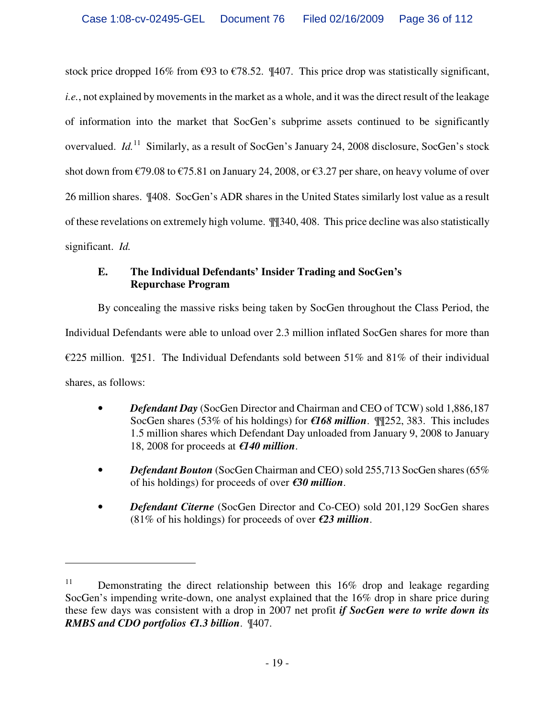stock price dropped 16% from  $\epsilon$ 93 to  $\epsilon$ 78.52. ¶407. This price drop was statistically significant, *i.e.*, not explained by movements in the market as a whole, and it was the direct result of the leakage of information into the market that SocGen's subprime assets continued to be significantly overvalued. *Id.*<sup>11</sup> Similarly, as a result of SocGen's January 24, 2008 disclosure, SocGen's stock shot down from  $\epsilon$ 79.08 to  $\epsilon$ 75.81 on January 24, 2008, or  $\epsilon$ 3.27 per share, on heavy volume of over 26 million shares. ¶408. SocGen's ADR shares in the United States similarly lost value as a result of these revelations on extremely high volume. ¶¶340, 408. This price decline was also statistically significant. *Id.*

### **E. The Individual Defendants' Insider Trading and SocGen's Repurchase Program**

By concealing the massive risks being taken by SocGen throughout the Class Period, the Individual Defendants were able to unload over 2.3 million inflated SocGen shares for more than €225 million.  $\P$ 251. The Individual Defendants sold between 51% and 81% of their individual shares, as follows:

- *Defendant Day* (SocGen Director and Chairman and CEO of TCW) sold 1,886,187 SocGen shares (53% of his holdings) for *€168 million*. ¶¶252, 383. This includes 1.5 million shares which Defendant Day unloaded from January 9, 2008 to January 18, 2008 for proceeds at *€140 million*.
- *Defendant Bouton* (SocGen Chairman and CEO) sold 255,713 SocGen shares (65% of his holdings) for proceeds of over *€30 million*.
- *Defendant Citerne* (SocGen Director and Co-CEO) sold 201,129 SocGen shares (81% of his holdings) for proceeds of over *€23 million*.

<u>.</u>

<sup>&</sup>lt;sup>11</sup> Demonstrating the direct relationship between this  $16\%$  drop and leakage regarding SocGen's impending write-down, one analyst explained that the 16% drop in share price during these few days was consistent with a drop in 2007 net profit *if SocGen were to write down its RMBS and CDO portfolios €1.3 billion*. ¶407.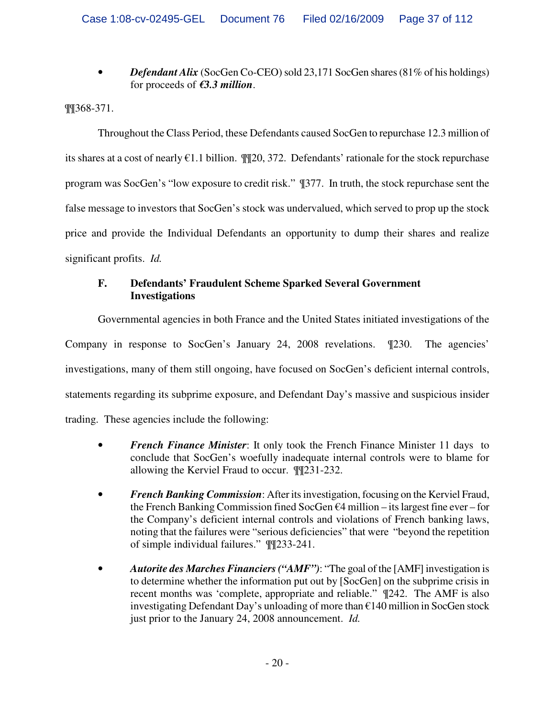• *Defendant Alix* (SocGen Co-CEO) sold 23,171 SocGen shares (81% of his holdings) for proceeds of *€3.3 million*.

¶¶368-371.

Throughout the Class Period, these Defendants caused SocGen to repurchase 12.3 million of its shares at a cost of nearly €1.1 billion. ¶¶20, 372. Defendants' rationale for the stock repurchase program was SocGen's "low exposure to credit risk." ¶377. In truth, the stock repurchase sent the false message to investors that SocGen's stock was undervalued, which served to prop up the stock price and provide the Individual Defendants an opportunity to dump their shares and realize significant profits. *Id.*

# **F. Defendants' Fraudulent Scheme Sparked Several Government Investigations**

Governmental agencies in both France and the United States initiated investigations of the Company in response to SocGen's January 24, 2008 revelations. ¶230. The agencies' investigations, many of them still ongoing, have focused on SocGen's deficient internal controls, statements regarding its subprime exposure, and Defendant Day's massive and suspicious insider trading. These agencies include the following:

- *French Finance Minister*: It only took the French Finance Minister 11 days to conclude that SocGen's woefully inadequate internal controls were to blame for allowing the Kerviel Fraud to occur. ¶¶231-232.
- *French Banking Commission*: After its investigation, focusing on the Kerviel Fraud, the French Banking Commission fined SocGen  $\epsilon$ 4 million – its largest fine ever – for the Company's deficient internal controls and violations of French banking laws, noting that the failures were "serious deficiencies" that were "beyond the repetition of simple individual failures." ¶¶233-241.
- *Autorite des Marches Financiers ("AMF")*: "The goal of the [AMF] investigation is to determine whether the information put out by [SocGen] on the subprime crisis in recent months was 'complete, appropriate and reliable." ¶242. The AMF is also investigating Defendant Day's unloading of more than €140 million in SocGen stock just prior to the January 24, 2008 announcement. *Id.*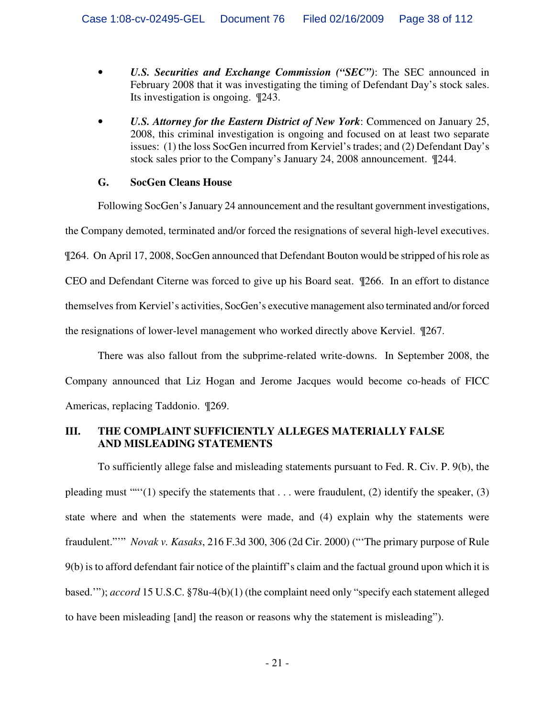- *U.S. Securities and Exchange Commission ("SEC")*: The SEC announced in February 2008 that it was investigating the timing of Defendant Day's stock sales. Its investigation is ongoing. ¶243.
- *U.S. Attorney for the Eastern District of New York*: Commenced on January 25, 2008, this criminal investigation is ongoing and focused on at least two separate issues: (1) the loss SocGen incurred from Kerviel's trades; and (2) Defendant Day's stock sales prior to the Company's January 24, 2008 announcement. ¶244.

#### **G. SocGen Cleans House**

Following SocGen's January 24 announcement and the resultant government investigations,

the Company demoted, terminated and/or forced the resignations of several high-level executives. ¶264. On April 17, 2008, SocGen announced that Defendant Bouton would be stripped of his role as CEO and Defendant Citerne was forced to give up his Board seat. ¶266. In an effort to distance themselves from Kerviel's activities, SocGen's executive management also terminated and/or forced

the resignations of lower-level management who worked directly above Kerviel. ¶267.

There was also fallout from the subprime-related write-downs. In September 2008, the Company announced that Liz Hogan and Jerome Jacques would become co-heads of FICC Americas, replacing Taddonio. ¶269.

### **III. THE COMPLAINT SUFFICIENTLY ALLEGES MATERIALLY FALSE AND MISLEADING STATEMENTS**

To sufficiently allege false and misleading statements pursuant to Fed. R. Civ. P. 9(b), the pleading must  $\cdots$  (1) specify the statements that  $\cdots$  were fraudulent, (2) identify the speaker, (3) state where and when the statements were made, and (4) explain why the statements were fraudulent."'" *Novak v. Kasaks*, 216 F.3d 300, 306 (2d Cir. 2000) ("'The primary purpose of Rule 9(b) is to afford defendant fair notice of the plaintiff's claim and the factual ground upon which it is based.'"); *accord* 15 U.S.C. §78u-4(b)(1) (the complaint need only "specify each statement alleged to have been misleading [and] the reason or reasons why the statement is misleading").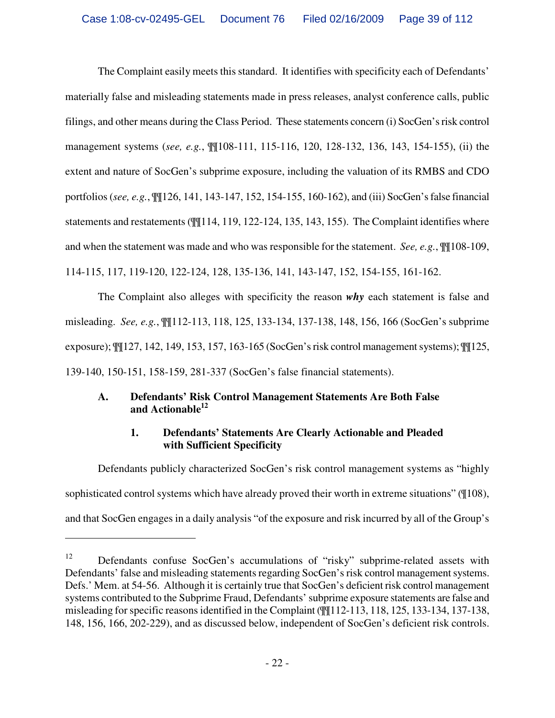The Complaint easily meets this standard. It identifies with specificity each of Defendants' materially false and misleading statements made in press releases, analyst conference calls, public filings, and other means during the Class Period. These statements concern (i) SocGen's risk control management systems (*see, e.g.*, ¶¶108-111, 115-116, 120, 128-132, 136, 143, 154-155), (ii) the extent and nature of SocGen's subprime exposure, including the valuation of its RMBS and CDO portfolios (*see, e.g.*, ¶¶126, 141, 143-147, 152, 154-155, 160-162), and (iii) SocGen's false financial statements and restatements (¶¶114, 119, 122-124, 135, 143, 155). The Complaint identifies where and when the statement was made and who was responsible for the statement. *See, e.g.*, ¶¶108-109, 114-115, 117, 119-120, 122-124, 128, 135-136, 141, 143-147, 152, 154-155, 161-162.

The Complaint also alleges with specificity the reason *why* each statement is false and misleading. *See, e.g.*, ¶¶112-113, 118, 125, 133-134, 137-138, 148, 156, 166 (SocGen's subprime exposure); ¶¶127, 142, 149, 153, 157, 163-165 (SocGen's risk control management systems); ¶¶125, 139-140, 150-151, 158-159, 281-337 (SocGen's false financial statements).

# **A. Defendants' Risk Control Management Statements Are Both False and Actionable<sup>12</sup>**

## **1. Defendants' Statements Are Clearly Actionable and Pleaded with Sufficient Specificity**

Defendants publicly characterized SocGen's risk control management systems as "highly sophisticated control systems which have already proved their worth in extreme situations" (¶108), and that SocGen engages in a daily analysis "of the exposure and risk incurred by all of the Group's

1

<sup>&</sup>lt;sup>12</sup> Defendants confuse SocGen's accumulations of "risky" subprime-related assets with Defendants' false and misleading statements regarding SocGen's risk control management systems. Defs.' Mem. at 54-56. Although it is certainly true that SocGen's deficient risk control management systems contributed to the Subprime Fraud, Defendants' subprime exposure statements are false and misleading for specific reasons identified in the Complaint (¶¶112-113, 118, 125, 133-134, 137-138, 148, 156, 166, 202-229), and as discussed below, independent of SocGen's deficient risk controls.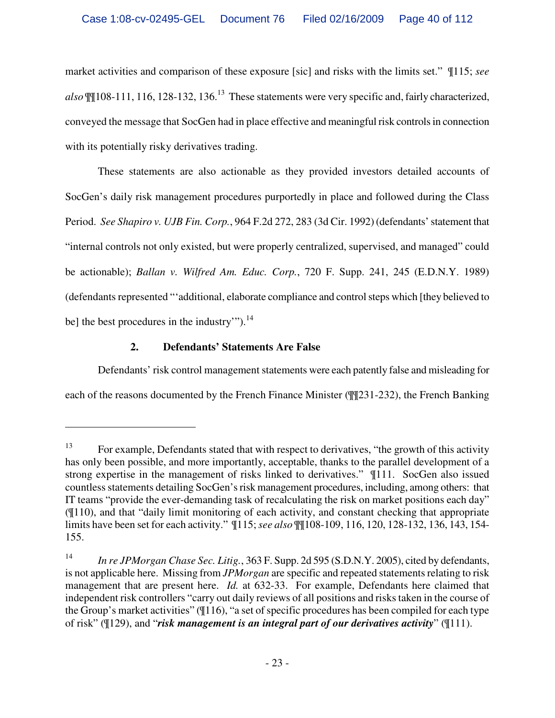market activities and comparison of these exposure [sic] and risks with the limits set." ¶115; *see also* ¶¶108-111, 116, 128-132, 136.<sup>13</sup> These statements were very specific and, fairly characterized, conveyed the message that SocGen had in place effective and meaningful risk controls in connection with its potentially risky derivatives trading.

These statements are also actionable as they provided investors detailed accounts of SocGen's daily risk management procedures purportedly in place and followed during the Class Period. *See Shapiro v. UJB Fin. Corp.*, 964 F.2d 272, 283 (3d Cir. 1992) (defendants' statement that "internal controls not only existed, but were properly centralized, supervised, and managed" could be actionable); *Ballan v. Wilfred Am. Educ. Corp.*, 720 F. Supp. 241, 245 (E.D.N.Y. 1989) (defendants represented "'additional, elaborate compliance and control steps which [they believed to be] the best procedures in the industry"" $\cdot$ <sup>14</sup>

## **2. Defendants' Statements Are False**

 $\overline{a}$ 

Defendants' risk control management statements were each patently false and misleading for each of the reasons documented by the French Finance Minister (¶¶231-232), the French Banking

 $13$  For example, Defendants stated that with respect to derivatives, "the growth of this activity has only been possible, and more importantly, acceptable, thanks to the parallel development of a strong expertise in the management of risks linked to derivatives." ¶111. SocGen also issued countless statements detailing SocGen's risk management procedures, including, among others: that IT teams "provide the ever-demanding task of recalculating the risk on market positions each day" (¶110), and that "daily limit monitoring of each activity, and constant checking that appropriate limits have been set for each activity." ¶115; *see also* ¶¶108-109, 116, 120, 128-132, 136, 143, 154- 155.

<sup>14</sup> *In re JPMorgan Chase Sec. Litig.*, 363 F. Supp. 2d 595 (S.D.N.Y. 2005), cited by defendants, is not applicable here. Missing from *JPMorgan* are specific and repeated statements relating to risk management that are present here. *Id.* at 632-33. For example, Defendants here claimed that independent risk controllers "carry out daily reviews of all positions and risks taken in the course of the Group's market activities" (¶116), "a set of specific procedures has been compiled for each type of risk" (¶129), and "*risk management is an integral part of our derivatives activity*" (¶111).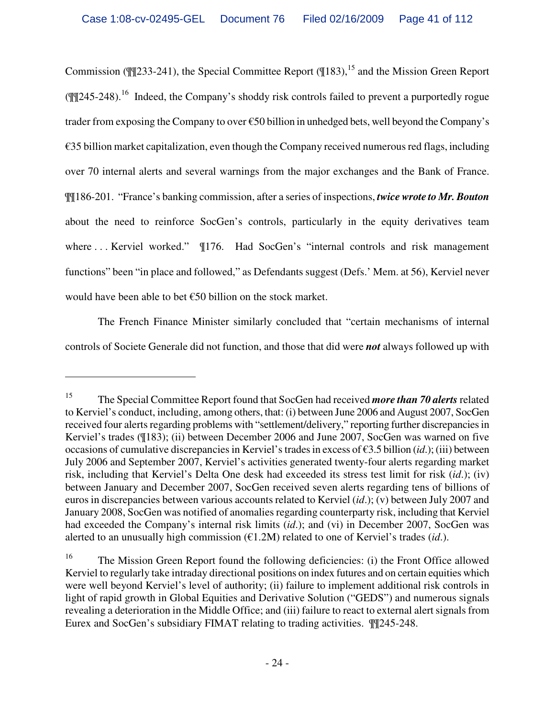Commission ( $\mathbb{I}$ [233-241), the Special Committee Report ( $\mathbb{I}$ 183), <sup>15</sup> and the Mission Green Report  $(\mathbb{Z}/245\text{-}248).$ <sup>16</sup> Indeed, the Company's shoddy risk controls failed to prevent a purportedly rogue trader from exposing the Company to over €50 billion in unhedged bets, well beyond the Company's €35 billion market capitalization, even though the Company received numerous red flags, including over 70 internal alerts and several warnings from the major exchanges and the Bank of France. ¶¶186-201. "France's banking commission, after a series of inspections, *twice wrote to Mr. Bouton*  about the need to reinforce SocGen's controls, particularly in the equity derivatives team where ... Kerviel worked."  $\P176$ . Had SocGen's "internal controls and risk management functions" been "in place and followed," as Defendants suggest (Defs.' Mem. at 56), Kerviel never would have been able to bet €50 billion on the stock market.

The French Finance Minister similarly concluded that "certain mechanisms of internal controls of Societe Generale did not function, and those that did were *not* always followed up with

<sup>15</sup> The Special Committee Report found that SocGen had received *more than 70 alerts* related to Kerviel's conduct, including, among others, that: (i) between June 2006 and August 2007, SocGen received four alerts regarding problems with "settlement/delivery," reporting further discrepancies in Kerviel's trades (¶183); (ii) between December 2006 and June 2007, SocGen was warned on five occasions of cumulative discrepancies in Kerviel's trades in excess of €3.5 billion (*id*.); (iii) between July 2006 and September 2007, Kerviel's activities generated twenty-four alerts regarding market risk, including that Kerviel's Delta One desk had exceeded its stress test limit for risk (*id*.); (iv) between January and December 2007, SocGen received seven alerts regarding tens of billions of euros in discrepancies between various accounts related to Kerviel (*id*.); (v) between July 2007 and January 2008, SocGen was notified of anomalies regarding counterparty risk, including that Kerviel had exceeded the Company's internal risk limits (*id*.); and (vi) in December 2007, SocGen was alerted to an unusually high commission (€1.2M) related to one of Kerviel's trades (*id*.).

<sup>&</sup>lt;sup>16</sup> The Mission Green Report found the following deficiencies: (i) the Front Office allowed Kerviel to regularly take intraday directional positions on index futures and on certain equities which were well beyond Kerviel's level of authority; (ii) failure to implement additional risk controls in light of rapid growth in Global Equities and Derivative Solution ("GEDS") and numerous signals revealing a deterioration in the Middle Office; and (iii) failure to react to external alert signals from Eurex and SocGen's subsidiary FIMAT relating to trading activities. ¶¶245-248.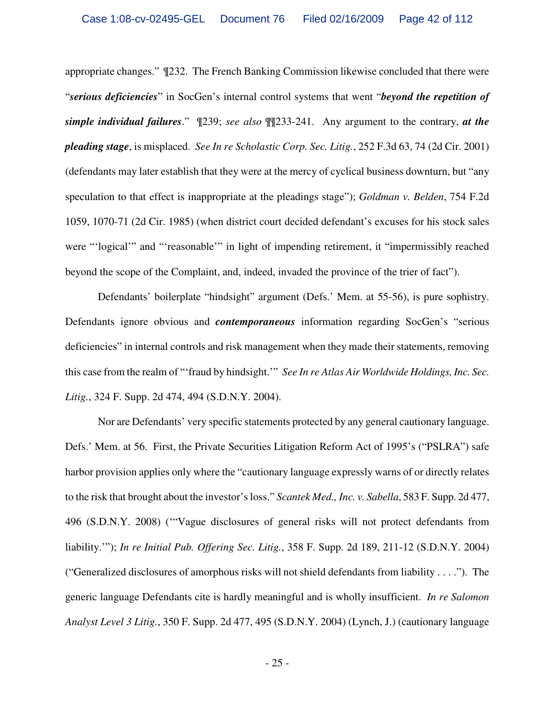appropriate changes." ¶232. The French Banking Commission likewise concluded that there were "*serious deficiencies*" in SocGen's internal control systems that went "*beyond the repetition of simple individual failures*." ¶239; *see also* ¶¶233-241. Any argument to the contrary, *at the pleading stage*, is misplaced. *See In re Scholastic Corp. Sec. Litig.*, 252 F.3d 63, 74 (2d Cir. 2001) (defendants may later establish that they were at the mercy of cyclical business downturn, but "any speculation to that effect is inappropriate at the pleadings stage"); *Goldman v. Belden*, 754 F.2d 1059, 1070-71 (2d Cir. 1985) (when district court decided defendant's excuses for his stock sales were "'logical'" and "'reasonable'" in light of impending retirement, it "impermissibly reached beyond the scope of the Complaint, and, indeed, invaded the province of the trier of fact").

Defendants' boilerplate "hindsight" argument (Defs.' Mem. at 55-56), is pure sophistry. Defendants ignore obvious and *contemporaneous* information regarding SocGen's "serious deficiencies" in internal controls and risk management when they made their statements, removing this case from the realm of "'fraud by hindsight.'" *See In re Atlas Air Worldwide Holdings, Inc. Sec. Litig.*, 324 F. Supp. 2d 474, 494 (S.D.N.Y. 2004).

Nor are Defendants' very specific statements protected by any general cautionary language. Defs.' Mem. at 56. First, the Private Securities Litigation Reform Act of 1995's ("PSLRA") safe harbor provision applies only where the "cautionary language expressly warns of or directly relates to the risk that brought about the investor's loss." *Scantek Med., Inc. v. Sabella*, 583 F. Supp. 2d 477, 496 (S.D.N.Y. 2008) ('"Vague disclosures of general risks will not protect defendants from liability.'"); *In re Initial Pub. Offering Sec. Litig.*, 358 F. Supp. 2d 189, 211-12 (S.D.N.Y. 2004) ("Generalized disclosures of amorphous risks will not shield defendants from liability . . . ."). The generic language Defendants cite is hardly meaningful and is wholly insufficient. *In re Salomon Analyst Level 3 Litig.*, 350 F. Supp. 2d 477, 495 (S.D.N.Y. 2004) (Lynch, J.) (cautionary language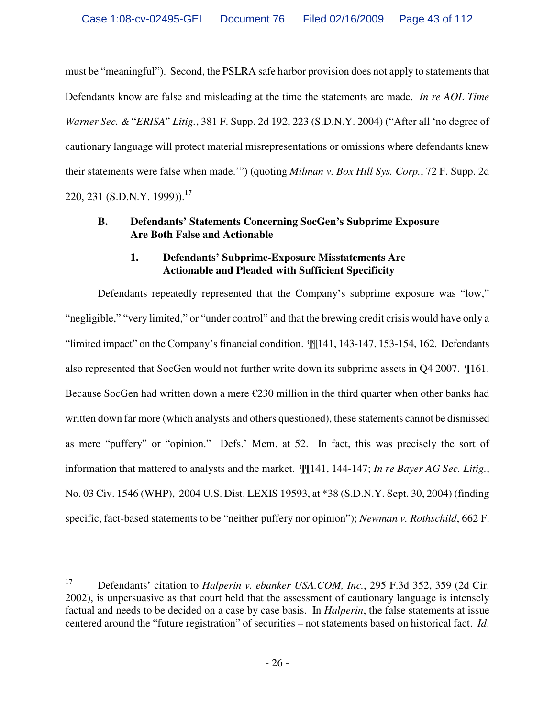must be "meaningful"). Second, the PSLRA safe harbor provision does not apply to statements that Defendants know are false and misleading at the time the statements are made. *In re AOL Time Warner Sec. &* "*ERISA*" *Litig.*, 381 F. Supp. 2d 192, 223 (S.D.N.Y. 2004) ("After all 'no degree of cautionary language will protect material misrepresentations or omissions where defendants knew their statements were false when made.'") (quoting *Milman v. Box Hill Sys. Corp.*, 72 F. Supp. 2d 220, 231 (S.D.N.Y. 1999)).<sup>17</sup>

## **B. Defendants' Statements Concerning SocGen's Subprime Exposure Are Both False and Actionable**

## **1. Defendants' Subprime-Exposure Misstatements Are Actionable and Pleaded with Sufficient Specificity**

Defendants repeatedly represented that the Company's subprime exposure was "low," "negligible," "very limited," or "under control" and that the brewing credit crisis would have only a "limited impact" on the Company's financial condition. ¶¶141, 143-147, 153-154, 162. Defendants also represented that SocGen would not further write down its subprime assets in Q4 2007. ¶161. Because SocGen had written down a mere  $\epsilon$ 230 million in the third quarter when other banks had written down far more (which analysts and others questioned), these statements cannot be dismissed as mere "puffery" or "opinion." Defs.' Mem. at 52. In fact, this was precisely the sort of information that mattered to analysts and the market. ¶¶141, 144-147; *In re Bayer AG Sec. Litig.*, No. 03 Civ. 1546 (WHP), 2004 U.S. Dist. LEXIS 19593, at \*38 (S.D.N.Y. Sept. 30, 2004) (finding specific, fact-based statements to be "neither puffery nor opinion"); *Newman v. Rothschild*, 662 F.

<sup>17</sup> Defendants' citation to *Halperin v. ebanker USA.COM, Inc.*, 295 F.3d 352, 359 (2d Cir. 2002), is unpersuasive as that court held that the assessment of cautionary language is intensely factual and needs to be decided on a case by case basis. In *Halperin*, the false statements at issue centered around the "future registration" of securities – not statements based on historical fact. *Id*.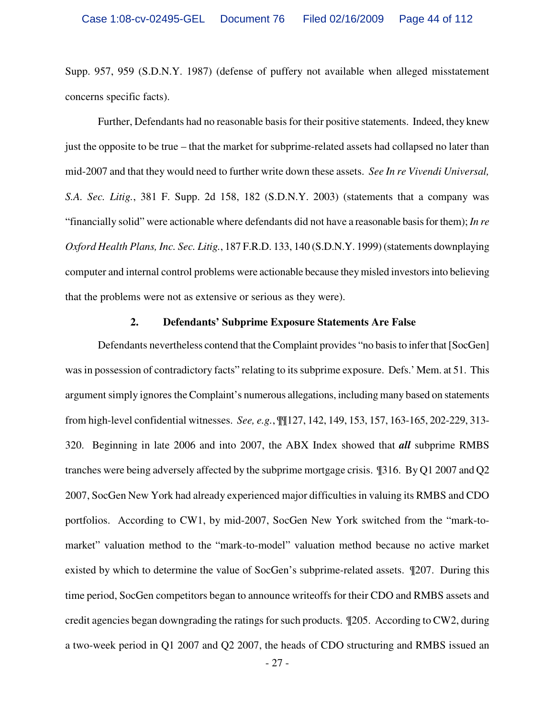Supp. 957, 959 (S.D.N.Y. 1987) (defense of puffery not available when alleged misstatement concerns specific facts).

Further, Defendants had no reasonable basis for their positive statements. Indeed, they knew just the opposite to be true – that the market for subprime-related assets had collapsed no later than mid-2007 and that they would need to further write down these assets. *See In re Vivendi Universal, S.A. Sec. Litig.*, 381 F. Supp. 2d 158, 182 (S.D.N.Y. 2003) (statements that a company was "financially solid" were actionable where defendants did not have a reasonable basis for them); *In re Oxford Health Plans, Inc. Sec. Litig.*, 187 F.R.D. 133, 140 (S.D.N.Y. 1999) (statements downplaying computer and internal control problems were actionable because they misled investors into believing that the problems were not as extensive or serious as they were).

#### **2. Defendants' Subprime Exposure Statements Are False**

Defendants nevertheless contend that the Complaint provides "no basis to infer that [SocGen] was in possession of contradictory facts" relating to its subprime exposure. Defs.' Mem. at 51. This argument simply ignores the Complaint's numerous allegations, including many based on statements from high-level confidential witnesses. *See, e.g.*, ¶¶127, 142, 149, 153, 157, 163-165, 202-229, 313- 320. Beginning in late 2006 and into 2007, the ABX Index showed that *all* subprime RMBS tranches were being adversely affected by the subprime mortgage crisis. ¶316. By Q1 2007 and Q2 2007, SocGen New York had already experienced major difficulties in valuing its RMBS and CDO portfolios. According to CW1, by mid-2007, SocGen New York switched from the "mark-tomarket" valuation method to the "mark-to-model" valuation method because no active market existed by which to determine the value of SocGen's subprime-related assets. ¶207. During this time period, SocGen competitors began to announce writeoffs for their CDO and RMBS assets and credit agencies began downgrading the ratings for such products. ¶205. According to CW2, during a two-week period in Q1 2007 and Q2 2007, the heads of CDO structuring and RMBS issued an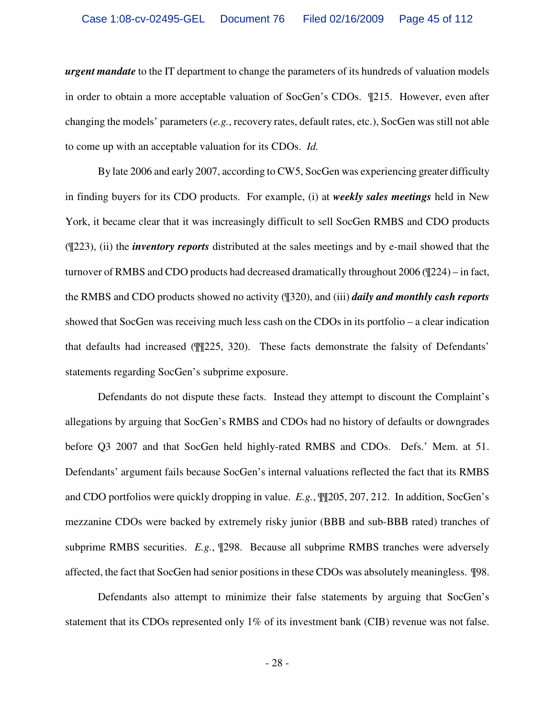*urgent mandate* to the IT department to change the parameters of its hundreds of valuation models in order to obtain a more acceptable valuation of SocGen's CDOs. ¶215. However, even after changing the models' parameters (*e.g.*, recovery rates, default rates, etc.), SocGen was still not able to come up with an acceptable valuation for its CDOs. *Id.*

By late 2006 and early 2007, according to CW5, SocGen was experiencing greater difficulty in finding buyers for its CDO products. For example, (i) at *weekly sales meetings* held in New York, it became clear that it was increasingly difficult to sell SocGen RMBS and CDO products (¶223), (ii) the *inventory reports* distributed at the sales meetings and by e-mail showed that the turnover of RMBS and CDO products had decreased dramatically throughout 2006 (¶224) – in fact, the RMBS and CDO products showed no activity (¶320), and (iii) *daily and monthly cash reports*  showed that SocGen was receiving much less cash on the CDOs in its portfolio – a clear indication that defaults had increased (¶¶225, 320). These facts demonstrate the falsity of Defendants' statements regarding SocGen's subprime exposure.

Defendants do not dispute these facts. Instead they attempt to discount the Complaint's allegations by arguing that SocGen's RMBS and CDOs had no history of defaults or downgrades before Q3 2007 and that SocGen held highly-rated RMBS and CDOs. Defs.' Mem. at 51. Defendants' argument fails because SocGen's internal valuations reflected the fact that its RMBS and CDO portfolios were quickly dropping in value. *E.g.*, ¶¶205, 207, 212. In addition, SocGen's mezzanine CDOs were backed by extremely risky junior (BBB and sub-BBB rated) tranches of subprime RMBS securities. *E.g.*, ¶298. Because all subprime RMBS tranches were adversely affected, the fact that SocGen had senior positions in these CDOs was absolutely meaningless. ¶98.

Defendants also attempt to minimize their false statements by arguing that SocGen's statement that its CDOs represented only 1% of its investment bank (CIB) revenue was not false.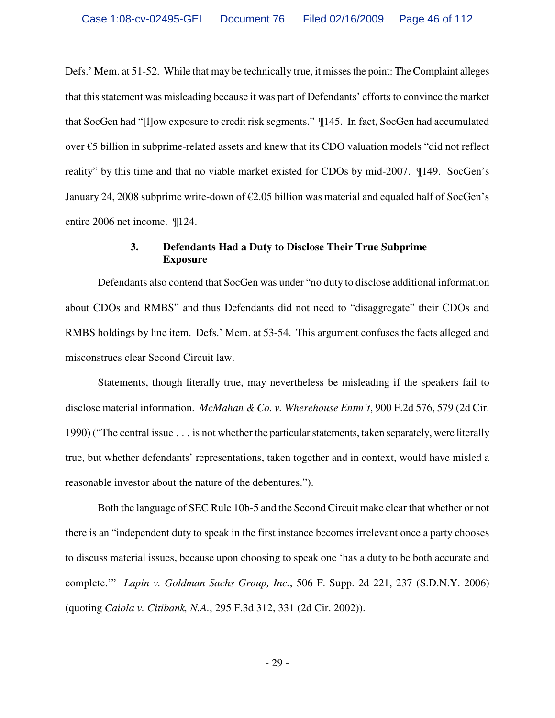Defs.' Mem. at 51-52. While that may be technically true, it misses the point: The Complaint alleges that this statement was misleading because it was part of Defendants' efforts to convince the market that SocGen had "[l]ow exposure to credit risk segments." ¶145. In fact, SocGen had accumulated over  $\epsilon$ 5 billion in subprime-related assets and knew that its CDO valuation models "did not reflect" reality" by this time and that no viable market existed for CDOs by mid-2007. ¶149. SocGen's January 24, 2008 subprime write-down of €2.05 billion was material and equaled half of SocGen's entire 2006 net income. ¶124.

#### **3. Defendants Had a Duty to Disclose Their True Subprime Exposure**

Defendants also contend that SocGen was under "no duty to disclose additional information about CDOs and RMBS" and thus Defendants did not need to "disaggregate" their CDOs and RMBS holdings by line item. Defs.' Mem. at 53-54. This argument confuses the facts alleged and misconstrues clear Second Circuit law.

Statements, though literally true, may nevertheless be misleading if the speakers fail to disclose material information. *McMahan & Co. v. Wherehouse Entm't*, 900 F.2d 576, 579 (2d Cir. 1990) ("The central issue . . . is not whether the particular statements, taken separately, were literally true, but whether defendants' representations, taken together and in context, would have misled a reasonable investor about the nature of the debentures.").

Both the language of SEC Rule 10b-5 and the Second Circuit make clear that whether or not there is an "independent duty to speak in the first instance becomes irrelevant once a party chooses to discuss material issues, because upon choosing to speak one 'has a duty to be both accurate and complete.'" *Lapin v. Goldman Sachs Group, Inc.*, 506 F. Supp. 2d 221, 237 (S.D.N.Y. 2006) (quoting *Caiola v. Citibank, N.A.*, 295 F.3d 312, 331 (2d Cir. 2002)).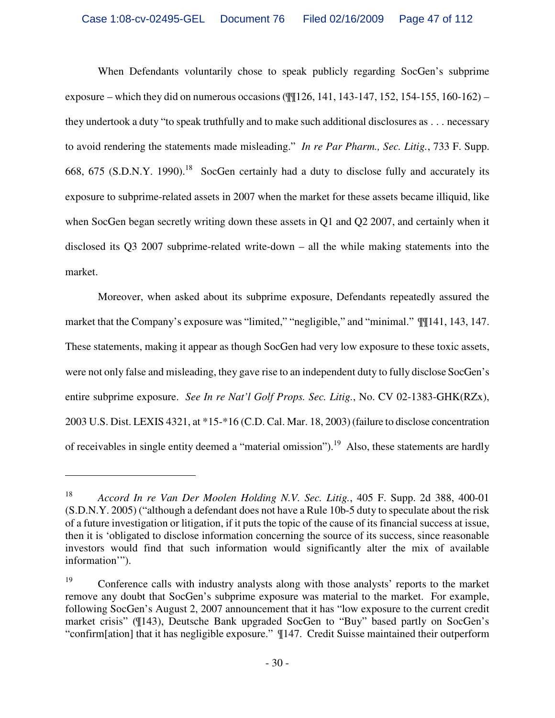When Defendants voluntarily chose to speak publicly regarding SocGen's subprime exposure – which they did on numerous occasions ( $\sqrt{\frac{1}{126}}$ , 141, 143-147, 152, 154-155, 160-162) – they undertook a duty "to speak truthfully and to make such additional disclosures as . . . necessary to avoid rendering the statements made misleading." *In re Par Pharm., Sec. Litig.*, 733 F. Supp. 668, 675 (S.D.N.Y. 1990).<sup>18</sup> SocGen certainly had a duty to disclose fully and accurately its exposure to subprime-related assets in 2007 when the market for these assets became illiquid, like when SocGen began secretly writing down these assets in Q1 and Q2 2007, and certainly when it disclosed its Q3 2007 subprime-related write-down – all the while making statements into the market.

Moreover, when asked about its subprime exposure, Defendants repeatedly assured the market that the Company's exposure was "limited," "negligible," and "minimal."  $\P\P141, 143, 147$ . These statements, making it appear as though SocGen had very low exposure to these toxic assets, were not only false and misleading, they gave rise to an independent duty to fully disclose SocGen's entire subprime exposure. *See In re Nat'l Golf Props. Sec. Litig.*, No. CV 02-1383-GHK(RZx), 2003 U.S. Dist. LEXIS 4321, at \*15-\*16 (C.D. Cal. Mar. 18, 2003) (failure to disclose concentration of receivables in single entity deemed a "material omission").<sup>19</sup> Also, these statements are hardly

<sup>18</sup> *Accord In re Van Der Moolen Holding N.V. Sec. Litig.*, 405 F. Supp. 2d 388, 400-01 (S.D.N.Y. 2005) ("although a defendant does not have a Rule 10b-5 duty to speculate about the risk of a future investigation or litigation, if it puts the topic of the cause of its financial success at issue, then it is 'obligated to disclose information concerning the source of its success, since reasonable investors would find that such information would significantly alter the mix of available information'").

<sup>&</sup>lt;sup>19</sup> Conference calls with industry analysts along with those analysts' reports to the market remove any doubt that SocGen's subprime exposure was material to the market. For example, following SocGen's August 2, 2007 announcement that it has "low exposure to the current credit market crisis" (¶143), Deutsche Bank upgraded SocGen to "Buy" based partly on SocGen's "confirm[ation] that it has negligible exposure." ¶147. Credit Suisse maintained their outperform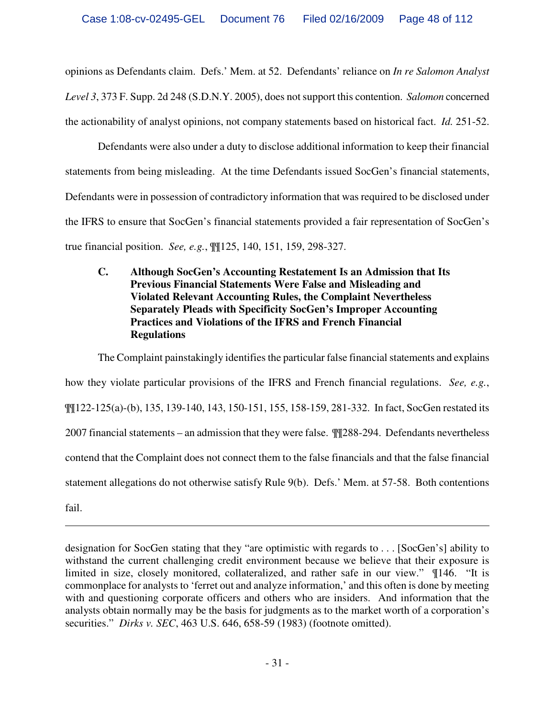opinions as Defendants claim. Defs.' Mem. at 52. Defendants' reliance on *In re Salomon Analyst Level 3*, 373 F. Supp. 2d 248 (S.D.N.Y. 2005), does not support this contention. *Salomon* concerned the actionability of analyst opinions, not company statements based on historical fact. *Id.* 251-52.

Defendants were also under a duty to disclose additional information to keep their financial statements from being misleading. At the time Defendants issued SocGen's financial statements, Defendants were in possession of contradictory information that was required to be disclosed under the IFRS to ensure that SocGen's financial statements provided a fair representation of SocGen's true financial position. *See, e.g.*, ¶¶125, 140, 151, 159, 298-327.

## **C. Although SocGen's Accounting Restatement Is an Admission that Its Previous Financial Statements Were False and Misleading and Violated Relevant Accounting Rules, the Complaint Nevertheless Separately Pleads with Specificity SocGen's Improper Accounting Practices and Violations of the IFRS and French Financial Regulations**

The Complaint painstakingly identifies the particular false financial statements and explains how they violate particular provisions of the IFRS and French financial regulations. *See, e.g.*, ¶¶122-125(a)-(b), 135, 139-140, 143, 150-151, 155, 158-159, 281-332. In fact, SocGen restated its 2007 financial statements – an admission that they were false. ¶¶288-294. Defendants nevertheless contend that the Complaint does not connect them to the false financials and that the false financial statement allegations do not otherwise satisfy Rule 9(b). Defs.' Mem. at 57-58. Both contentions

fail.

designation for SocGen stating that they "are optimistic with regards to . . . [SocGen's] ability to withstand the current challenging credit environment because we believe that their exposure is limited in size, closely monitored, collateralized, and rather safe in our view." ¶146. "It is commonplace for analysts to 'ferret out and analyze information,' and this often is done by meeting with and questioning corporate officers and others who are insiders. And information that the analysts obtain normally may be the basis for judgments as to the market worth of a corporation's securities." *Dirks v. SEC*, 463 U.S. 646, 658-59 (1983) (footnote omitted).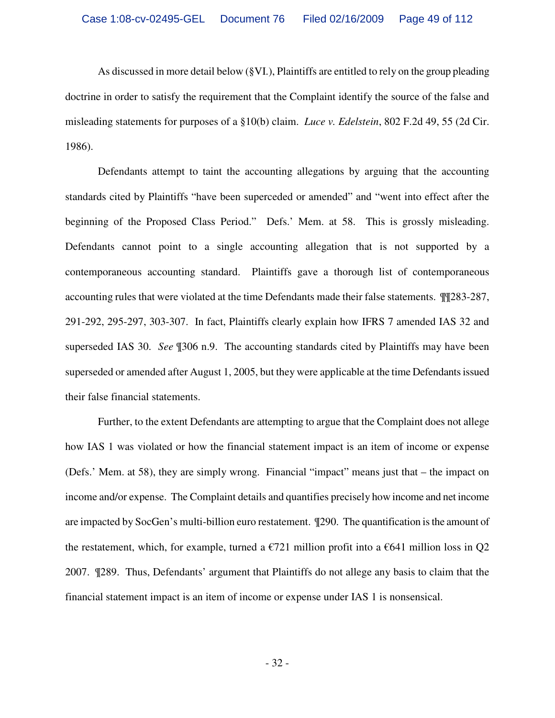As discussed in more detail below (§VI.), Plaintiffs are entitled to rely on the group pleading doctrine in order to satisfy the requirement that the Complaint identify the source of the false and misleading statements for purposes of a §10(b) claim. *Luce v. Edelstein*, 802 F.2d 49, 55 (2d Cir. 1986).

Defendants attempt to taint the accounting allegations by arguing that the accounting standards cited by Plaintiffs "have been superceded or amended" and "went into effect after the beginning of the Proposed Class Period." Defs.' Mem. at 58. This is grossly misleading. Defendants cannot point to a single accounting allegation that is not supported by a contemporaneous accounting standard. Plaintiffs gave a thorough list of contemporaneous accounting rules that were violated at the time Defendants made their false statements. ¶¶283-287, 291-292, 295-297, 303-307. In fact, Plaintiffs clearly explain how IFRS 7 amended IAS 32 and superseded IAS 30. *See* ¶306 n.9. The accounting standards cited by Plaintiffs may have been superseded or amended after August 1, 2005, but they were applicable at the time Defendants issued their false financial statements.

Further, to the extent Defendants are attempting to argue that the Complaint does not allege how IAS 1 was violated or how the financial statement impact is an item of income or expense (Defs.' Mem. at 58), they are simply wrong. Financial "impact" means just that – the impact on income and/or expense. The Complaint details and quantifies precisely how income and net income are impacted by SocGen's multi-billion euro restatement. ¶290. The quantification is the amount of the restatement, which, for example, turned a  $\epsilon$ 721 million profit into a  $\epsilon$ 641 million loss in Q2 2007. ¶289. Thus, Defendants' argument that Plaintiffs do not allege any basis to claim that the financial statement impact is an item of income or expense under IAS 1 is nonsensical.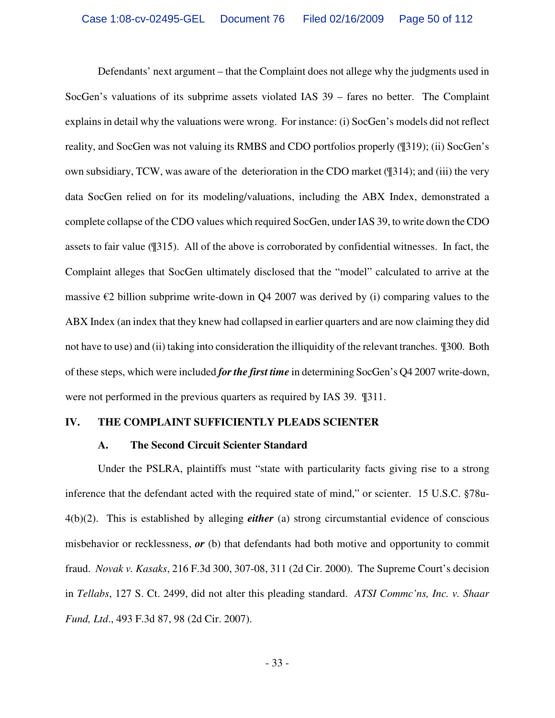Defendants' next argument – that the Complaint does not allege why the judgments used in SocGen's valuations of its subprime assets violated IAS 39 – fares no better. The Complaint explains in detail why the valuations were wrong. For instance: (i) SocGen's models did not reflect reality, and SocGen was not valuing its RMBS and CDO portfolios properly (¶319); (ii) SocGen's own subsidiary, TCW, was aware of the deterioration in the CDO market (¶314); and (iii) the very data SocGen relied on for its modeling/valuations, including the ABX Index, demonstrated a complete collapse of the CDO values which required SocGen, under IAS 39, to write down the CDO assets to fair value (¶315). All of the above is corroborated by confidential witnesses. In fact, the Complaint alleges that SocGen ultimately disclosed that the "model" calculated to arrive at the massive  $\epsilon$ 2 billion subprime write-down in Q4 2007 was derived by (i) comparing values to the ABX Index (an index that they knew had collapsed in earlier quarters and are now claiming they did not have to use) and (ii) taking into consideration the illiquidity of the relevant tranches. ¶300. Both of these steps, which were included *for the first time* in determining SocGen's Q4 2007 write-down, were not performed in the previous quarters as required by IAS 39. ¶311.

#### **IV. THE COMPLAINT SUFFICIENTLY PLEADS SCIENTER**

#### **A. The Second Circuit Scienter Standard**

Under the PSLRA, plaintiffs must "state with particularity facts giving rise to a strong inference that the defendant acted with the required state of mind," or scienter. 15 U.S.C. §78u-4(b)(2). This is established by alleging *either* (a) strong circumstantial evidence of conscious misbehavior or recklessness, *or* (b) that defendants had both motive and opportunity to commit fraud. *Novak v. Kasaks*, 216 F.3d 300, 307-08, 311 (2d Cir. 2000). The Supreme Court's decision in *Tellabs*, 127 S. Ct. 2499, did not alter this pleading standard. *ATSI Commc'ns, Inc. v. Shaar Fund, Ltd*., 493 F.3d 87, 98 (2d Cir. 2007).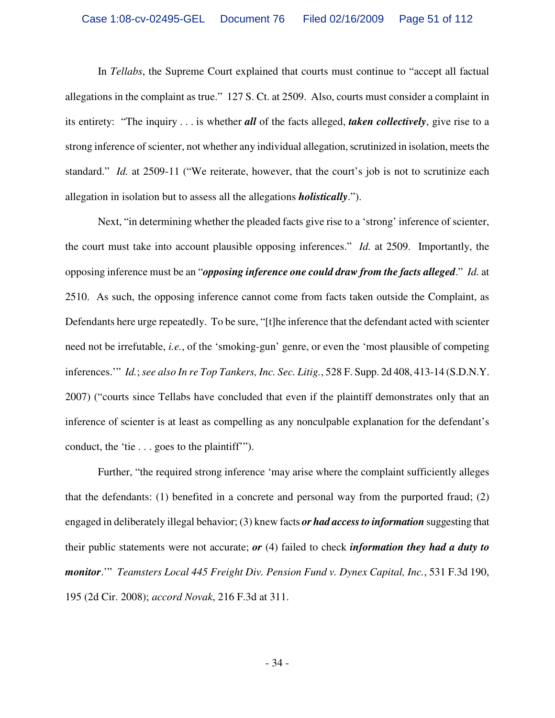In *Tellabs*, the Supreme Court explained that courts must continue to "accept all factual allegations in the complaint as true." 127 S. Ct. at 2509. Also, courts must consider a complaint in its entirety: "The inquiry . . . is whether *all* of the facts alleged, *taken collectively*, give rise to a strong inference of scienter, not whether any individual allegation, scrutinized in isolation, meets the standard." *Id.* at 2509-11 ("We reiterate, however, that the court's job is not to scrutinize each allegation in isolation but to assess all the allegations *holistically*.").

Next, "in determining whether the pleaded facts give rise to a 'strong' inference of scienter, the court must take into account plausible opposing inferences." *Id.* at 2509. Importantly, the opposing inference must be an "*opposing inference one could draw from the facts alleged*." *Id.* at 2510. As such, the opposing inference cannot come from facts taken outside the Complaint, as Defendants here urge repeatedly. To be sure, "[t]he inference that the defendant acted with scienter need not be irrefutable, *i.e.*, of the 'smoking-gun' genre, or even the 'most plausible of competing inferences.'" *Id.*; *see also In re Top Tankers, Inc. Sec. Litig.*, 528 F. Supp. 2d 408, 413-14 (S.D.N.Y. 2007) ("courts since Tellabs have concluded that even if the plaintiff demonstrates only that an inference of scienter is at least as compelling as any nonculpable explanation for the defendant's conduct, the 'tie . . . goes to the plaintiff'").

Further, "the required strong inference 'may arise where the complaint sufficiently alleges that the defendants: (1) benefited in a concrete and personal way from the purported fraud; (2) engaged in deliberately illegal behavior; (3) knew facts *or had access to information* suggesting that their public statements were not accurate; *or* (4) failed to check *information they had a duty to monitor*.'" *Teamsters Local 445 Freight Div. Pension Fund v. Dynex Capital, Inc.*, 531 F.3d 190, 195 (2d Cir. 2008); *accord Novak*, 216 F.3d at 311.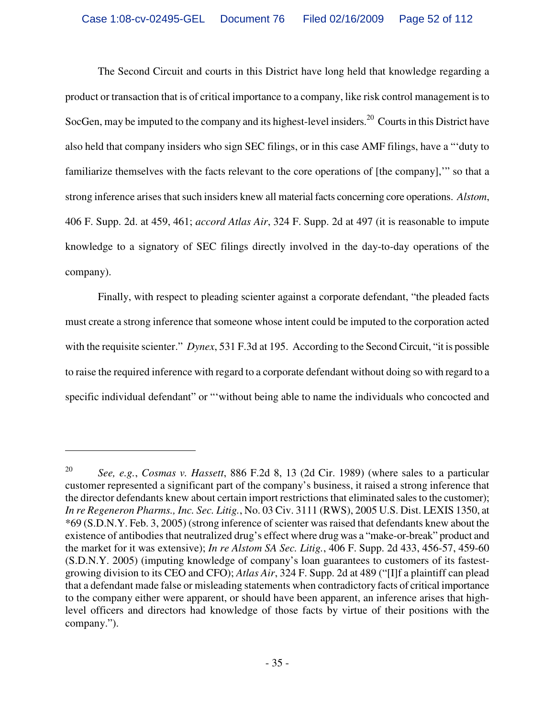The Second Circuit and courts in this District have long held that knowledge regarding a product or transaction that is of critical importance to a company, like risk control management is to SocGen, may be imputed to the company and its highest-level insiders.<sup>20</sup> Courts in this District have also held that company insiders who sign SEC filings, or in this case AMF filings, have a "'duty to familiarize themselves with the facts relevant to the core operations of [the company],'" so that a strong inference arises that such insiders knew all material facts concerning core operations. *Alstom*, 406 F. Supp. 2d. at 459, 461; *accord Atlas Air*, 324 F. Supp. 2d at 497 (it is reasonable to impute knowledge to a signatory of SEC filings directly involved in the day-to-day operations of the company).

Finally, with respect to pleading scienter against a corporate defendant, "the pleaded facts must create a strong inference that someone whose intent could be imputed to the corporation acted with the requisite scienter." *Dynex*, 531 F.3d at 195. According to the Second Circuit, "it is possible to raise the required inference with regard to a corporate defendant without doing so with regard to a specific individual defendant" or "without being able to name the individuals who concocted and

<sup>20</sup> *See, e.g.*, *Cosmas v. Hassett*, 886 F.2d 8, 13 (2d Cir. 1989) (where sales to a particular customer represented a significant part of the company's business, it raised a strong inference that the director defendants knew about certain import restrictions that eliminated sales to the customer); *In re Regeneron Pharms., Inc. Sec. Litig.*, No. 03 Civ. 3111 (RWS), 2005 U.S. Dist. LEXIS 1350, at \*69 (S.D.N.Y. Feb. 3, 2005) (strong inference of scienter was raised that defendants knew about the existence of antibodies that neutralized drug's effect where drug was a "make-or-break" product and the market for it was extensive); *In re Alstom SA Sec. Litig.*, 406 F. Supp. 2d 433, 456-57, 459-60 (S.D.N.Y. 2005) (imputing knowledge of company's loan guarantees to customers of its fastestgrowing division to its CEO and CFO); *Atlas Air*, 324 F. Supp. 2d at 489 ("[I]f a plaintiff can plead that a defendant made false or misleading statements when contradictory facts of critical importance to the company either were apparent, or should have been apparent, an inference arises that highlevel officers and directors had knowledge of those facts by virtue of their positions with the company.").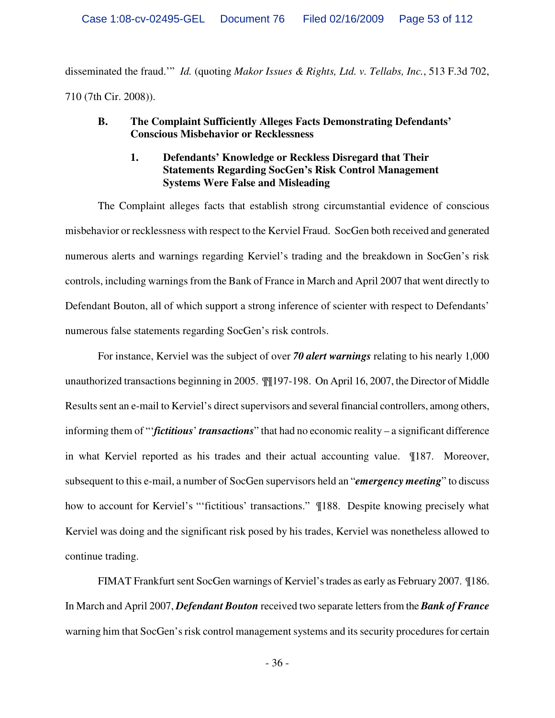disseminated the fraud.'" *Id.* (quoting *Makor Issues & Rights, Ltd. v. Tellabs, Inc.*, 513 F.3d 702, 710 (7th Cir. 2008)).

### **B. The Complaint Sufficiently Alleges Facts Demonstrating Defendants' Conscious Misbehavior or Recklessness**

### **1. Defendants' Knowledge or Reckless Disregard that Their Statements Regarding SocGen's Risk Control Management Systems Were False and Misleading**

The Complaint alleges facts that establish strong circumstantial evidence of conscious misbehavior or recklessness with respect to the Kerviel Fraud. SocGen both received and generated numerous alerts and warnings regarding Kerviel's trading and the breakdown in SocGen's risk controls, including warnings from the Bank of France in March and April 2007 that went directly to Defendant Bouton, all of which support a strong inference of scienter with respect to Defendants' numerous false statements regarding SocGen's risk controls.

For instance, Kerviel was the subject of over *70 alert warnings* relating to his nearly 1,000 unauthorized transactions beginning in 2005. ¶¶197-198. On April 16, 2007, the Director of Middle Results sent an e-mail to Kerviel's direct supervisors and several financial controllers, among others, informing them of "'*fictitious*' *transactions*" that had no economic reality – a significant difference in what Kerviel reported as his trades and their actual accounting value. ¶187. Moreover, subsequent to this e-mail, a number of SocGen supervisors held an "*emergency meeting*" to discuss how to account for Kerviel's "'fictitious' transactions."  $\P$ 188. Despite knowing precisely what Kerviel was doing and the significant risk posed by his trades, Kerviel was nonetheless allowed to continue trading.

FIMAT Frankfurt sent SocGen warnings of Kerviel's trades as early as February 2007. ¶186. In March and April 2007, *Defendant Bouton* received two separate letters from the *Bank of France*  warning him that SocGen's risk control management systems and its security procedures for certain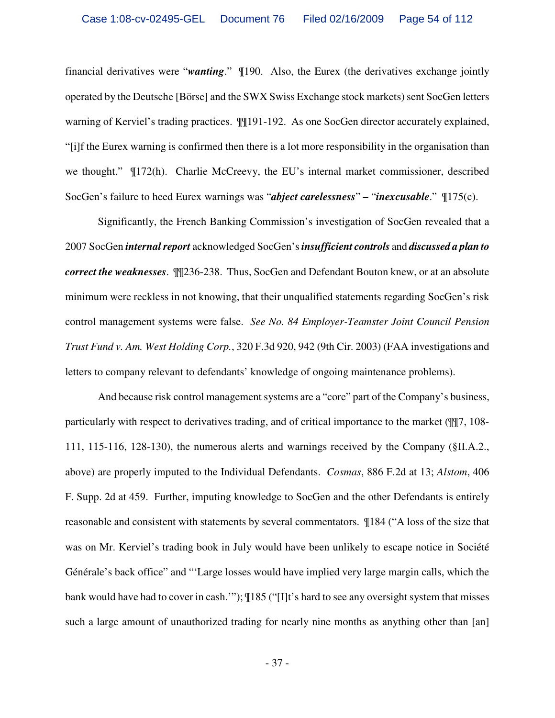financial derivatives were "*wanting*." ¶190. Also, the Eurex (the derivatives exchange jointly operated by the Deutsche [Börse] and the SWX Swiss Exchange stock markets) sent SocGen letters warning of Kerviel's trading practices. ¶¶191-192. As one SocGen director accurately explained, "[i]f the Eurex warning is confirmed then there is a lot more responsibility in the organisation than we thought." ¶172(h). Charlie McCreevy, the EU's internal market commissioner, described SocGen's failure to heed Eurex warnings was "*abject carelessness*" *–* "*inexcusable*." ¶175(c).

Significantly, the French Banking Commission's investigation of SocGen revealed that a 2007 SocGen *internal report* acknowledged SocGen's *insufficient controls* and *discussed a plan to correct the weaknesses*. ¶¶236-238. Thus, SocGen and Defendant Bouton knew, or at an absolute minimum were reckless in not knowing, that their unqualified statements regarding SocGen's risk control management systems were false. *See No. 84 Employer-Teamster Joint Council Pension Trust Fund v. Am. West Holding Corp.*, 320 F.3d 920, 942 (9th Cir. 2003) (FAA investigations and letters to company relevant to defendants' knowledge of ongoing maintenance problems).

And because risk control management systems are a "core" part of the Company's business, particularly with respect to derivatives trading, and of critical importance to the market (¶¶7, 108- 111, 115-116, 128-130), the numerous alerts and warnings received by the Company (§II.A.2., above) are properly imputed to the Individual Defendants. *Cosmas*, 886 F.2d at 13; *Alstom*, 406 F. Supp. 2d at 459. Further, imputing knowledge to SocGen and the other Defendants is entirely reasonable and consistent with statements by several commentators. ¶184 ("A loss of the size that was on Mr. Kerviel's trading book in July would have been unlikely to escape notice in Société Générale's back office" and "'Large losses would have implied very large margin calls, which the bank would have had to cover in cash.'"); ¶185 ("[I]t's hard to see any oversight system that misses such a large amount of unauthorized trading for nearly nine months as anything other than [an]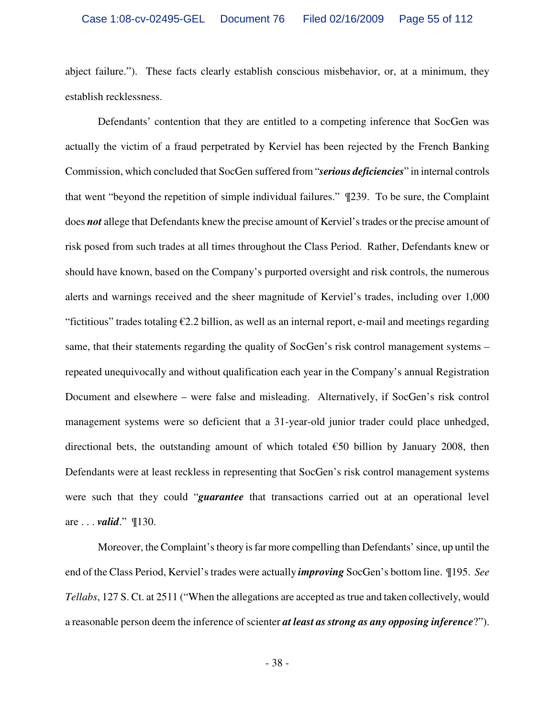abject failure."). These facts clearly establish conscious misbehavior, or, at a minimum, they establish recklessness.

Defendants' contention that they are entitled to a competing inference that SocGen was actually the victim of a fraud perpetrated by Kerviel has been rejected by the French Banking Commission, which concluded that SocGen suffered from "*serious deficiencies*" in internal controls that went "beyond the repetition of simple individual failures." ¶239. To be sure, the Complaint does *not* allege that Defendants knew the precise amount of Kerviel's trades or the precise amount of risk posed from such trades at all times throughout the Class Period. Rather, Defendants knew or should have known, based on the Company's purported oversight and risk controls, the numerous alerts and warnings received and the sheer magnitude of Kerviel's trades, including over 1,000 "fictitious" trades totaling  $\epsilon$ 2.2 billion, as well as an internal report, e-mail and meetings regarding same, that their statements regarding the quality of SocGen's risk control management systems – repeated unequivocally and without qualification each year in the Company's annual Registration Document and elsewhere – were false and misleading. Alternatively, if SocGen's risk control management systems were so deficient that a 31-year-old junior trader could place unhedged, directional bets, the outstanding amount of which totaled  $\epsilon$ 50 billion by January 2008, then Defendants were at least reckless in representing that SocGen's risk control management systems were such that they could "*guarantee* that transactions carried out at an operational level are . . . *valid*." ¶130.

Moreover, the Complaint's theory is far more compelling than Defendants' since, up until the end of the Class Period, Kerviel's trades were actually *improving* SocGen's bottom line. ¶195. *See Tellabs*, 127 S. Ct. at 2511 ("When the allegations are accepted as true and taken collectively, would a reasonable person deem the inference of scienter *at least as strong as any opposing inference*?").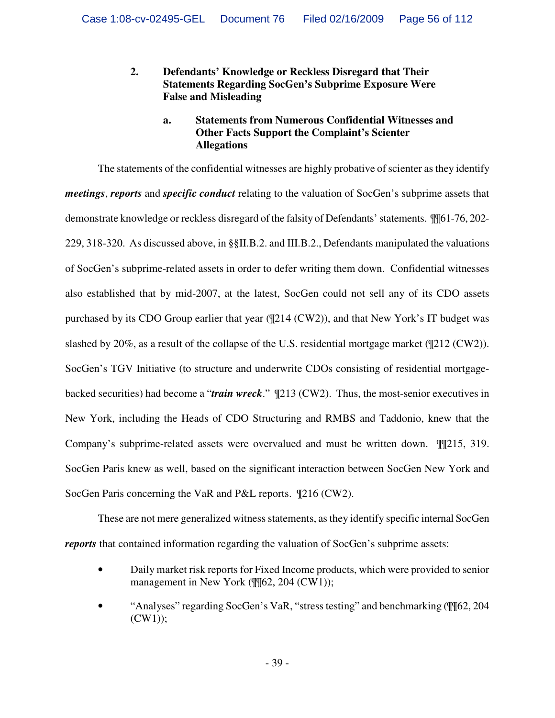**2. Defendants' Knowledge or Reckless Disregard that Their Statements Regarding SocGen's Subprime Exposure Were False and Misleading** 

### **a. Statements from Numerous Confidential Witnesses and Other Facts Support the Complaint's Scienter Allegations**

The statements of the confidential witnesses are highly probative of scienter as they identify *meetings*, *reports* and *specific conduct* relating to the valuation of SocGen's subprime assets that demonstrate knowledge or reckless disregard of the falsity of Defendants' statements. ¶¶61-76, 202- 229, 318-320. As discussed above, in §§II.B.2. and III.B.2., Defendants manipulated the valuations of SocGen's subprime-related assets in order to defer writing them down. Confidential witnesses also established that by mid-2007, at the latest, SocGen could not sell any of its CDO assets purchased by its CDO Group earlier that year (¶214 (CW2)), and that New York's IT budget was slashed by 20%, as a result of the collapse of the U.S. residential mortgage market (¶212 (CW2)). SocGen's TGV Initiative (to structure and underwrite CDOs consisting of residential mortgagebacked securities) had become a "*train wreck*." ¶213 (CW2). Thus, the most-senior executives in New York, including the Heads of CDO Structuring and RMBS and Taddonio, knew that the Company's subprime-related assets were overvalued and must be written down. ¶¶215, 319. SocGen Paris knew as well, based on the significant interaction between SocGen New York and SocGen Paris concerning the VaR and P&L reports. ¶216 (CW2).

These are not mere generalized witness statements, as they identify specific internal SocGen *reports* that contained information regarding the valuation of SocGen's subprime assets:

- Daily market risk reports for Fixed Income products, which were provided to senior management in New York (¶[62, 204 (CW1));
- "Analyses" regarding SocGen's VaR, "stress testing" and benchmarking (¶¶62, 204 (CW1));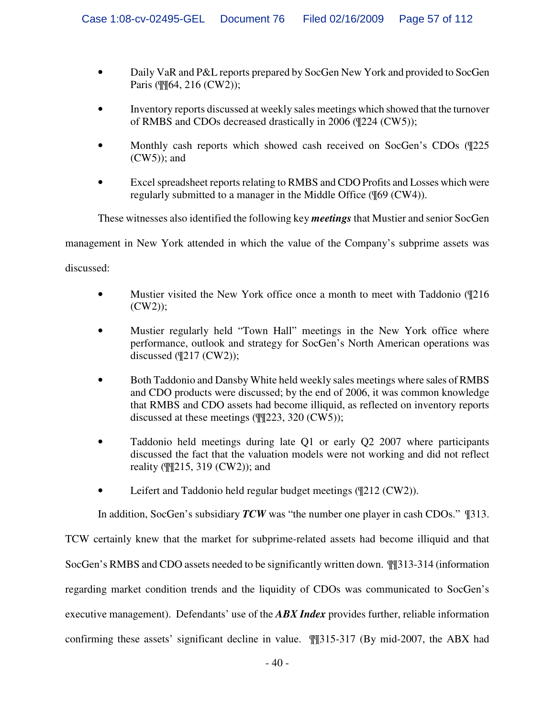- Daily VaR and P&L reports prepared by SocGen New York and provided to SocGen Paris (¶¶64, 216 (CW2));
- Inventory reports discussed at weekly sales meetings which showed that the turnover of RMBS and CDOs decreased drastically in 2006 (¶224 (CW5));
- Monthly cash reports which showed cash received on SocGen's CDOs (¶225 (CW5)); and
- Excel spreadsheet reports relating to RMBS and CDO Profits and Losses which were regularly submitted to a manager in the Middle Office (¶69 (CW4)).

These witnesses also identified the following key *meetings* that Mustier and senior SocGen

management in New York attended in which the value of the Company's subprime assets was

discussed:

- Mustier visited the New York office once a month to meet with Taddonio (1216) (CW2));
- Mustier regularly held "Town Hall" meetings in the New York office where performance, outlook and strategy for SocGen's North American operations was discussed  $(\sqrt{217}$  (CW2));
- Both Taddonio and Dansby White held weekly sales meetings where sales of RMBS and CDO products were discussed; by the end of 2006, it was common knowledge that RMBS and CDO assets had become illiquid, as reflected on inventory reports discussed at these meetings (¶¶223, 320 (CW5));
- Taddonio held meetings during late Q1 or early Q2 2007 where participants discussed the fact that the valuation models were not working and did not reflect reality (¶¶215, 319 (CW2)); and
- Leifert and Taddonio held regular budget meetings (¶212 (CW2)).

In addition, SocGen's subsidiary *TCW* was "the number one player in cash CDOs." ¶313.

TCW certainly knew that the market for subprime-related assets had become illiquid and that SocGen's RMBS and CDO assets needed to be significantly written down. ¶¶313-314 (information regarding market condition trends and the liquidity of CDOs was communicated to SocGen's executive management). Defendants' use of the *ABX Index* provides further, reliable information confirming these assets' significant decline in value. ¶¶315-317 (By mid-2007, the ABX had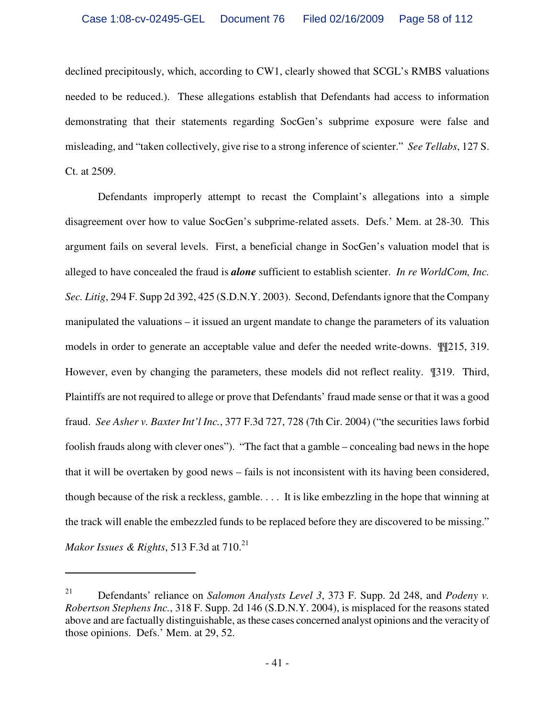declined precipitously, which, according to CW1, clearly showed that SCGL's RMBS valuations needed to be reduced.). These allegations establish that Defendants had access to information demonstrating that their statements regarding SocGen's subprime exposure were false and misleading, and "taken collectively, give rise to a strong inference of scienter." *See Tellabs*, 127 S. Ct. at 2509.

Defendants improperly attempt to recast the Complaint's allegations into a simple disagreement over how to value SocGen's subprime-related assets. Defs.' Mem. at 28-30. This argument fails on several levels. First, a beneficial change in SocGen's valuation model that is alleged to have concealed the fraud is *alone* sufficient to establish scienter. *In re WorldCom, Inc. Sec. Litig*, 294 F. Supp 2d 392, 425 (S.D.N.Y. 2003). Second, Defendants ignore that the Company manipulated the valuations – it issued an urgent mandate to change the parameters of its valuation models in order to generate an acceptable value and defer the needed write-downs. ¶¶215, 319. However, even by changing the parameters, these models did not reflect reality. ¶319. Third, Plaintiffs are not required to allege or prove that Defendants' fraud made sense or that it was a good fraud. *See Asher v. Baxter Int'l Inc.*, 377 F.3d 727, 728 (7th Cir. 2004) ("the securities laws forbid foolish frauds along with clever ones"). "The fact that a gamble – concealing bad news in the hope that it will be overtaken by good news – fails is not inconsistent with its having been considered, though because of the risk a reckless, gamble. . . . It is like embezzling in the hope that winning at the track will enable the embezzled funds to be replaced before they are discovered to be missing." *Makor Issues & Rights*, 513 F.3d at 710.<sup>21</sup>

<sup>21</sup> Defendants' reliance on *Salomon Analysts Level 3*, 373 F. Supp. 2d 248, and *Podeny v. Robertson Stephens Inc.*, 318 F. Supp. 2d 146 (S.D.N.Y. 2004), is misplaced for the reasons stated above and are factually distinguishable, as these cases concerned analyst opinions and the veracity of those opinions. Defs.' Mem. at 29, 52.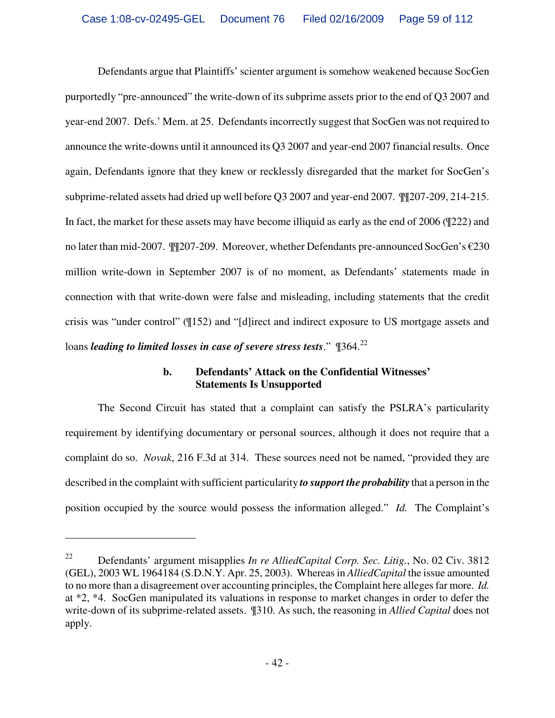Defendants argue that Plaintiffs' scienter argument is somehow weakened because SocGen purportedly "pre-announced" the write-down of its subprime assets prior to the end of Q3 2007 and year-end 2007. Defs.' Mem. at 25. Defendants incorrectly suggest that SocGen was not required to announce the write-downs until it announced its Q3 2007 and year-end 2007 financial results. Once again, Defendants ignore that they knew or recklessly disregarded that the market for SocGen's subprime-related assets had dried up well before Q3 2007 and year-end 2007. ¶¶207-209, 214-215. In fact, the market for these assets may have become illiquid as early as the end of 2006 (¶222) and no later than mid-2007. ¶¶207-209. Moreover, whether Defendants pre-announced SocGen's €230 million write-down in September 2007 is of no moment, as Defendants' statements made in connection with that write-down were false and misleading, including statements that the credit crisis was "under control" (¶152) and "[d]irect and indirect exposure to US mortgage assets and loans *leading to limited losses in case of severe stress tests.*"  $$364.22$$ 

### **b. Defendants' Attack on the Confidential Witnesses' Statements Is Unsupported**

The Second Circuit has stated that a complaint can satisfy the PSLRA's particularity requirement by identifying documentary or personal sources, although it does not require that a complaint do so. *Novak*, 216 F.3d at 314. These sources need not be named, "provided they are described in the complaint with sufficient particularity *to support the probability* that a person in the position occupied by the source would possess the information alleged." *Id.* The Complaint's

<sup>22</sup> Defendants' argument misapplies *In re AlliedCapital Corp. Sec. Litig.*, No. 02 Civ. 3812 (GEL), 2003 WL 1964184 (S.D.N.Y. Apr. 25, 2003). Whereas in *AlliedCapital* the issue amounted to no more than a disagreement over accounting principles, the Complaint here alleges far more. *Id.* at \*2, \*4. SocGen manipulated its valuations in response to market changes in order to defer the write-down of its subprime-related assets. ¶310. As such, the reasoning in *Allied Capital* does not apply.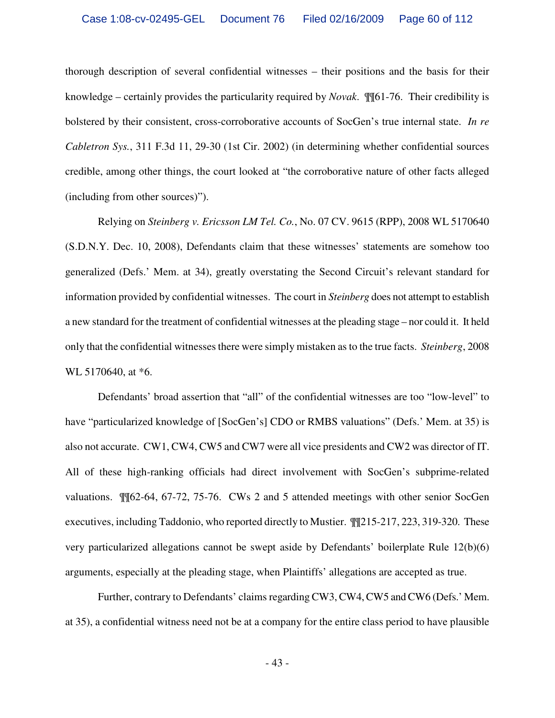thorough description of several confidential witnesses – their positions and the basis for their knowledge – certainly provides the particularity required by *Novak*. ¶¶61-76. Their credibility is bolstered by their consistent, cross-corroborative accounts of SocGen's true internal state. *In re Cabletron Sys.*, 311 F.3d 11, 29-30 (1st Cir. 2002) (in determining whether confidential sources credible, among other things, the court looked at "the corroborative nature of other facts alleged (including from other sources)").

Relying on *Steinberg v. Ericsson LM Tel. Co.*, No. 07 CV. 9615 (RPP), 2008 WL 5170640 (S.D.N.Y. Dec. 10, 2008), Defendants claim that these witnesses' statements are somehow too generalized (Defs.' Mem. at 34), greatly overstating the Second Circuit's relevant standard for information provided by confidential witnesses. The court in *Steinberg* does not attempt to establish a new standard for the treatment of confidential witnesses at the pleading stage – nor could it. It held only that the confidential witnesses there were simply mistaken as to the true facts. *Steinberg*, 2008 WL 5170640, at  $*6$ .

Defendants' broad assertion that "all" of the confidential witnesses are too "low-level" to have "particularized knowledge of [SocGen's] CDO or RMBS valuations" (Defs.' Mem. at 35) is also not accurate. CW1, CW4, CW5 and CW7 were all vice presidents and CW2 was director of IT. All of these high-ranking officials had direct involvement with SocGen's subprime-related valuations. ¶¶62-64, 67-72, 75-76. CWs 2 and 5 attended meetings with other senior SocGen executives, including Taddonio, who reported directly to Mustier. ¶¶215-217, 223, 319-320. These very particularized allegations cannot be swept aside by Defendants' boilerplate Rule 12(b)(6) arguments, especially at the pleading stage, when Plaintiffs' allegations are accepted as true.

Further, contrary to Defendants' claims regarding CW3, CW4, CW5 and CW6 (Defs.' Mem. at 35), a confidential witness need not be at a company for the entire class period to have plausible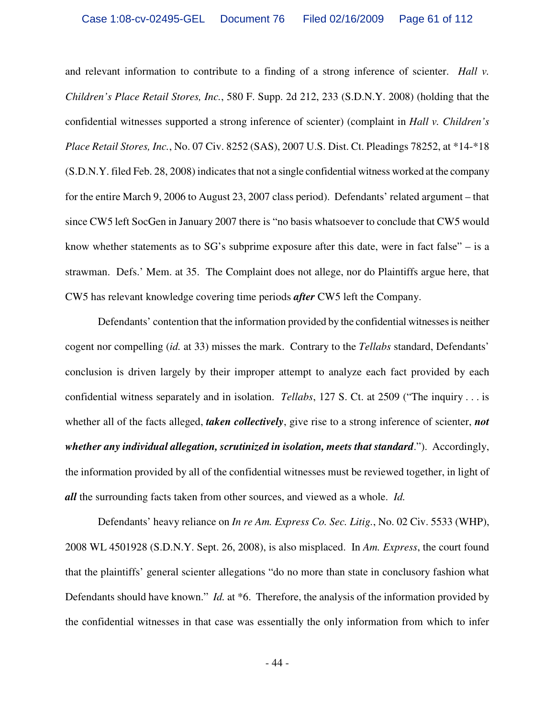and relevant information to contribute to a finding of a strong inference of scienter. *Hall v. Children's Place Retail Stores, Inc.*, 580 F. Supp. 2d 212, 233 (S.D.N.Y. 2008) (holding that the confidential witnesses supported a strong inference of scienter) (complaint in *Hall v. Children's Place Retail Stores, Inc.*, No. 07 Civ. 8252 (SAS), 2007 U.S. Dist. Ct. Pleadings 78252, at \*14-\*18 (S.D.N.Y. filed Feb. 28, 2008) indicates that not a single confidential witness worked at the company for the entire March 9, 2006 to August 23, 2007 class period). Defendants' related argument – that since CW5 left SocGen in January 2007 there is "no basis whatsoever to conclude that CW5 would know whether statements as to SG's subprime exposure after this date, were in fact false" – is a strawman. Defs.' Mem. at 35. The Complaint does not allege, nor do Plaintiffs argue here, that CW5 has relevant knowledge covering time periods *after* CW5 left the Company.

Defendants' contention that the information provided by the confidential witnesses is neither cogent nor compelling (*id.* at 33) misses the mark. Contrary to the *Tellabs* standard, Defendants' conclusion is driven largely by their improper attempt to analyze each fact provided by each confidential witness separately and in isolation. *Tellabs*, 127 S. Ct. at 2509 ("The inquiry . . . is whether all of the facts alleged, *taken collectively*, give rise to a strong inference of scienter, *not whether any individual allegation, scrutinized in isolation, meets that standard*."). Accordingly, the information provided by all of the confidential witnesses must be reviewed together, in light of *all* the surrounding facts taken from other sources, and viewed as a whole. *Id.*

Defendants' heavy reliance on *In re Am. Express Co. Sec. Litig.*, No. 02 Civ. 5533 (WHP), 2008 WL 4501928 (S.D.N.Y. Sept. 26, 2008), is also misplaced. In *Am. Express*, the court found that the plaintiffs' general scienter allegations "do no more than state in conclusory fashion what Defendants should have known." *Id.* at \*6. Therefore, the analysis of the information provided by the confidential witnesses in that case was essentially the only information from which to infer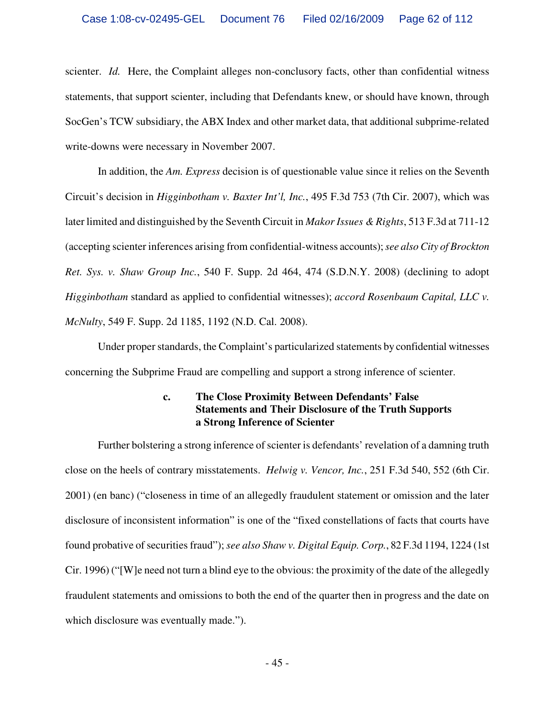scienter. *Id.* Here, the Complaint alleges non-conclusory facts, other than confidential witness statements, that support scienter, including that Defendants knew, or should have known, through SocGen's TCW subsidiary, the ABX Index and other market data, that additional subprime-related write-downs were necessary in November 2007.

In addition, the *Am. Express* decision is of questionable value since it relies on the Seventh Circuit's decision in *Higginbotham v. Baxter Int'l, Inc.*, 495 F.3d 753 (7th Cir. 2007), which was later limited and distinguished by the Seventh Circuit in *Makor Issues & Rights*, 513 F.3d at 711-12 (accepting scienter inferences arising from confidential-witness accounts); *see also City of Brockton Ret. Sys. v. Shaw Group Inc.*, 540 F. Supp. 2d 464, 474 (S.D.N.Y. 2008) (declining to adopt *Higginbotham* standard as applied to confidential witnesses); *accord Rosenbaum Capital, LLC v. McNulty*, 549 F. Supp. 2d 1185, 1192 (N.D. Cal. 2008).

Under proper standards, the Complaint's particularized statements by confidential witnesses concerning the Subprime Fraud are compelling and support a strong inference of scienter.

### **c. The Close Proximity Between Defendants' False Statements and Their Disclosure of the Truth Supports a Strong Inference of Scienter**

Further bolstering a strong inference of scienter is defendants' revelation of a damning truth close on the heels of contrary misstatements. *Helwig v. Vencor, Inc.*, 251 F.3d 540, 552 (6th Cir. 2001) (en banc) ("closeness in time of an allegedly fraudulent statement or omission and the later disclosure of inconsistent information" is one of the "fixed constellations of facts that courts have found probative of securities fraud"); *see also Shaw v. Digital Equip. Corp.*, 82 F.3d 1194, 1224 (1st Cir. 1996) ("[W]e need not turn a blind eye to the obvious: the proximity of the date of the allegedly fraudulent statements and omissions to both the end of the quarter then in progress and the date on which disclosure was eventually made.").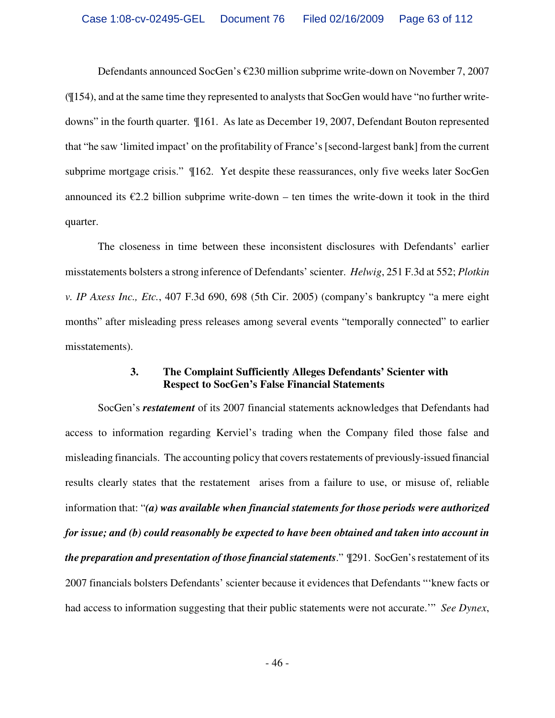Defendants announced SocGen's €230 million subprime write-down on November 7, 2007  $($   $\parallel$  154), and at the same time they represented to analysts that SocGen would have "no further writedowns" in the fourth quarter. ¶161. As late as December 19, 2007, Defendant Bouton represented that "he saw 'limited impact' on the profitability of France's [second-largest bank] from the current subprime mortgage crisis." ¶162. Yet despite these reassurances, only five weeks later SocGen announced its  $\epsilon$ 2.2 billion subprime write-down – ten times the write-down it took in the third quarter.

The closeness in time between these inconsistent disclosures with Defendants' earlier misstatements bolsters a strong inference of Defendants' scienter. *Helwig*, 251 F.3d at 552; *Plotkin v. IP Axess Inc., Etc.*, 407 F.3d 690, 698 (5th Cir. 2005) (company's bankruptcy "a mere eight months" after misleading press releases among several events "temporally connected" to earlier misstatements).

### **3. The Complaint Sufficiently Alleges Defendants' Scienter with Respect to SocGen's False Financial Statements**

SocGen's *restatement* of its 2007 financial statements acknowledges that Defendants had access to information regarding Kerviel's trading when the Company filed those false and misleading financials. The accounting policy that covers restatements of previously-issued financial results clearly states that the restatement arises from a failure to use, or misuse of, reliable information that: "*(a) was available when financial statements for those periods were authorized for issue; and (b) could reasonably be expected to have been obtained and taken into account in the preparation and presentation of those financial statements*." ¶291. SocGen's restatement of its 2007 financials bolsters Defendants' scienter because it evidences that Defendants "'knew facts or had access to information suggesting that their public statements were not accurate.'" *See Dynex*,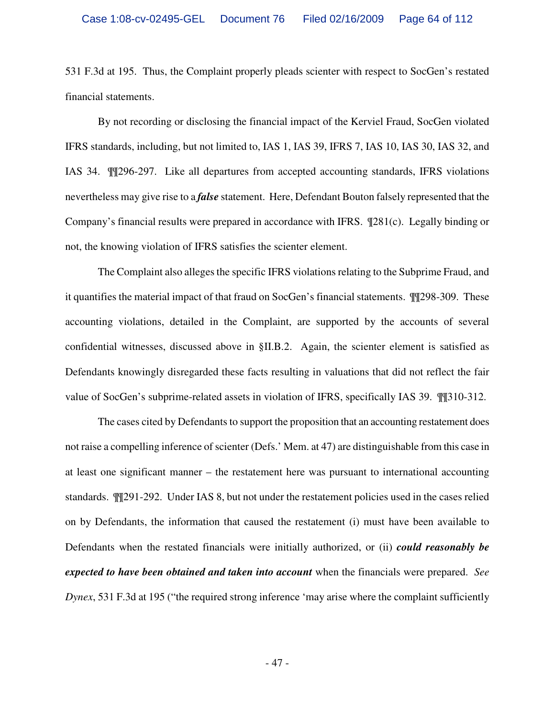531 F.3d at 195. Thus, the Complaint properly pleads scienter with respect to SocGen's restated financial statements.

By not recording or disclosing the financial impact of the Kerviel Fraud, SocGen violated IFRS standards, including, but not limited to, IAS 1, IAS 39, IFRS 7, IAS 10, IAS 30, IAS 32, and IAS 34. ¶¶296-297. Like all departures from accepted accounting standards, IFRS violations nevertheless may give rise to a *false* statement. Here, Defendant Bouton falsely represented that the Company's financial results were prepared in accordance with IFRS. ¶281(c). Legally binding or not, the knowing violation of IFRS satisfies the scienter element.

The Complaint also alleges the specific IFRS violations relating to the Subprime Fraud, and it quantifies the material impact of that fraud on SocGen's financial statements. ¶¶298-309. These accounting violations, detailed in the Complaint, are supported by the accounts of several confidential witnesses, discussed above in §II.B.2. Again, the scienter element is satisfied as Defendants knowingly disregarded these facts resulting in valuations that did not reflect the fair value of SocGen's subprime-related assets in violation of IFRS, specifically IAS 39. ¶¶310-312.

The cases cited by Defendants to support the proposition that an accounting restatement does not raise a compelling inference of scienter (Defs.' Mem. at 47) are distinguishable from this case in at least one significant manner – the restatement here was pursuant to international accounting standards. ¶¶291-292. Under IAS 8, but not under the restatement policies used in the cases relied on by Defendants, the information that caused the restatement (i) must have been available to Defendants when the restated financials were initially authorized, or (ii) *could reasonably be expected to have been obtained and taken into account* when the financials were prepared. *See Dynex*, 531 F.3d at 195 ("the required strong inference 'may arise where the complaint sufficiently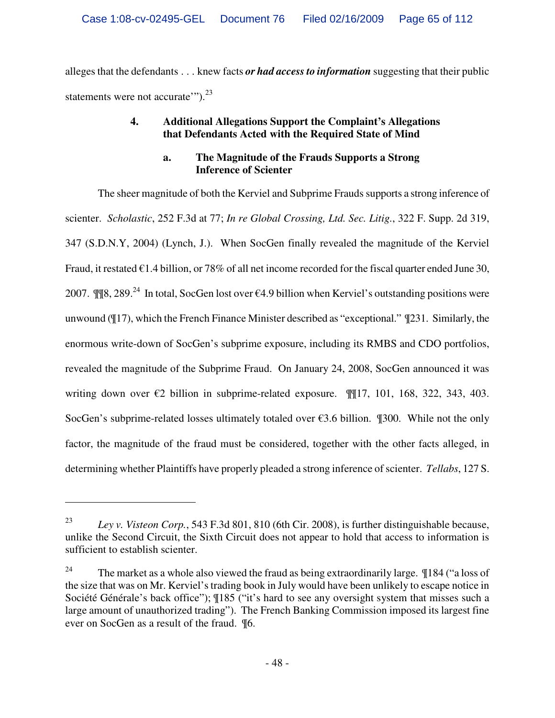alleges that the defendants . . . knew facts *or had access to information* suggesting that their public statements were not accurate'").<sup>23</sup>

## **4. Additional Allegations Support the Complaint's Allegations that Defendants Acted with the Required State of Mind**

## **a. The Magnitude of the Frauds Supports a Strong Inference of Scienter**

The sheer magnitude of both the Kerviel and Subprime Frauds supports a strong inference of scienter. *Scholastic*, 252 F.3d at 77; *In re Global Crossing, Ltd. Sec. Litig.*, 322 F. Supp. 2d 319, 347 (S.D.N.Y, 2004) (Lynch, J.). When SocGen finally revealed the magnitude of the Kerviel Fraud, it restated  $\epsilon$ 1.4 billion, or 78% of all net income recorded for the fiscal quarter ended June 30, 2007.  $\P$ <sup>24</sup> In total, SocGen lost over €4.9 billion when Kerviel's outstanding positions were unwound (¶17), which the French Finance Minister described as "exceptional." ¶231. Similarly, the enormous write-down of SocGen's subprime exposure, including its RMBS and CDO portfolios, revealed the magnitude of the Subprime Fraud. On January 24, 2008, SocGen announced it was writing down over €2 billion in subprime-related exposure. ¶¶17, 101, 168, 322, 343, 403. SocGen's subprime-related losses ultimately totaled over  $\epsilon$ 3.6 billion. ¶300. While not the only factor, the magnitude of the fraud must be considered, together with the other facts alleged, in determining whether Plaintiffs have properly pleaded a strong inference of scienter. *Tellabs*, 127 S.

<sup>23</sup> *Ley v. Visteon Corp.*, 543 F.3d 801, 810 (6th Cir. 2008), is further distinguishable because, unlike the Second Circuit, the Sixth Circuit does not appear to hold that access to information is sufficient to establish scienter.

<sup>&</sup>lt;sup>24</sup> The market as a whole also viewed the fraud as being extraordinarily large.  $\P$ 184 ("a loss of the size that was on Mr. Kerviel's trading book in July would have been unlikely to escape notice in Société Générale's back office"); ¶185 ("it's hard to see any oversight system that misses such a large amount of unauthorized trading"). The French Banking Commission imposed its largest fine ever on SocGen as a result of the fraud. ¶6.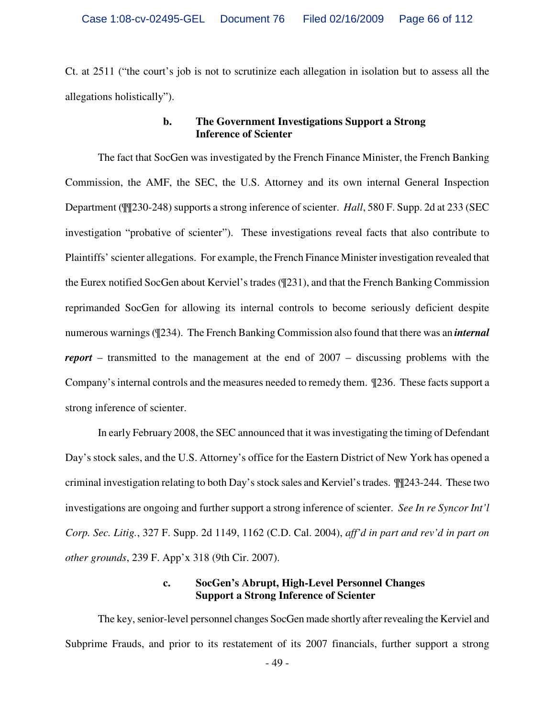Ct. at 2511 ("the court's job is not to scrutinize each allegation in isolation but to assess all the allegations holistically").

#### **b. The Government Investigations Support a Strong Inference of Scienter**

The fact that SocGen was investigated by the French Finance Minister, the French Banking Commission, the AMF, the SEC, the U.S. Attorney and its own internal General Inspection Department (¶¶230-248) supports a strong inference of scienter. *Hall*, 580 F. Supp. 2d at 233 (SEC investigation "probative of scienter"). These investigations reveal facts that also contribute to Plaintiffs' scienter allegations. For example, the French Finance Minister investigation revealed that the Eurex notified SocGen about Kerviel's trades (¶231), and that the French Banking Commission reprimanded SocGen for allowing its internal controls to become seriously deficient despite numerous warnings (¶234). The French Banking Commission also found that there was an *internal report* – transmitted to the management at the end of 2007 – discussing problems with the Company's internal controls and the measures needed to remedy them. ¶236. These facts support a strong inference of scienter.

In early February 2008, the SEC announced that it was investigating the timing of Defendant Day's stock sales, and the U.S. Attorney's office for the Eastern District of New York has opened a criminal investigation relating to both Day's stock sales and Kerviel's trades. ¶¶243-244. These two investigations are ongoing and further support a strong inference of scienter. *See In re Syncor Int'l Corp. Sec. Litig.*, 327 F. Supp. 2d 1149, 1162 (C.D. Cal. 2004), *aff'd in part and rev'd in part on other grounds*, 239 F. App'x 318 (9th Cir. 2007).

### **c. SocGen's Abrupt, High-Level Personnel Changes Support a Strong Inference of Scienter**

The key, senior-level personnel changes SocGen made shortly after revealing the Kerviel and Subprime Frauds, and prior to its restatement of its 2007 financials, further support a strong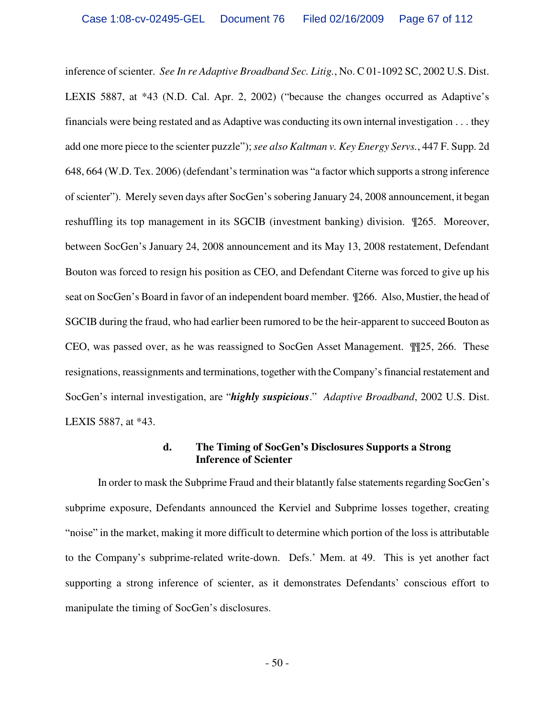inference of scienter. *See In re Adaptive Broadband Sec. Litig.*, No. C 01-1092 SC, 2002 U.S. Dist. LEXIS 5887, at \*43 (N.D. Cal. Apr. 2, 2002) ("because the changes occurred as Adaptive's financials were being restated and as Adaptive was conducting its own internal investigation . . . they add one more piece to the scienter puzzle"); *see also Kaltman v. Key Energy Servs.*, 447 F. Supp. 2d 648, 664 (W.D. Tex. 2006) (defendant's termination was "a factor which supports a strong inference of scienter"). Merely seven days after SocGen's sobering January 24, 2008 announcement, it began reshuffling its top management in its SGCIB (investment banking) division. ¶265. Moreover, between SocGen's January 24, 2008 announcement and its May 13, 2008 restatement, Defendant Bouton was forced to resign his position as CEO, and Defendant Citerne was forced to give up his seat on SocGen's Board in favor of an independent board member. ¶266. Also, Mustier, the head of SGCIB during the fraud, who had earlier been rumored to be the heir-apparent to succeed Bouton as CEO, was passed over, as he was reassigned to SocGen Asset Management. ¶¶25, 266. These resignations, reassignments and terminations, together with the Company's financial restatement and SocGen's internal investigation, are "*highly suspicious*." *Adaptive Broadband*, 2002 U.S. Dist. LEXIS 5887, at \*43.

#### **d. The Timing of SocGen's Disclosures Supports a Strong Inference of Scienter**

In order to mask the Subprime Fraud and their blatantly false statements regarding SocGen's subprime exposure, Defendants announced the Kerviel and Subprime losses together, creating "noise" in the market, making it more difficult to determine which portion of the loss is attributable to the Company's subprime-related write-down. Defs.' Mem. at 49. This is yet another fact supporting a strong inference of scienter, as it demonstrates Defendants' conscious effort to manipulate the timing of SocGen's disclosures.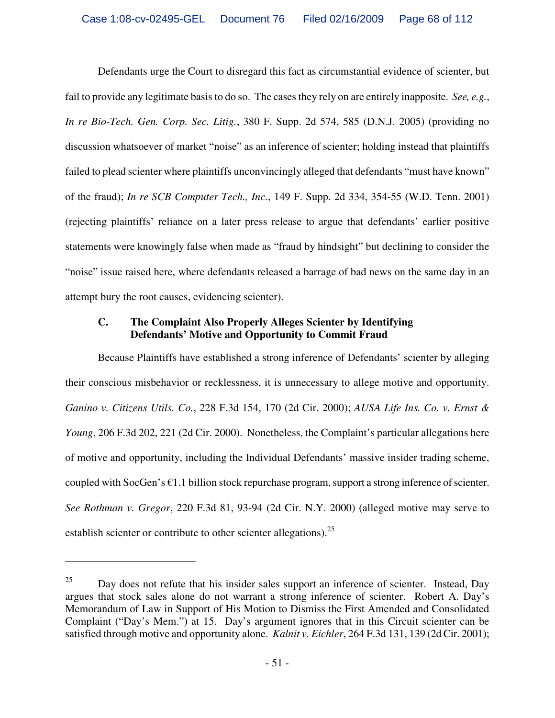Defendants urge the Court to disregard this fact as circumstantial evidence of scienter, but fail to provide any legitimate basis to do so. The cases they rely on are entirely inapposite. *See, e.g.*, *In re Bio-Tech. Gen. Corp. Sec. Litig.*, 380 F. Supp. 2d 574, 585 (D.N.J. 2005) (providing no discussion whatsoever of market "noise" as an inference of scienter; holding instead that plaintiffs failed to plead scienter where plaintiffs unconvincingly alleged that defendants "must have known" of the fraud); *In re SCB Computer Tech., Inc.*, 149 F. Supp. 2d 334, 354-55 (W.D. Tenn. 2001) (rejecting plaintiffs' reliance on a later press release to argue that defendants' earlier positive statements were knowingly false when made as "fraud by hindsight" but declining to consider the "noise" issue raised here, where defendants released a barrage of bad news on the same day in an attempt bury the root causes, evidencing scienter).

### **C. The Complaint Also Properly Alleges Scienter by Identifying Defendants' Motive and Opportunity to Commit Fraud**

Because Plaintiffs have established a strong inference of Defendants' scienter by alleging their conscious misbehavior or recklessness, it is unnecessary to allege motive and opportunity. *Ganino v. Citizens Utils. Co.*, 228 F.3d 154, 170 (2d Cir. 2000); *AUSA Life Ins. Co. v. Ernst & Young*, 206 F.3d 202, 221 (2d Cir. 2000). Nonetheless, the Complaint's particular allegations here of motive and opportunity, including the Individual Defendants' massive insider trading scheme, coupled with SocGen's  $\epsilon$ 1.1 billion stock repurchase program, support a strong inference of scienter. *See Rothman v. Gregor*, 220 F.3d 81, 93-94 (2d Cir. N.Y. 2000) (alleged motive may serve to establish scienter or contribute to other scienter allegations).<sup>25</sup>

 $25$  Day does not refute that his insider sales support an inference of scienter. Instead, Day argues that stock sales alone do not warrant a strong inference of scienter. Robert A. Day's Memorandum of Law in Support of His Motion to Dismiss the First Amended and Consolidated Complaint ("Day's Mem.") at 15. Day's argument ignores that in this Circuit scienter can be satisfied through motive and opportunity alone. *Kalnit v. Eichler*, 264 F.3d 131, 139 (2d Cir. 2001);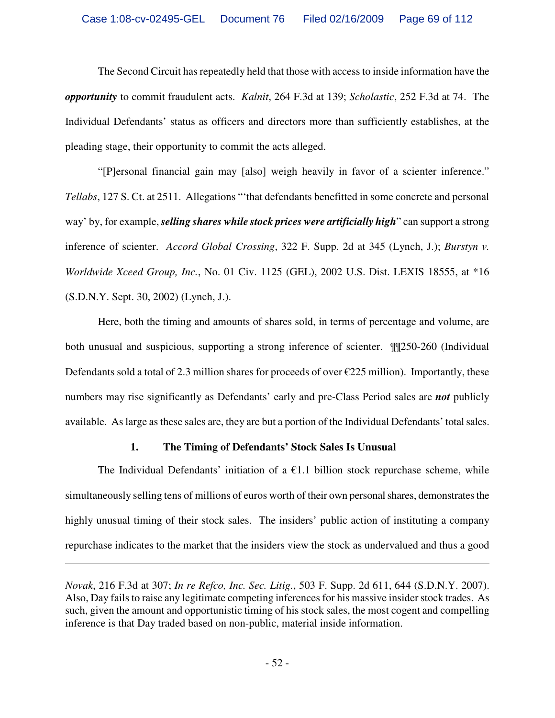The Second Circuit has repeatedly held that those with access to inside information have the *opportunity* to commit fraudulent acts. *Kalnit*, 264 F.3d at 139; *Scholastic*, 252 F.3d at 74. The Individual Defendants' status as officers and directors more than sufficiently establishes, at the pleading stage, their opportunity to commit the acts alleged.

"[P]ersonal financial gain may [also] weigh heavily in favor of a scienter inference." *Tellabs*, 127 S. Ct. at 2511. Allegations "'that defendants benefitted in some concrete and personal way' by, for example, *selling shares while stock prices were artificially high*" can support a strong inference of scienter. *Accord Global Crossing*, 322 F. Supp. 2d at 345 (Lynch, J.); *Burstyn v. Worldwide Xceed Group, Inc.*, No. 01 Civ. 1125 (GEL), 2002 U.S. Dist. LEXIS 18555, at \*16 (S.D.N.Y. Sept. 30, 2002) (Lynch, J.).

Here, both the timing and amounts of shares sold, in terms of percentage and volume, are both unusual and suspicious, supporting a strong inference of scienter. ¶¶250-260 (Individual Defendants sold a total of 2.3 million shares for proceeds of over  $\epsilon$ 225 million). Importantly, these numbers may rise significantly as Defendants' early and pre-Class Period sales are *not* publicly available. As large as these sales are, they are but a portion of the Individual Defendants' total sales.

#### **1. The Timing of Defendants' Stock Sales Is Unusual**

The Individual Defendants' initiation of a  $E1.1$  billion stock repurchase scheme, while simultaneously selling tens of millions of euros worth of their own personal shares, demonstrates the highly unusual timing of their stock sales. The insiders' public action of instituting a company repurchase indicates to the market that the insiders view the stock as undervalued and thus a good

*Novak*, 216 F.3d at 307; *In re Refco, Inc. Sec. Litig.*, 503 F. Supp. 2d 611, 644 (S.D.N.Y. 2007). Also, Day fails to raise any legitimate competing inferences for his massive insider stock trades. As such, given the amount and opportunistic timing of his stock sales, the most cogent and compelling inference is that Day traded based on non-public, material inside information.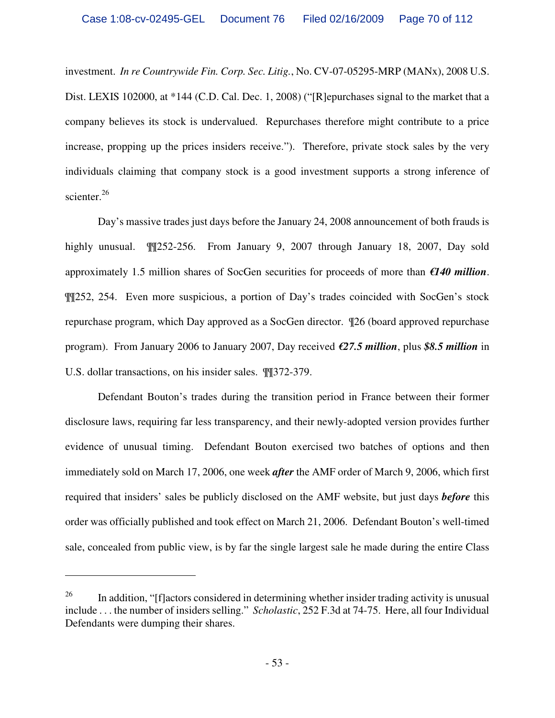investment. *In re Countrywide Fin. Corp. Sec. Litig.*, No. CV-07-05295-MRP (MANx), 2008 U.S. Dist. LEXIS 102000, at \*144 (C.D. Cal. Dec. 1, 2008) ("[R]epurchases signal to the market that a company believes its stock is undervalued. Repurchases therefore might contribute to a price increase, propping up the prices insiders receive."). Therefore, private stock sales by the very individuals claiming that company stock is a good investment supports a strong inference of scienter.<sup>26</sup>

Day's massive trades just days before the January 24, 2008 announcement of both frauds is highly unusual.  $\P$ [252-256. From January 9, 2007 through January 18, 2007, Day sold approximately 1.5 million shares of SocGen securities for proceeds of more than *€140 million*. ¶¶252, 254. Even more suspicious, a portion of Day's trades coincided with SocGen's stock repurchase program, which Day approved as a SocGen director. ¶26 (board approved repurchase program). From January 2006 to January 2007, Day received *€27.5 million*, plus *\$8.5 million* in U.S. dollar transactions, on his insider sales. ¶¶372-379.

Defendant Bouton's trades during the transition period in France between their former disclosure laws, requiring far less transparency, and their newly-adopted version provides further evidence of unusual timing. Defendant Bouton exercised two batches of options and then immediately sold on March 17, 2006, one week *after* the AMF order of March 9, 2006, which first required that insiders' sales be publicly disclosed on the AMF website, but just days *before* this order was officially published and took effect on March 21, 2006. Defendant Bouton's well-timed sale, concealed from public view, is by far the single largest sale he made during the entire Class

<sup>&</sup>lt;sup>26</sup> In addition, " $[f]$ actors considered in determining whether insider trading activity is unusual include . . . the number of insiders selling." *Scholastic*, 252 F.3d at 74-75. Here, all four Individual Defendants were dumping their shares.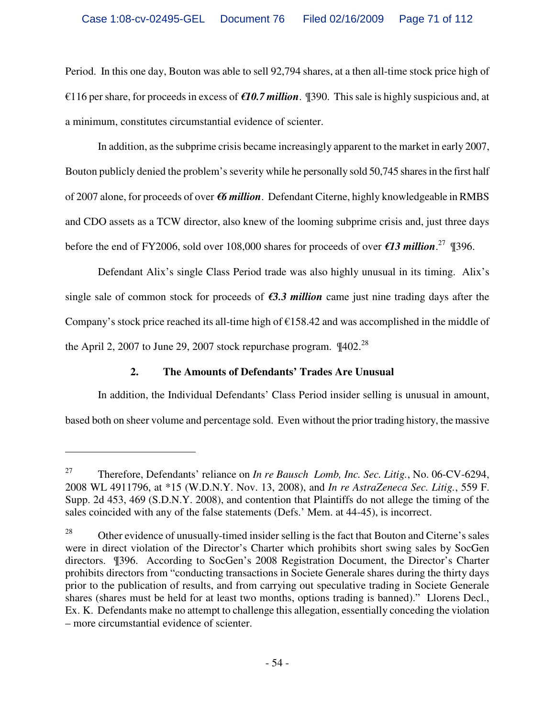Period. In this one day, Bouton was able to sell 92,794 shares, at a then all-time stock price high of €116 per share, for proceeds in excess of *€10.7 million*. ¶390. This sale is highly suspicious and, at a minimum, constitutes circumstantial evidence of scienter.

In addition, as the subprime crisis became increasingly apparent to the market in early 2007, Bouton publicly denied the problem's severity while he personally sold 50,745 shares in the first half of 2007 alone, for proceeds of over *€6 million*. Defendant Citerne, highly knowledgeable in RMBS and CDO assets as a TCW director, also knew of the looming subprime crisis and, just three days before the end of FY2006, sold over 108,000 shares for proceeds of over *€13 million*.<sup>27</sup> ¶396.

Defendant Alix's single Class Period trade was also highly unusual in its timing. Alix's single sale of common stock for proceeds of *€3.3 million* came just nine trading days after the Company's stock price reached its all-time high of  $\epsilon$ 158.42 and was accomplished in the middle of the April 2, 2007 to June 29, 2007 stock repurchase program.  $\P$ 402.<sup>28</sup>

# **2. The Amounts of Defendants' Trades Are Unusual**

 $\overline{a}$ 

In addition, the Individual Defendants' Class Period insider selling is unusual in amount, based both on sheer volume and percentage sold. Even without the prior trading history, the massive

<sup>27</sup> Therefore, Defendants' reliance on *In re Bausch Lomb, Inc. Sec. Litig.*, No. 06-CV-6294, 2008 WL 4911796, at \*15 (W.D.N.Y. Nov. 13, 2008), and *In re AstraZeneca Sec. Litig.*, 559 F. Supp. 2d 453, 469 (S.D.N.Y. 2008), and contention that Plaintiffs do not allege the timing of the sales coincided with any of the false statements (Defs.' Mem. at 44-45), is incorrect.

<sup>&</sup>lt;sup>28</sup> Other evidence of unusually-timed insider selling is the fact that Bouton and Citerne's sales were in direct violation of the Director's Charter which prohibits short swing sales by SocGen directors. ¶396. According to SocGen's 2008 Registration Document, the Director's Charter prohibits directors from "conducting transactions in Societe Generale shares during the thirty days prior to the publication of results, and from carrying out speculative trading in Societe Generale shares (shares must be held for at least two months, options trading is banned)." Llorens Decl., Ex. K. Defendants make no attempt to challenge this allegation, essentially conceding the violation – more circumstantial evidence of scienter.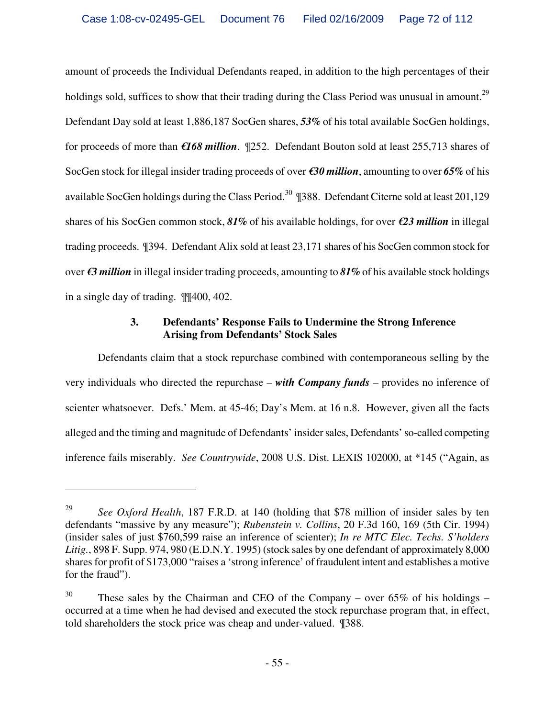amount of proceeds the Individual Defendants reaped, in addition to the high percentages of their holdings sold, suffices to show that their trading during the Class Period was unusual in amount.<sup>29</sup> Defendant Day sold at least 1,886,187 SocGen shares, *53%* of his total available SocGen holdings, for proceeds of more than *€168 million*. ¶252. Defendant Bouton sold at least 255,713 shares of SocGen stock for illegal insider trading proceeds of over *€30 million*, amounting to over *65%* of his available SocGen holdings during the Class Period.<sup>30</sup> ¶388. Defendant Citerne sold at least 201,129 shares of his SocGen common stock, *81%* of his available holdings, for over *€23 million* in illegal trading proceeds. ¶394. Defendant Alix sold at least 23,171 shares of his SocGen common stock for over *€3 million* in illegal insider trading proceeds, amounting to *81%* of his available stock holdings in a single day of trading. ¶¶400, 402.

### **3. Defendants' Response Fails to Undermine the Strong Inference Arising from Defendants' Stock Sales**

Defendants claim that a stock repurchase combined with contemporaneous selling by the very individuals who directed the repurchase – *with Company funds* – provides no inference of scienter whatsoever. Defs.' Mem. at 45-46; Day's Mem. at 16 n.8. However, given all the facts alleged and the timing and magnitude of Defendants' insider sales, Defendants' so-called competing inference fails miserably. *See Countrywide*, 2008 U.S. Dist. LEXIS 102000, at \*145 ("Again, as

<sup>29</sup> *See Oxford Health*, 187 F.R.D. at 140 (holding that \$78 million of insider sales by ten defendants "massive by any measure"); *Rubenstein v. Collins*, 20 F.3d 160, 169 (5th Cir. 1994) (insider sales of just \$760,599 raise an inference of scienter); *In re MTC Elec. Techs. S'holders Litig.*, 898 F. Supp. 974, 980 (E.D.N.Y. 1995) (stock sales by one defendant of approximately 8,000 shares for profit of \$173,000 "raises a 'strong inference' of fraudulent intent and establishes a motive for the fraud").

<sup>&</sup>lt;sup>30</sup> These sales by the Chairman and CEO of the Company – over 65% of his holdings – occurred at a time when he had devised and executed the stock repurchase program that, in effect, told shareholders the stock price was cheap and under-valued. ¶388.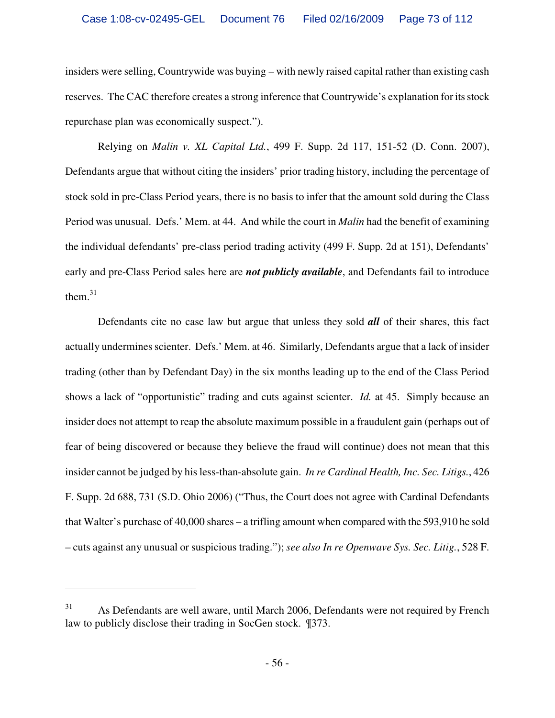insiders were selling, Countrywide was buying – with newly raised capital rather than existing cash reserves. The CAC therefore creates a strong inference that Countrywide's explanation for its stock repurchase plan was economically suspect.").

Relying on *Malin v. XL Capital Ltd.*, 499 F. Supp. 2d 117, 151-52 (D. Conn. 2007), Defendants argue that without citing the insiders' prior trading history, including the percentage of stock sold in pre-Class Period years, there is no basis to infer that the amount sold during the Class Period was unusual. Defs.' Mem. at 44. And while the court in *Malin* had the benefit of examining the individual defendants' pre-class period trading activity (499 F. Supp. 2d at 151), Defendants' early and pre-Class Period sales here are *not publicly available*, and Defendants fail to introduce them. $31$ 

Defendants cite no case law but argue that unless they sold *all* of their shares, this fact actually undermines scienter. Defs.' Mem. at 46. Similarly, Defendants argue that a lack of insider trading (other than by Defendant Day) in the six months leading up to the end of the Class Period shows a lack of "opportunistic" trading and cuts against scienter. *Id.* at 45. Simply because an insider does not attempt to reap the absolute maximum possible in a fraudulent gain (perhaps out of fear of being discovered or because they believe the fraud will continue) does not mean that this insider cannot be judged by his less-than-absolute gain. *In re Cardinal Health, Inc. Sec. Litigs.*, 426 F. Supp. 2d 688, 731 (S.D. Ohio 2006) ("Thus, the Court does not agree with Cardinal Defendants that Walter's purchase of 40,000 shares – a trifling amount when compared with the 593,910 he sold – cuts against any unusual or suspicious trading."); *see also In re Openwave Sys. Sec. Litig.*, 528 F.

 $\overline{a}$ 

<sup>&</sup>lt;sup>31</sup> As Defendants are well aware, until March 2006, Defendants were not required by French law to publicly disclose their trading in SocGen stock. ¶373.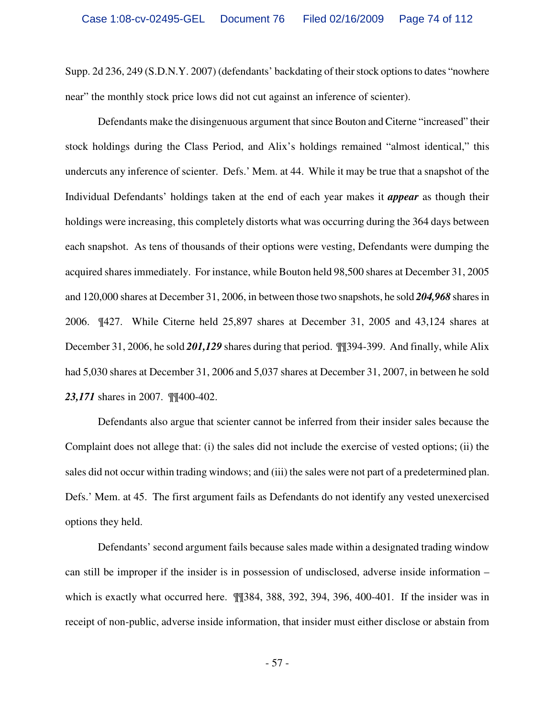Supp. 2d 236, 249 (S.D.N.Y. 2007) (defendants' backdating of their stock options to dates "nowhere near" the monthly stock price lows did not cut against an inference of scienter).

Defendants make the disingenuous argument that since Bouton and Citerne "increased" their stock holdings during the Class Period, and Alix's holdings remained "almost identical," this undercuts any inference of scienter. Defs.' Mem. at 44. While it may be true that a snapshot of the Individual Defendants' holdings taken at the end of each year makes it *appear* as though their holdings were increasing, this completely distorts what was occurring during the 364 days between each snapshot. As tens of thousands of their options were vesting, Defendants were dumping the acquired shares immediately. For instance, while Bouton held 98,500 shares at December 31, 2005 and 120,000 shares at December 31, 2006, in between those two snapshots, he sold *204,968* shares in 2006. ¶427. While Citerne held 25,897 shares at December 31, 2005 and 43,124 shares at December 31, 2006, he sold *201,129* shares during that period. ¶¶394-399. And finally, while Alix had 5,030 shares at December 31, 2006 and 5,037 shares at December 31, 2007, in between he sold *23,171* shares in 2007. ¶¶400-402.

Defendants also argue that scienter cannot be inferred from their insider sales because the Complaint does not allege that: (i) the sales did not include the exercise of vested options; (ii) the sales did not occur within trading windows; and (iii) the sales were not part of a predetermined plan. Defs.' Mem. at 45. The first argument fails as Defendants do not identify any vested unexercised options they held.

Defendants' second argument fails because sales made within a designated trading window can still be improper if the insider is in possession of undisclosed, adverse inside information – which is exactly what occurred here. ¶¶384, 388, 392, 394, 396, 400-401. If the insider was in receipt of non-public, adverse inside information, that insider must either disclose or abstain from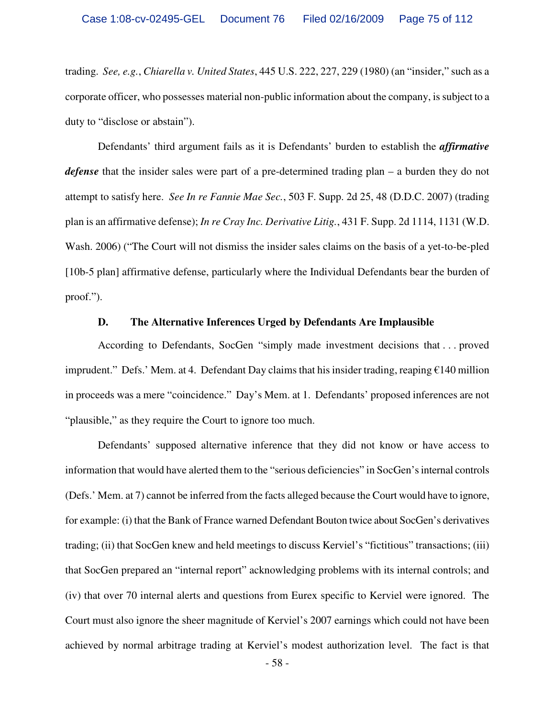trading. *See, e.g.*, *Chiarella v. United States*, 445 U.S. 222, 227, 229 (1980) (an "insider," such as a corporate officer, who possesses material non-public information about the company, is subject to a duty to "disclose or abstain").

Defendants' third argument fails as it is Defendants' burden to establish the *affirmative defense* that the insider sales were part of a pre-determined trading plan – a burden they do not attempt to satisfy here. *See In re Fannie Mae Sec.*, 503 F. Supp. 2d 25, 48 (D.D.C. 2007) (trading plan is an affirmative defense); *In re Cray Inc. Derivative Litig.*, 431 F. Supp. 2d 1114, 1131 (W.D. Wash. 2006) ("The Court will not dismiss the insider sales claims on the basis of a yet-to-be-pled [10b-5 plan] affirmative defense, particularly where the Individual Defendants bear the burden of proof.").

### **D. The Alternative Inferences Urged by Defendants Are Implausible**

According to Defendants, SocGen "simply made investment decisions that . . . proved imprudent." Defs.' Mem. at 4. Defendant Day claims that his insider trading, reaping  $\epsilon$ 140 million in proceeds was a mere "coincidence." Day's Mem. at 1. Defendants' proposed inferences are not "plausible," as they require the Court to ignore too much.

Defendants' supposed alternative inference that they did not know or have access to information that would have alerted them to the "serious deficiencies" in SocGen's internal controls (Defs.' Mem. at 7) cannot be inferred from the facts alleged because the Court would have to ignore, for example: (i) that the Bank of France warned Defendant Bouton twice about SocGen's derivatives trading; (ii) that SocGen knew and held meetings to discuss Kerviel's "fictitious" transactions; (iii) that SocGen prepared an "internal report" acknowledging problems with its internal controls; and (iv) that over 70 internal alerts and questions from Eurex specific to Kerviel were ignored. The Court must also ignore the sheer magnitude of Kerviel's 2007 earnings which could not have been achieved by normal arbitrage trading at Kerviel's modest authorization level. The fact is that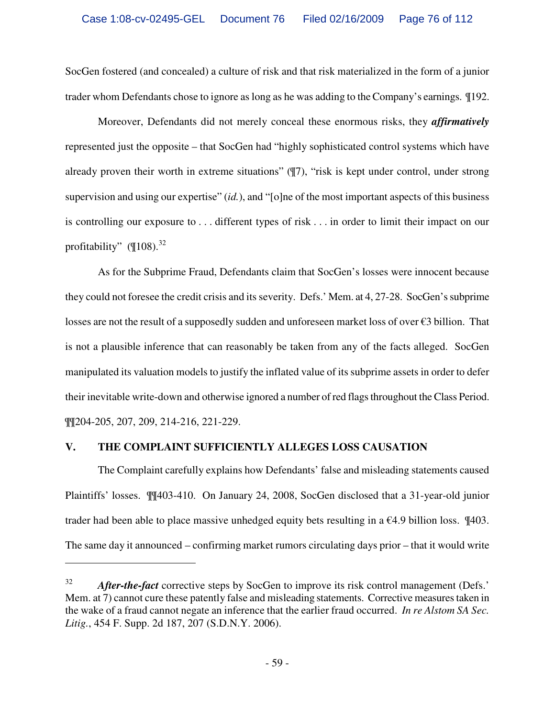SocGen fostered (and concealed) a culture of risk and that risk materialized in the form of a junior trader whom Defendants chose to ignore as long as he was adding to the Company's earnings. ¶192.

Moreover, Defendants did not merely conceal these enormous risks, they *affirmatively*  represented just the opposite – that SocGen had "highly sophisticated control systems which have already proven their worth in extreme situations" (¶7), "risk is kept under control, under strong supervision and using our expertise" (*id.*), and "[o]ne of the most important aspects of this business is controlling our exposure to . . . different types of risk . . . in order to limit their impact on our profitability"  $($ <del>[</del>108).<sup>32</sup>

As for the Subprime Fraud, Defendants claim that SocGen's losses were innocent because they could not foresee the credit crisis and its severity. Defs.' Mem. at 4, 27-28. SocGen's subprime losses are not the result of a supposedly sudden and unforeseen market loss of over €3 billion. That is not a plausible inference that can reasonably be taken from any of the facts alleged. SocGen manipulated its valuation models to justify the inflated value of its subprime assets in order to defer their inevitable write-down and otherwise ignored a number of red flags throughout the Class Period. ¶¶204-205, 207, 209, 214-216, 221-229.

## **V. THE COMPLAINT SUFFICIENTLY ALLEGES LOSS CAUSATION**

<u>.</u>

The Complaint carefully explains how Defendants' false and misleading statements caused Plaintiffs' losses. ¶¶403-410. On January 24, 2008, SocGen disclosed that a 31-year-old junior trader had been able to place massive unhedged equity bets resulting in a  $\epsilon$ 4.9 billion loss. ¶403. The same day it announced – confirming market rumors circulating days prior – that it would write

<sup>&</sup>lt;sup>32</sup> *After-the-fact* corrective steps by SocGen to improve its risk control management (Defs.') Mem. at 7) cannot cure these patently false and misleading statements. Corrective measures taken in the wake of a fraud cannot negate an inference that the earlier fraud occurred. *In re Alstom SA Sec. Litig.*, 454 F. Supp. 2d 187, 207 (S.D.N.Y. 2006).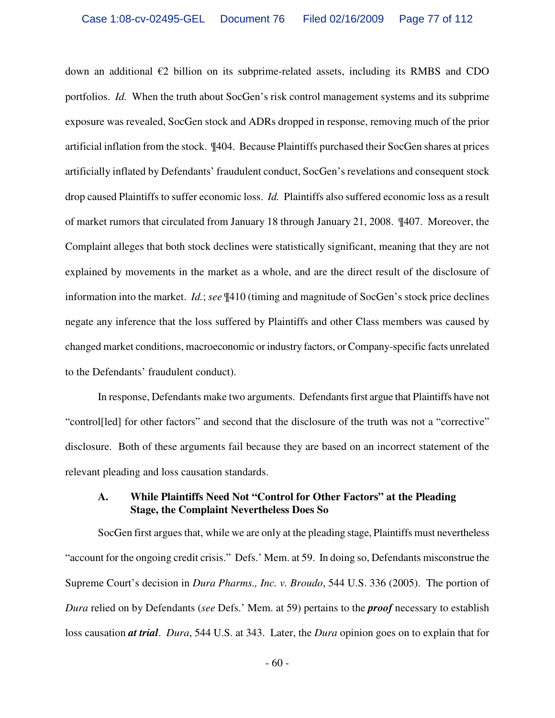down an additional  $\epsilon$ 2 billion on its subprime-related assets, including its RMBS and CDO portfolios. *Id.* When the truth about SocGen's risk control management systems and its subprime exposure was revealed, SocGen stock and ADRs dropped in response, removing much of the prior artificial inflation from the stock. ¶404. Because Plaintiffs purchased their SocGen shares at prices artificially inflated by Defendants' fraudulent conduct, SocGen's revelations and consequent stock drop caused Plaintiffs to suffer economic loss. *Id.* Plaintiffs also suffered economic loss as a result of market rumors that circulated from January 18 through January 21, 2008. ¶407. Moreover, the Complaint alleges that both stock declines were statistically significant, meaning that they are not explained by movements in the market as a whole, and are the direct result of the disclosure of information into the market. *Id.*; *see* ¶410 (timing and magnitude of SocGen's stock price declines negate any inference that the loss suffered by Plaintiffs and other Class members was caused by changed market conditions, macroeconomic or industry factors, or Company-specific facts unrelated to the Defendants' fraudulent conduct).

In response, Defendants make two arguments. Defendants first argue that Plaintiffs have not "control[led] for other factors" and second that the disclosure of the truth was not a "corrective" disclosure. Both of these arguments fail because they are based on an incorrect statement of the relevant pleading and loss causation standards.

### **A. While Plaintiffs Need Not "Control for Other Factors" at the Pleading Stage, the Complaint Nevertheless Does So**

SocGen first argues that, while we are only at the pleading stage, Plaintiffs must nevertheless "account for the ongoing credit crisis." Defs.' Mem. at 59. In doing so, Defendants misconstrue the Supreme Court's decision in *Dura Pharms., Inc. v. Broudo*, 544 U.S. 336 (2005). The portion of *Dura* relied on by Defendants (*see* Defs.' Mem. at 59) pertains to the *proof* necessary to establish loss causation *at trial*. *Dura*, 544 U.S. at 343. Later, the *Dura* opinion goes on to explain that for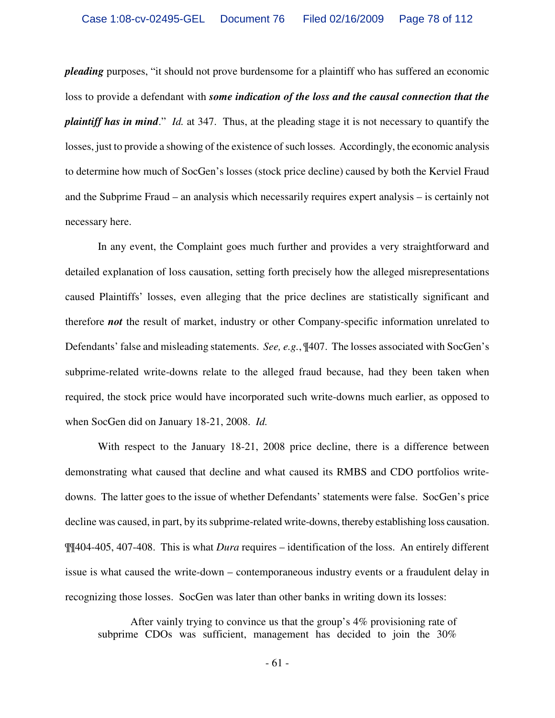*pleading* purposes, "it should not prove burdensome for a plaintiff who has suffered an economic loss to provide a defendant with *some indication of the loss and the causal connection that the plaintiff has in mind*." *Id.* at 347. Thus, at the pleading stage it is not necessary to quantify the losses, just to provide a showing of the existence of such losses. Accordingly, the economic analysis to determine how much of SocGen's losses (stock price decline) caused by both the Kerviel Fraud and the Subprime Fraud – an analysis which necessarily requires expert analysis – is certainly not necessary here.

In any event, the Complaint goes much further and provides a very straightforward and detailed explanation of loss causation, setting forth precisely how the alleged misrepresentations caused Plaintiffs' losses, even alleging that the price declines are statistically significant and therefore *not* the result of market, industry or other Company-specific information unrelated to Defendants' false and misleading statements. *See, e.g.*, ¶407. The losses associated with SocGen's subprime-related write-downs relate to the alleged fraud because, had they been taken when required, the stock price would have incorporated such write-downs much earlier, as opposed to when SocGen did on January 18-21, 2008. *Id.*

With respect to the January 18-21, 2008 price decline, there is a difference between demonstrating what caused that decline and what caused its RMBS and CDO portfolios writedowns. The latter goes to the issue of whether Defendants' statements were false. SocGen's price decline was caused, in part, by its subprime-related write-downs, thereby establishing loss causation. ¶¶404-405, 407-408. This is what *Dura* requires – identification of the loss. An entirely different issue is what caused the write-down – contemporaneous industry events or a fraudulent delay in recognizing those losses. SocGen was later than other banks in writing down its losses:

After vainly trying to convince us that the group's 4% provisioning rate of subprime CDOs was sufficient, management has decided to join the 30%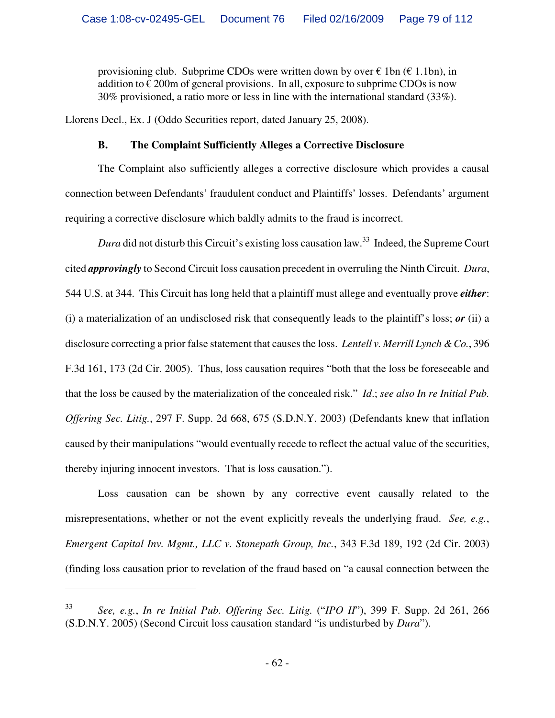provisioning club. Subprime CDOs were written down by over  $\epsilon$  1 bn ( $\epsilon$  1.1bn), in addition to  $\epsilon$  200m of general provisions. In all, exposure to subprime CDOs is now 30% provisioned, a ratio more or less in line with the international standard (33%).

Llorens Decl., Ex. J (Oddo Securities report, dated January 25, 2008).

## **B. The Complaint Sufficiently Alleges a Corrective Disclosure**

The Complaint also sufficiently alleges a corrective disclosure which provides a causal connection between Defendants' fraudulent conduct and Plaintiffs' losses. Defendants' argument requiring a corrective disclosure which baldly admits to the fraud is incorrect.

*Dura* did not disturb this Circuit's existing loss causation law.<sup>33</sup> Indeed, the Supreme Court cited *approvingly* to Second Circuit loss causation precedent in overruling the Ninth Circuit. *Dura*, 544 U.S. at 344. This Circuit has long held that a plaintiff must allege and eventually prove *either*: (i) a materialization of an undisclosed risk that consequently leads to the plaintiff's loss; *or* (ii) a disclosure correcting a prior false statement that causes the loss. *Lentell v. Merrill Lynch & Co.*, 396 F.3d 161, 173 (2d Cir. 2005). Thus, loss causation requires "both that the loss be foreseeable and that the loss be caused by the materialization of the concealed risk." *Id*.; *see also In re Initial Pub. Offering Sec. Litig.*, 297 F. Supp. 2d 668, 675 (S.D.N.Y. 2003) (Defendants knew that inflation caused by their manipulations "would eventually recede to reflect the actual value of the securities, thereby injuring innocent investors. That is loss causation.").

Loss causation can be shown by any corrective event causally related to the misrepresentations, whether or not the event explicitly reveals the underlying fraud. *See, e.g.*, *Emergent Capital Inv. Mgmt., LLC v. Stonepath Group, Inc.*, 343 F.3d 189, 192 (2d Cir. 2003) (finding loss causation prior to revelation of the fraud based on "a causal connection between the

1

<sup>33</sup> *See, e.g.*, *In re Initial Pub. Offering Sec. Litig.* ("*IPO II*"), 399 F. Supp. 2d 261, 266 (S.D.N.Y. 2005) (Second Circuit loss causation standard "is undisturbed by *Dura*").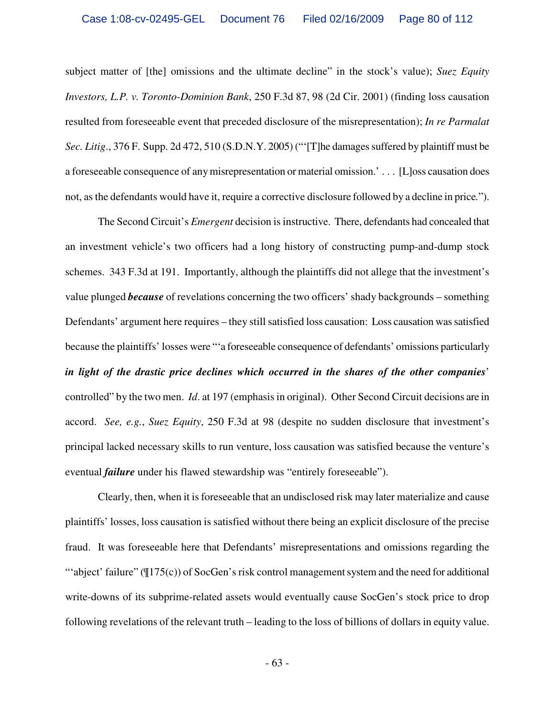subject matter of [the] omissions and the ultimate decline" in the stock's value); *Suez Equity Investors, L.P. v. Toronto-Dominion Bank*, 250 F.3d 87, 98 (2d Cir. 2001) (finding loss causation resulted from foreseeable event that preceded disclosure of the misrepresentation); *In re Parmalat Sec. Litig*., 376 F. Supp. 2d 472, 510 (S.D.N.Y. 2005) ("'[T]he damages suffered by plaintiff must be a foreseeable consequence of any misrepresentation or material omission.' . . . [L]oss causation does not, as the defendants would have it, require a corrective disclosure followed by a decline in price*.*").

The Second Circuit's *Emergent* decision is instructive. There, defendants had concealed that an investment vehicle's two officers had a long history of constructing pump-and-dump stock schemes. 343 F.3d at 191. Importantly, although the plaintiffs did not allege that the investment's value plunged *because* of revelations concerning the two officers' shady backgrounds – something Defendants' argument here requires – they still satisfied loss causation: Loss causation was satisfied because the plaintiffs' losses were "'a foreseeable consequence of defendants' omissions particularly *in light of the drastic price declines which occurred in the shares of the other companies*' controlled" by the two men. *Id*. at 197 (emphasis in original). Other Second Circuit decisions are in accord. *See, e.g.*, *Suez Equity*, 250 F.3d at 98 (despite no sudden disclosure that investment's principal lacked necessary skills to run venture, loss causation was satisfied because the venture's eventual *failure* under his flawed stewardship was "entirely foreseeable").

Clearly, then, when it is foreseeable that an undisclosed risk may later materialize and cause plaintiffs' losses, loss causation is satisfied without there being an explicit disclosure of the precise fraud. It was foreseeable here that Defendants' misrepresentations and omissions regarding the "abject' failure" ( $\P$ 175(c)) of SocGen's risk control management system and the need for additional write-downs of its subprime-related assets would eventually cause SocGen's stock price to drop following revelations of the relevant truth – leading to the loss of billions of dollars in equity value.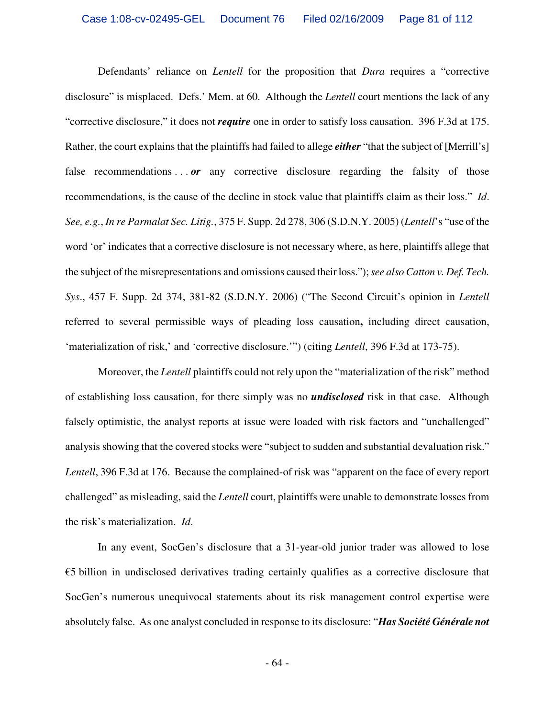Defendants' reliance on *Lentell* for the proposition that *Dura* requires a "corrective disclosure" is misplaced. Defs.' Mem. at 60. Although the *Lentell* court mentions the lack of any "corrective disclosure," it does not *require* one in order to satisfy loss causation. 396 F.3d at 175. Rather, the court explains that the plaintiffs had failed to allege *either* "that the subject of [Merrill's] false recommendations . . . *or* any corrective disclosure regarding the falsity of those recommendations, is the cause of the decline in stock value that plaintiffs claim as their loss." *Id*. *See, e.g.*, *In re Parmalat Sec. Litig.*, 375 F. Supp. 2d 278, 306 (S.D.N.Y. 2005) (*Lentell*'s "use of the word 'or' indicates that a corrective disclosure is not necessary where, as here, plaintiffs allege that the subject of the misrepresentations and omissions caused their loss."); *see also Catton v. Def. Tech. Sys*., 457 F. Supp. 2d 374, 381-82 (S.D.N.Y. 2006) ("The Second Circuit's opinion in *Lentell* referred to several permissible ways of pleading loss causation**,** including direct causation, 'materialization of risk,' and 'corrective disclosure.'") (citing *Lentell*, 396 F.3d at 173-75).

Moreover, the *Lentell* plaintiffs could not rely upon the "materialization of the risk" method of establishing loss causation, for there simply was no *undisclosed* risk in that case. Although falsely optimistic, the analyst reports at issue were loaded with risk factors and "unchallenged" analysis showing that the covered stocks were "subject to sudden and substantial devaluation risk." *Lentell*, 396 F.3d at 176. Because the complained-of risk was "apparent on the face of every report challenged" as misleading, said the *Lentell* court, plaintiffs were unable to demonstrate losses from the risk's materialization. *Id*.

In any event, SocGen's disclosure that a 31-year-old junior trader was allowed to lose  $\epsilon$ 5 billion in undisclosed derivatives trading certainly qualifies as a corrective disclosure that SocGen's numerous unequivocal statements about its risk management control expertise were absolutely false. As one analyst concluded in response to its disclosure: "*Has Société Générale not*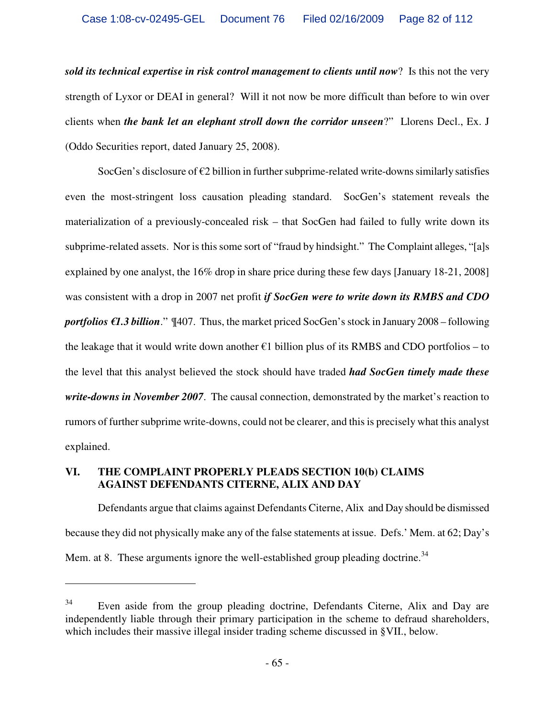*sold its technical expertise in risk control management to clients until now*? Is this not the very strength of Lyxor or DEAI in general? Will it not now be more difficult than before to win over clients when *the bank let an elephant stroll down the corridor unseen*?" Llorens Decl., Ex. J (Oddo Securities report, dated January 25, 2008).

SocGen's disclosure of  $E2$  billion in further subprime-related write-downs similarly satisfies even the most-stringent loss causation pleading standard. SocGen's statement reveals the materialization of a previously-concealed risk – that SocGen had failed to fully write down its subprime-related assets. Nor is this some sort of "fraud by hindsight." The Complaint alleges, "[a]s explained by one analyst, the 16% drop in share price during these few days [January 18-21, 2008] was consistent with a drop in 2007 net profit *if SocGen were to write down its RMBS and CDO portfolios €1.3 billion*." ¶407. Thus, the market priced SocGen's stock in January 2008 – following the leakage that it would write down another  $\epsilon$ 1 billion plus of its RMBS and CDO portfolios – to the level that this analyst believed the stock should have traded *had SocGen timely made these write-downs in November 2007*. The causal connection, demonstrated by the market's reaction to rumors of further subprime write-downs, could not be clearer, and this is precisely what this analyst explained.

## **VI. THE COMPLAINT PROPERLY PLEADS SECTION 10(b) CLAIMS AGAINST DEFENDANTS CITERNE, ALIX AND DAY**

 $\overline{a}$ 

Defendants argue that claims against Defendants Citerne, Alix and Day should be dismissed because they did not physically make any of the false statements at issue. Defs.' Mem. at 62; Day's Mem. at 8. These arguments ignore the well-established group pleading doctrine.<sup>34</sup>

<sup>&</sup>lt;sup>34</sup> Even aside from the group pleading doctrine, Defendants Citerne, Alix and Day are independently liable through their primary participation in the scheme to defraud shareholders, which includes their massive illegal insider trading scheme discussed in §VII., below.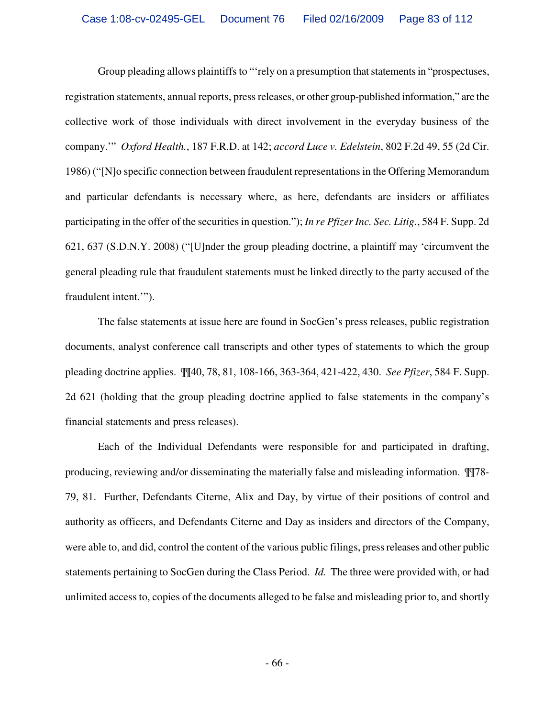Group pleading allows plaintiffs to "rely on a presumption that statements in "prospectuses, registration statements, annual reports, press releases, or other group-published information," are the collective work of those individuals with direct involvement in the everyday business of the company.'" *Oxford Health.*, 187 F.R.D. at 142; *accord Luce v. Edelstein*, 802 F.2d 49, 55 (2d Cir. 1986) ("[N]o specific connection between fraudulent representations in the Offering Memorandum and particular defendants is necessary where, as here, defendants are insiders or affiliates participating in the offer of the securities in question."); *In re Pfizer Inc. Sec. Litig.*, 584 F. Supp. 2d 621, 637 (S.D.N.Y. 2008) ("[U]nder the group pleading doctrine, a plaintiff may 'circumvent the general pleading rule that fraudulent statements must be linked directly to the party accused of the fraudulent intent.'").

The false statements at issue here are found in SocGen's press releases, public registration documents, analyst conference call transcripts and other types of statements to which the group pleading doctrine applies. ¶¶40, 78, 81, 108-166, 363-364, 421-422, 430. *See Pfizer*, 584 F. Supp. 2d 621 (holding that the group pleading doctrine applied to false statements in the company's financial statements and press releases).

Each of the Individual Defendants were responsible for and participated in drafting, producing, reviewing and/or disseminating the materially false and misleading information. ¶¶78- 79, 81. Further, Defendants Citerne, Alix and Day, by virtue of their positions of control and authority as officers, and Defendants Citerne and Day as insiders and directors of the Company, were able to, and did, control the content of the various public filings, press releases and other public statements pertaining to SocGen during the Class Period. *Id.* The three were provided with, or had unlimited access to, copies of the documents alleged to be false and misleading prior to, and shortly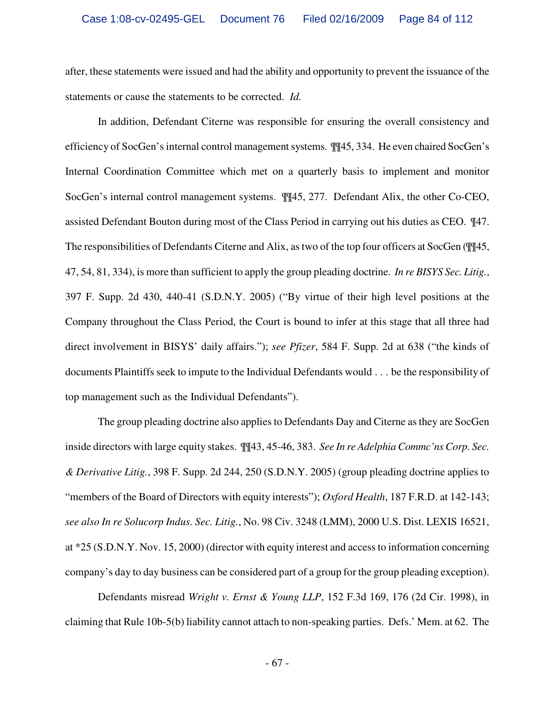after, these statements were issued and had the ability and opportunity to prevent the issuance of the statements or cause the statements to be corrected. *Id.*

In addition, Defendant Citerne was responsible for ensuring the overall consistency and efficiency of SocGen's internal control management systems. ¶¶45, 334. He even chaired SocGen's Internal Coordination Committee which met on a quarterly basis to implement and monitor SocGen's internal control management systems. ¶¶45, 277. Defendant Alix, the other Co-CEO, assisted Defendant Bouton during most of the Class Period in carrying out his duties as CEO. ¶47. The responsibilities of Defendants Citerne and Alix, as two of the top four officers at SocGen (¶¶45, 47, 54, 81, 334), is more than sufficient to apply the group pleading doctrine. *In re BISYS Sec. Litig.*, 397 F. Supp. 2d 430, 440-41 (S.D.N.Y. 2005) ("By virtue of their high level positions at the Company throughout the Class Period, the Court is bound to infer at this stage that all three had direct involvement in BISYS' daily affairs."); *see Pfizer*, 584 F. Supp. 2d at 638 ("the kinds of documents Plaintiffs seek to impute to the Individual Defendants would . . . be the responsibility of top management such as the Individual Defendants").

The group pleading doctrine also applies to Defendants Day and Citerne as they are SocGen inside directors with large equity stakes. ¶¶43, 45-46, 383. *See In re Adelphia Commc'ns Corp. Sec. & Derivative Litig.*, 398 F. Supp. 2d 244, 250 (S.D.N.Y. 2005) (group pleading doctrine applies to "members of the Board of Directors with equity interests"); *Oxford Health*, 187 F.R.D. at 142-143; *see also In re Solucorp Indus. Sec. Litig.*, No. 98 Civ. 3248 (LMM), 2000 U.S. Dist. LEXIS 16521, at \*25 (S.D.N.Y. Nov. 15, 2000) (director with equity interest and access to information concerning company's day to day business can be considered part of a group for the group pleading exception).

Defendants misread *Wright v. Ernst & Young LLP*, 152 F.3d 169, 176 (2d Cir. 1998), in claiming that Rule 10b-5(b) liability cannot attach to non-speaking parties. Defs.' Mem. at 62. The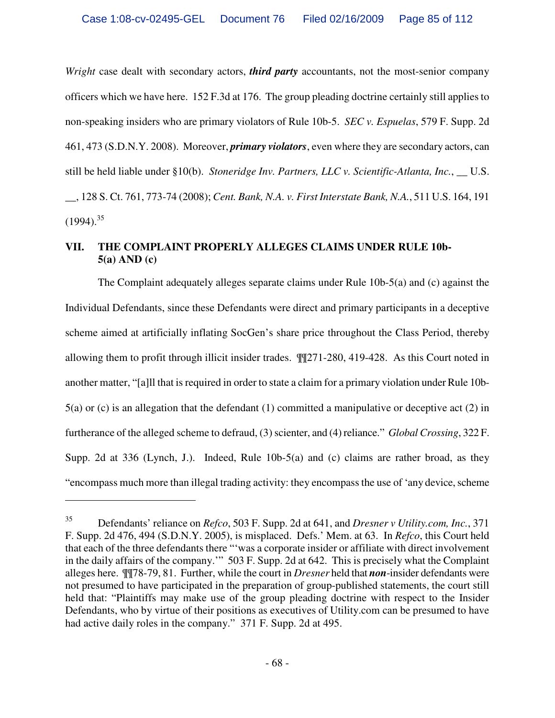*Wright* case dealt with secondary actors, *third party* accountants, not the most-senior company officers which we have here. 152 F.3d at 176. The group pleading doctrine certainly still applies to non-speaking insiders who are primary violators of Rule 10b-5. *SEC v. Espuelas*, 579 F. Supp. 2d 461, 473 (S.D.N.Y. 2008). Moreover, *primary violators*, even where they are secondary actors, can still be held liable under §10(b). *Stoneridge Inv. Partners, LLC v. Scientific-Atlanta, Inc.*, \_\_ U.S. \_\_, 128 S. Ct. 761, 773-74 (2008); *Cent. Bank, N.A. v. First Interstate Bank, N.A.*, 511 U.S. 164, 191  $(1994)^{35}$ 

# **VII. THE COMPLAINT PROPERLY ALLEGES CLAIMS UNDER RULE 10b-5(a) AND (c)**

The Complaint adequately alleges separate claims under Rule 10b-5(a) and (c) against the Individual Defendants, since these Defendants were direct and primary participants in a deceptive scheme aimed at artificially inflating SocGen's share price throughout the Class Period, thereby allowing them to profit through illicit insider trades. ¶¶271-280, 419-428. As this Court noted in another matter, "[a]ll that is required in order to state a claim for a primary violation under Rule 10b-5(a) or (c) is an allegation that the defendant (1) committed a manipulative or deceptive act (2) in furtherance of the alleged scheme to defraud, (3) scienter, and (4) reliance." *Global Crossing*, 322 F. Supp. 2d at 336 (Lynch, J.). Indeed, Rule 10b-5(a) and (c) claims are rather broad, as they "encompass much more than illegal trading activity: they encompass the use of 'any device, scheme

<u>.</u>

<sup>35</sup> Defendants' reliance on *Refco*, 503 F. Supp. 2d at 641, and *Dresner v Utility.com, Inc.*, 371 F. Supp. 2d 476, 494 (S.D.N.Y. 2005), is misplaced. Defs.' Mem. at 63. In *Refco*, this Court held that each of the three defendants there "'was a corporate insider or affiliate with direct involvement in the daily affairs of the company.'" 503 F. Supp. 2d at 642. This is precisely what the Complaint alleges here. ¶¶78-79, 81. Further, while the court in *Dresner* held that *non*-insider defendants were not presumed to have participated in the preparation of group-published statements, the court still held that: "Plaintiffs may make use of the group pleading doctrine with respect to the Insider Defendants, who by virtue of their positions as executives of Utility.com can be presumed to have had active daily roles in the company." 371 F. Supp. 2d at 495.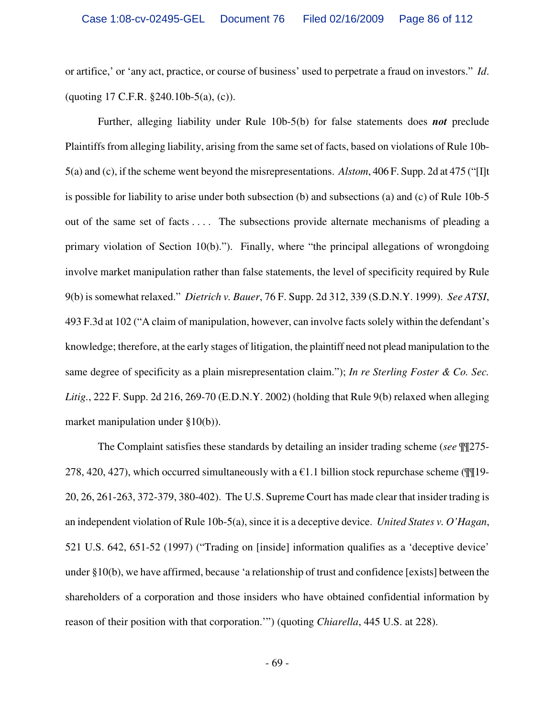or artifice,' or 'any act, practice, or course of business' used to perpetrate a fraud on investors." *Id*. (quoting 17 C.F.R. §240.10b-5(a), (c)).

Further, alleging liability under Rule 10b-5(b) for false statements does *not* preclude Plaintiffs from alleging liability, arising from the same set of facts, based on violations of Rule 10b-5(a) and (c), if the scheme went beyond the misrepresentations. *Alstom*, 406 F. Supp. 2d at 475 ("[I]t is possible for liability to arise under both subsection (b) and subsections (a) and (c) of Rule 10b-5 out of the same set of facts .... The subsections provide alternate mechanisms of pleading a primary violation of Section 10(b)."). Finally, where "the principal allegations of wrongdoing involve market manipulation rather than false statements, the level of specificity required by Rule 9(b) is somewhat relaxed." *Dietrich v. Bauer*, 76 F. Supp. 2d 312, 339 (S.D.N.Y. 1999). *See ATSI*, 493 F.3d at 102 ("A claim of manipulation, however, can involve facts solely within the defendant's knowledge; therefore, at the early stages of litigation, the plaintiff need not plead manipulation to the same degree of specificity as a plain misrepresentation claim."); *In re Sterling Foster & Co. Sec. Litig.*, 222 F. Supp. 2d 216, 269-70 (E.D.N.Y. 2002) (holding that Rule 9(b) relaxed when alleging market manipulation under §10(b)).

The Complaint satisfies these standards by detailing an insider trading scheme (*see* ¶¶275- 278, 420, 427), which occurred simultaneously with a  $\epsilon$ 1.1 billion stock repurchase scheme (¶[19-20, 26, 261-263, 372-379, 380-402). The U.S. Supreme Court has made clear that insider trading is an independent violation of Rule 10b-5(a), since it is a deceptive device. *United States v. O'Hagan*, 521 U.S. 642, 651-52 (1997) ("Trading on [inside] information qualifies as a 'deceptive device' under §10(b), we have affirmed, because 'a relationship of trust and confidence [exists] between the shareholders of a corporation and those insiders who have obtained confidential information by reason of their position with that corporation.'") (quoting *Chiarella*, 445 U.S. at 228).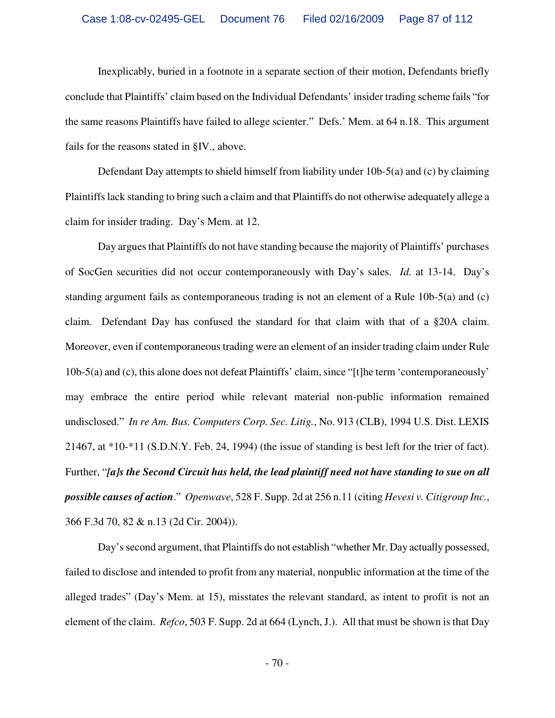Inexplicably, buried in a footnote in a separate section of their motion, Defendants briefly conclude that Plaintiffs' claim based on the Individual Defendants' insider trading scheme fails "for the same reasons Plaintiffs have failed to allege scienter." Defs.' Mem. at 64 n.18. This argument fails for the reasons stated in §IV., above.

Defendant Day attempts to shield himself from liability under 10b-5(a) and (c) by claiming Plaintiffs lack standing to bring such a claim and that Plaintiffs do not otherwise adequately allege a claim for insider trading. Day's Mem. at 12.

Day argues that Plaintiffs do not have standing because the majority of Plaintiffs' purchases of SocGen securities did not occur contemporaneously with Day's sales. *Id.* at 13-14. Day's standing argument fails as contemporaneous trading is not an element of a Rule 10b-5(a) and (c) claim. Defendant Day has confused the standard for that claim with that of a §20A claim. Moreover, even if contemporaneous trading were an element of an insider trading claim under Rule 10b-5(a) and (c), this alone does not defeat Plaintiffs' claim, since "[t]he term 'contemporaneously' may embrace the entire period while relevant material non-public information remained undisclosed." *In re Am. Bus. Computers Corp. Sec. Litig.*, No. 913 (CLB), 1994 U.S. Dist. LEXIS 21467, at \*10-\*11 (S.D.N.Y. Feb. 24, 1994) (the issue of standing is best left for the trier of fact). Further, "*[a]s the Second Circuit has held, the lead plaintiff need not have standing to sue on all possible causes of action*." *Openwave*, 528 F. Supp. 2d at 256 n.11 (citing *Hevesi v. Citigroup Inc.*, 366 F.3d 70, 82 & n.13 (2d Cir. 2004)).

Day's second argument, that Plaintiffs do not establish "whether Mr. Day actually possessed, failed to disclose and intended to profit from any material, nonpublic information at the time of the alleged trades" (Day's Mem. at 15), misstates the relevant standard, as intent to profit is not an element of the claim. *Refco*, 503 F. Supp. 2d at 664 (Lynch, J.). All that must be shown is that Day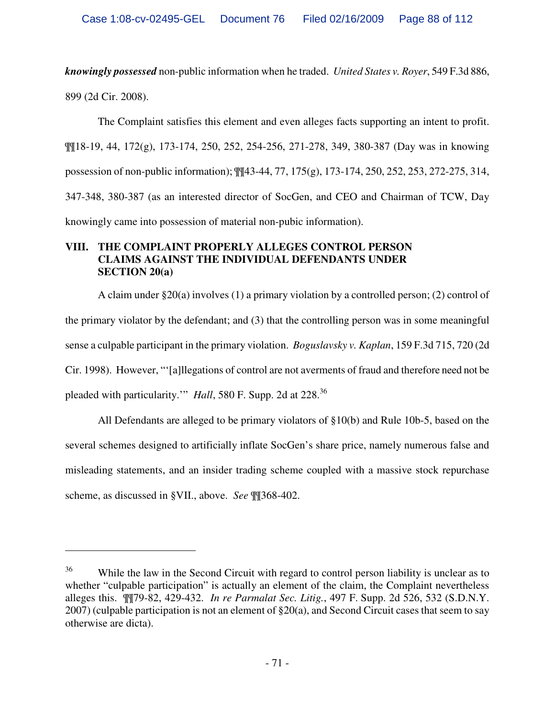*knowingly possessed* non-public information when he traded. *United States v. Royer*, 549 F.3d 886, 899 (2d Cir. 2008).

The Complaint satisfies this element and even alleges facts supporting an intent to profit. ¶¶18-19, 44, 172(g), 173-174, 250, 252, 254-256, 271-278, 349, 380-387 (Day was in knowing possession of non-public information); ¶¶43-44, 77, 175(g), 173-174, 250, 252, 253, 272-275, 314, 347-348, 380-387 (as an interested director of SocGen, and CEO and Chairman of TCW, Day knowingly came into possession of material non-pubic information).

# **VIII. THE COMPLAINT PROPERLY ALLEGES CONTROL PERSON CLAIMS AGAINST THE INDIVIDUAL DEFENDANTS UNDER SECTION 20(a)**

A claim under  $\S 20(a)$  involves (1) a primary violation by a controlled person; (2) control of the primary violator by the defendant; and (3) that the controlling person was in some meaningful sense a culpable participant in the primary violation. *Boguslavsky v. Kaplan*, 159 F.3d 715, 720 (2d Cir. 1998). However, "'[a]llegations of control are not averments of fraud and therefore need not be pleaded with particularity.'" *Hall*, 580 F. Supp. 2d at 228.<sup>36</sup>

All Defendants are alleged to be primary violators of §10(b) and Rule 10b-5, based on the several schemes designed to artificially inflate SocGen's share price, namely numerous false and misleading statements, and an insider trading scheme coupled with a massive stock repurchase scheme, as discussed in §VII., above. *See* ¶¶368-402.

1

 $36$  While the law in the Second Circuit with regard to control person liability is unclear as to whether "culpable participation" is actually an element of the claim, the Complaint nevertheless alleges this. ¶¶79-82, 429-432. *In re Parmalat Sec. Litig.*, 497 F. Supp. 2d 526, 532 (S.D.N.Y. 2007) (culpable participation is not an element of §20(a), and Second Circuit cases that seem to say otherwise are dicta).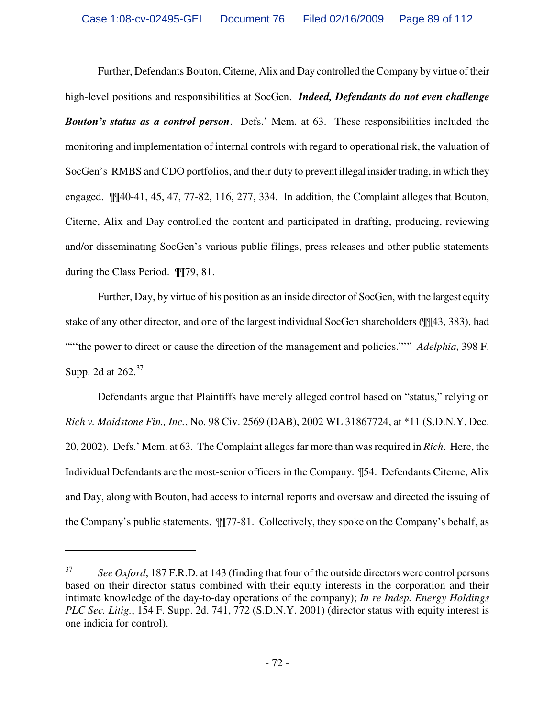Further, Defendants Bouton, Citerne, Alix and Day controlled the Company by virtue of their high-level positions and responsibilities at SocGen. *Indeed, Defendants do not even challenge Bouton's status as a control person*. Defs.' Mem. at 63. These responsibilities included the monitoring and implementation of internal controls with regard to operational risk, the valuation of SocGen's RMBS and CDO portfolios, and their duty to prevent illegal insider trading, in which they engaged. ¶¶40-41, 45, 47, 77-82, 116, 277, 334. In addition, the Complaint alleges that Bouton, Citerne, Alix and Day controlled the content and participated in drafting, producing, reviewing and/or disseminating SocGen's various public filings, press releases and other public statements during the Class Period. ¶¶79, 81.

Further, Day, by virtue of his position as an inside director of SocGen, with the largest equity stake of any other director, and one of the largest individual SocGen shareholders (¶¶43, 383), had ""'the power to direct or cause the direction of the management and policies."'" *Adelphia*, 398 F. Supp. 2d at 262.<sup>37</sup>

Defendants argue that Plaintiffs have merely alleged control based on "status," relying on *Rich v. Maidstone Fin., Inc.*, No. 98 Civ. 2569 (DAB), 2002 WL 31867724, at \*11 (S.D.N.Y. Dec. 20, 2002). Defs.' Mem. at 63. The Complaint alleges far more than was required in *Rich*. Here, the Individual Defendants are the most-senior officers in the Company. ¶54. Defendants Citerne, Alix and Day, along with Bouton, had access to internal reports and oversaw and directed the issuing of the Company's public statements. ¶¶77-81. Collectively, they spoke on the Company's behalf, as

 $\overline{a}$ 

<sup>&</sup>lt;sup>37</sup> See Oxford, 187 F.R.D. at 143 (finding that four of the outside directors were control persons based on their director status combined with their equity interests in the corporation and their intimate knowledge of the day-to-day operations of the company); *In re Indep. Energy Holdings PLC Sec. Litig.*, 154 F. Supp. 2d. 741, 772 (S.D.N.Y. 2001) (director status with equity interest is one indicia for control).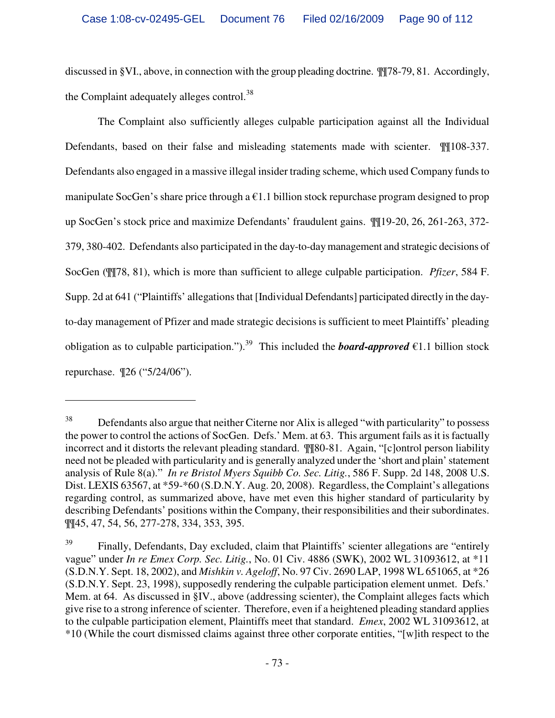discussed in §VI., above, in connection with the group pleading doctrine. ¶¶78-79, 81. Accordingly, the Complaint adequately alleges control.<sup>38</sup>

The Complaint also sufficiently alleges culpable participation against all the Individual Defendants, based on their false and misleading statements made with scienter. ¶¶108-337. Defendants also engaged in a massive illegal insider trading scheme, which used Company funds to manipulate SocGen's share price through a  $\epsilon$ 1.1 billion stock repurchase program designed to prop up SocGen's stock price and maximize Defendants' fraudulent gains. ¶¶19-20, 26, 261-263, 372- 379, 380-402. Defendants also participated in the day-to-day management and strategic decisions of SocGen (¶¶78, 81), which is more than sufficient to allege culpable participation. *Pfizer*, 584 F. Supp. 2d at 641 ("Plaintiffs' allegations that [Individual Defendants] participated directly in the dayto-day management of Pfizer and made strategic decisions is sufficient to meet Plaintiffs' pleading obligation as to culpable participation.").<sup>39</sup> This included the *board-approved*  $\epsilon$ 1.1 billion stock repurchase. ¶26 ("5/24/06").

1

<sup>&</sup>lt;sup>38</sup> Defendants also argue that neither Citerne nor Alix is alleged "with particularity" to possess the power to control the actions of SocGen. Defs.' Mem. at 63. This argument fails as it is factually incorrect and it distorts the relevant pleading standard. ¶¶80-81. Again, "[c]ontrol person liability need not be pleaded with particularity and is generally analyzed under the 'short and plain' statement analysis of Rule 8(a)." *In re Bristol Myers Squibb Co. Sec. Litig.*, 586 F. Supp. 2d 148, 2008 U.S. Dist. LEXIS 63567, at \*59-\*60 (S.D.N.Y. Aug. 20, 2008). Regardless, the Complaint's allegations regarding control, as summarized above, have met even this higher standard of particularity by describing Defendants' positions within the Company, their responsibilities and their subordinates. ¶¶45, 47, 54, 56, 277-278, 334, 353, 395.

<sup>&</sup>lt;sup>39</sup> Finally, Defendants, Day excluded, claim that Plaintiffs' scienter allegations are "entirely vague" under *In re Emex Corp. Sec. Litig.*, No. 01 Civ. 4886 (SWK), 2002 WL 31093612, at \*11 (S.D.N.Y. Sept. 18, 2002), and *Mishkin v. Ageloff*, No. 97 Civ. 2690 LAP, 1998 WL 651065, at \*26 (S.D.N.Y. Sept. 23, 1998), supposedly rendering the culpable participation element unmet. Defs.' Mem. at 64. As discussed in §IV., above (addressing scienter), the Complaint alleges facts which give rise to a strong inference of scienter. Therefore, even if a heightened pleading standard applies to the culpable participation element, Plaintiffs meet that standard. *Emex*, 2002 WL 31093612, at \*10 (While the court dismissed claims against three other corporate entities, "[w]ith respect to the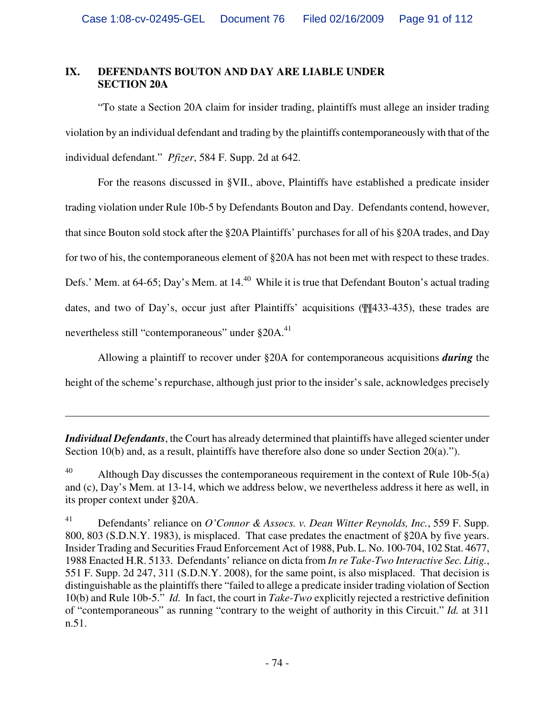# **IX. DEFENDANTS BOUTON AND DAY ARE LIABLE UNDER SECTION 20A**

"To state a Section 20A claim for insider trading, plaintiffs must allege an insider trading violation by an individual defendant and trading by the plaintiffs contemporaneously with that of the individual defendant." *Pfizer*, 584 F. Supp. 2d at 642.

For the reasons discussed in §VII., above, Plaintiffs have established a predicate insider trading violation under Rule 10b-5 by Defendants Bouton and Day. Defendants contend, however, that since Bouton sold stock after the §20A Plaintiffs' purchases for all of his §20A trades, and Day for two of his, the contemporaneous element of §20A has not been met with respect to these trades. Defs.' Mem. at 64-65; Day's Mem. at 14.<sup>40</sup> While it is true that Defendant Bouton's actual trading dates, and two of Day's, occur just after Plaintiffs' acquisitions (¶¶433-435), these trades are nevertheless still "contemporaneous" under §20A.<sup>41</sup>

Allowing a plaintiff to recover under §20A for contemporaneous acquisitions *during* the height of the scheme's repurchase, although just prior to the insider's sale, acknowledges precisely

*Individual Defendants*, the Court has already determined that plaintiffs have alleged scienter under Section 10(b) and, as a result, plaintiffs have therefore also done so under Section 20(a).").

<u>.</u>

<sup>40</sup> Although Day discusses the contemporaneous requirement in the context of Rule 10b-5(a) and (c), Day's Mem. at 13-14, which we address below, we nevertheless address it here as well, in its proper context under §20A.

<sup>41</sup> Defendants' reliance on *O'Connor & Assocs. v. Dean Witter Reynolds, Inc.*, 559 F. Supp. 800, 803 (S.D.N.Y. 1983), is misplaced. That case predates the enactment of §20A by five years. Insider Trading and Securities Fraud Enforcement Act of 1988, Pub. L. No. 100-704, 102 Stat. 4677, 1988 Enacted H.R. 5133. Defendants' reliance on dicta from *In re Take-Two Interactive Sec. Litig.*, 551 F. Supp. 2d 247, 311 (S.D.N.Y. 2008), for the same point, is also misplaced. That decision is distinguishable as the plaintiffs there "failed to allege a predicate insider trading violation of Section 10(b) and Rule 10b-5." *Id.* In fact, the court in *Take-Two* explicitly rejected a restrictive definition of "contemporaneous" as running "contrary to the weight of authority in this Circuit." *Id.* at 311 n.51.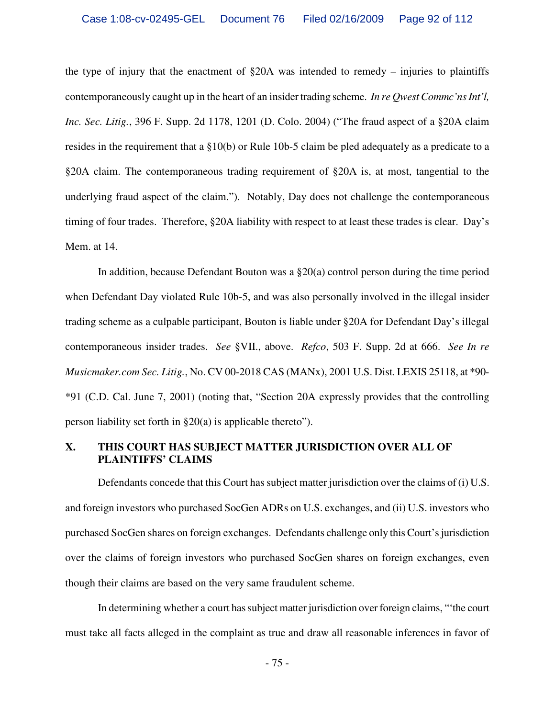the type of injury that the enactment of §20A was intended to remedy – injuries to plaintiffs contemporaneously caught up in the heart of an insider trading scheme. *In re Qwest Commc'ns Int'l, Inc. Sec. Litig.*, 396 F. Supp. 2d 1178, 1201 (D. Colo. 2004) ("The fraud aspect of a §20A claim resides in the requirement that a §10(b) or Rule 10b-5 claim be pled adequately as a predicate to a §20A claim. The contemporaneous trading requirement of §20A is, at most, tangential to the underlying fraud aspect of the claim."). Notably, Day does not challenge the contemporaneous timing of four trades. Therefore, §20A liability with respect to at least these trades is clear. Day's Mem. at 14.

In addition, because Defendant Bouton was a  $\S20(a)$  control person during the time period when Defendant Day violated Rule 10b-5, and was also personally involved in the illegal insider trading scheme as a culpable participant, Bouton is liable under §20A for Defendant Day's illegal contemporaneous insider trades. *See* §VII., above. *Refco*, 503 F. Supp. 2d at 666. *See In re Musicmaker.com Sec. Litig.*, No. CV 00-2018 CAS (MANx), 2001 U.S. Dist. LEXIS 25118, at \*90- \*91 (C.D. Cal. June 7, 2001) (noting that, "Section 20A expressly provides that the controlling person liability set forth in §20(a) is applicable thereto").

## **X. THIS COURT HAS SUBJECT MATTER JURISDICTION OVER ALL OF PLAINTIFFS' CLAIMS**

Defendants concede that this Court has subject matter jurisdiction over the claims of (i) U.S. and foreign investors who purchased SocGen ADRs on U.S. exchanges, and (ii) U.S. investors who purchased SocGen shares on foreign exchanges. Defendants challenge only this Court's jurisdiction over the claims of foreign investors who purchased SocGen shares on foreign exchanges, even though their claims are based on the very same fraudulent scheme.

In determining whether a court has subject matter jurisdiction over foreign claims, "'the court must take all facts alleged in the complaint as true and draw all reasonable inferences in favor of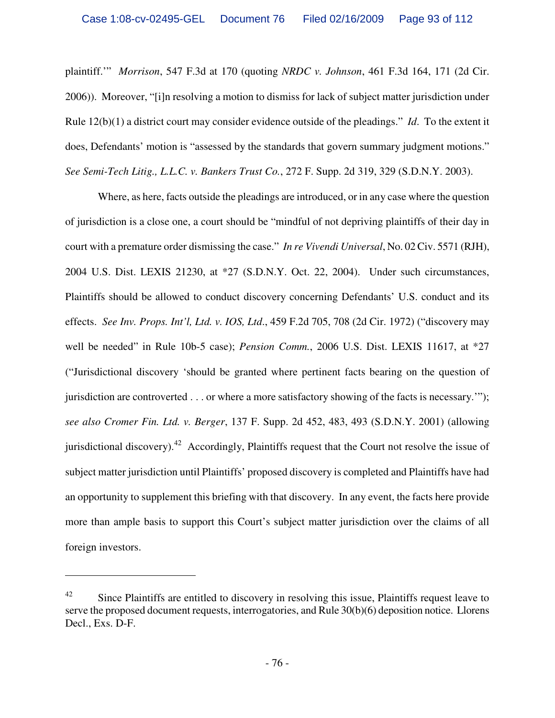plaintiff.'" *Morrison*, 547 F.3d at 170 (quoting *NRDC v. Johnson*, 461 F.3d 164, 171 (2d Cir. 2006)). Moreover, "[i]n resolving a motion to dismiss for lack of subject matter jurisdiction under Rule 12(b)(1) a district court may consider evidence outside of the pleadings." *Id*. To the extent it does, Defendants' motion is "assessed by the standards that govern summary judgment motions." *See Semi-Tech Litig., L.L.C. v. Bankers Trust Co.*, 272 F. Supp. 2d 319, 329 (S.D.N.Y. 2003).

Where, as here, facts outside the pleadings are introduced, or in any case where the question of jurisdiction is a close one, a court should be "mindful of not depriving plaintiffs of their day in court with a premature order dismissing the case." *In re Vivendi Universal*, No. 02 Civ. 5571 (RJH), 2004 U.S. Dist. LEXIS 21230, at \*27 (S.D.N.Y. Oct. 22, 2004). Under such circumstances, Plaintiffs should be allowed to conduct discovery concerning Defendants' U.S. conduct and its effects. *See Inv. Props. Int'l, Ltd. v. IOS, Ltd*., 459 F.2d 705, 708 (2d Cir. 1972) ("discovery may well be needed" in Rule 10b-5 case); *Pension Comm.*, 2006 U.S. Dist. LEXIS 11617, at \*27 ("Jurisdictional discovery 'should be granted where pertinent facts bearing on the question of jurisdiction are controverted . . . or where a more satisfactory showing of the facts is necessary.'"); *see also Cromer Fin. Ltd. v. Berger*, 137 F. Supp. 2d 452, 483, 493 (S.D.N.Y. 2001) (allowing jurisdictional discovery).<sup>42</sup> Accordingly, Plaintiffs request that the Court not resolve the issue of subject matter jurisdiction until Plaintiffs' proposed discovery is completed and Plaintiffs have had an opportunity to supplement this briefing with that discovery. In any event, the facts here provide more than ample basis to support this Court's subject matter jurisdiction over the claims of all foreign investors.

<u>.</u>

 $42$  Since Plaintiffs are entitled to discovery in resolving this issue, Plaintiffs request leave to serve the proposed document requests, interrogatories, and Rule 30(b)(6) deposition notice. Llorens Decl., Exs. D-F.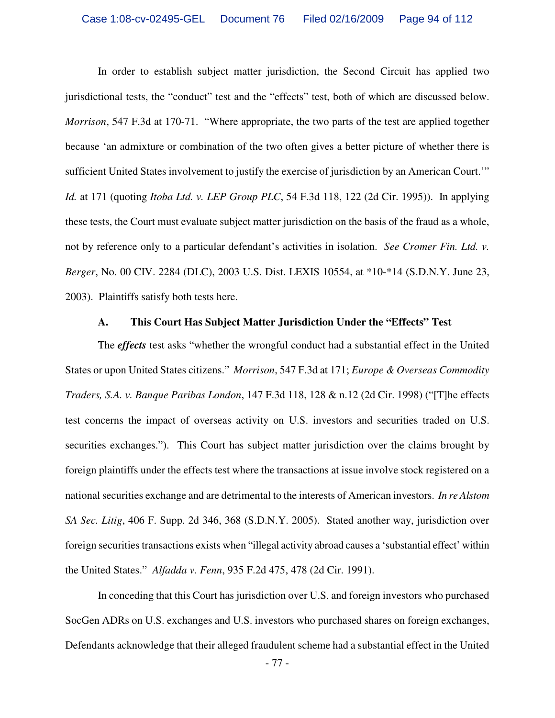In order to establish subject matter jurisdiction, the Second Circuit has applied two jurisdictional tests, the "conduct" test and the "effects" test, both of which are discussed below. *Morrison*, 547 F.3d at 170-71. "Where appropriate, the two parts of the test are applied together because 'an admixture or combination of the two often gives a better picture of whether there is sufficient United States involvement to justify the exercise of jurisdiction by an American Court.'" *Id.* at 171 (quoting *Itoba Ltd. v. LEP Group PLC*, 54 F.3d 118, 122 (2d Cir. 1995)). In applying these tests, the Court must evaluate subject matter jurisdiction on the basis of the fraud as a whole, not by reference only to a particular defendant's activities in isolation. *See Cromer Fin. Ltd. v. Berger*, No. 00 CIV. 2284 (DLC), 2003 U.S. Dist. LEXIS 10554, at \*10-\*14 (S.D.N.Y. June 23, 2003). Plaintiffs satisfy both tests here.

### **A. This Court Has Subject Matter Jurisdiction Under the "Effects" Test**

The *effects* test asks "whether the wrongful conduct had a substantial effect in the United States or upon United States citizens." *Morrison*, 547 F.3d at 171; *Europe & Overseas Commodity Traders, S.A. v. Banque Paribas London*, 147 F.3d 118, 128 & n.12 (2d Cir. 1998) ("[T]he effects test concerns the impact of overseas activity on U.S. investors and securities traded on U.S. securities exchanges."). This Court has subject matter jurisdiction over the claims brought by foreign plaintiffs under the effects test where the transactions at issue involve stock registered on a national securities exchange and are detrimental to the interests of American investors. *In re Alstom SA Sec. Litig*, 406 F. Supp. 2d 346, 368 (S.D.N.Y. 2005). Stated another way, jurisdiction over foreign securities transactions exists when "illegal activity abroad causes a 'substantial effect' within the United States." *Alfadda v. Fenn*, 935 F.2d 475, 478 (2d Cir. 1991).

In conceding that this Court has jurisdiction over U.S. and foreign investors who purchased SocGen ADRs on U.S. exchanges and U.S. investors who purchased shares on foreign exchanges, Defendants acknowledge that their alleged fraudulent scheme had a substantial effect in the United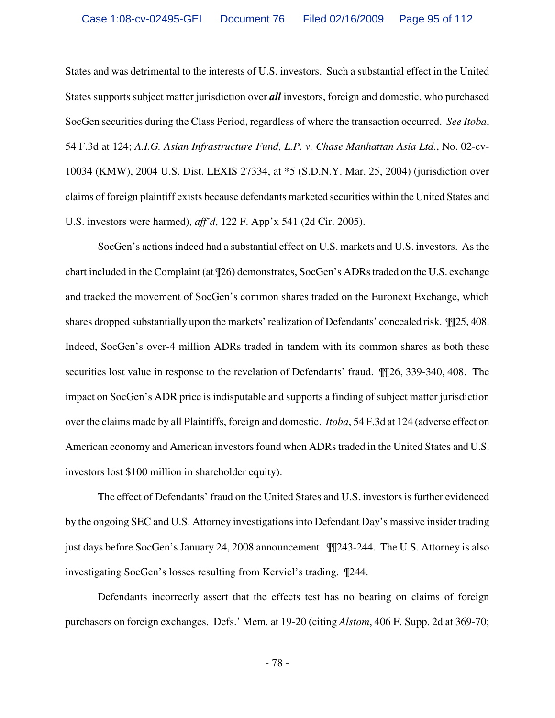States and was detrimental to the interests of U.S. investors. Such a substantial effect in the United States supports subject matter jurisdiction over *all* investors, foreign and domestic, who purchased SocGen securities during the Class Period, regardless of where the transaction occurred. *See Itoba*, 54 F.3d at 124; *A.I.G. Asian Infrastructure Fund, L.P. v. Chase Manhattan Asia Ltd.*, No. 02-cv-10034 (KMW), 2004 U.S. Dist. LEXIS 27334, at \*5 (S.D.N.Y. Mar. 25, 2004) (jurisdiction over claims of foreign plaintiff exists because defendants marketed securities within the United States and U.S. investors were harmed), *aff'd*, 122 F. App'x 541 (2d Cir. 2005).

SocGen's actions indeed had a substantial effect on U.S. markets and U.S. investors. As the chart included in the Complaint (at ¶26) demonstrates, SocGen's ADRs traded on the U.S. exchange and tracked the movement of SocGen's common shares traded on the Euronext Exchange, which shares dropped substantially upon the markets' realization of Defendants' concealed risk. ¶¶25, 408. Indeed, SocGen's over-4 million ADRs traded in tandem with its common shares as both these securities lost value in response to the revelation of Defendants' fraud. ¶¶26, 339-340, 408. The impact on SocGen's ADR price is indisputable and supports a finding of subject matter jurisdiction over the claims made by all Plaintiffs, foreign and domestic. *Itoba*, 54 F.3d at 124 (adverse effect on American economy and American investors found when ADRs traded in the United States and U.S. investors lost \$100 million in shareholder equity).

The effect of Defendants' fraud on the United States and U.S. investors is further evidenced by the ongoing SEC and U.S. Attorney investigations into Defendant Day's massive insider trading just days before SocGen's January 24, 2008 announcement. ¶¶243-244. The U.S. Attorney is also investigating SocGen's losses resulting from Kerviel's trading. ¶244.

Defendants incorrectly assert that the effects test has no bearing on claims of foreign purchasers on foreign exchanges. Defs.' Mem. at 19-20 (citing *Alstom*, 406 F. Supp. 2d at 369-70;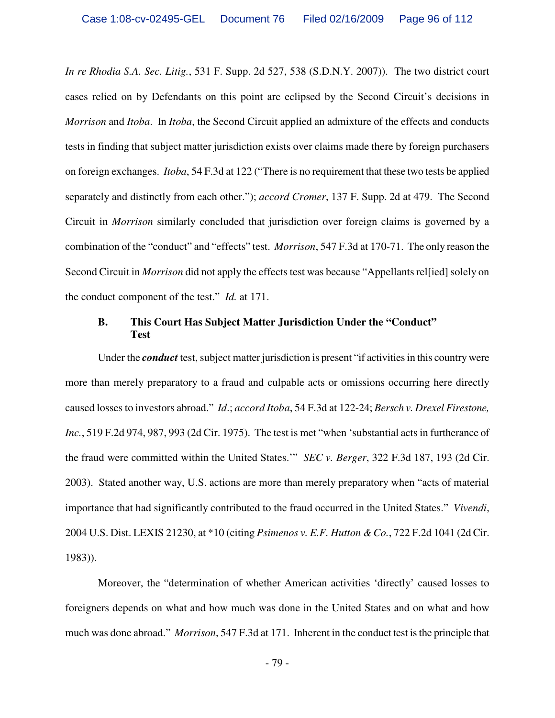*In re Rhodia S.A. Sec. Litig.*, 531 F. Supp. 2d 527, 538 (S.D.N.Y. 2007)). The two district court cases relied on by Defendants on this point are eclipsed by the Second Circuit's decisions in *Morrison* and *Itoba*. In *Itoba*, the Second Circuit applied an admixture of the effects and conducts tests in finding that subject matter jurisdiction exists over claims made there by foreign purchasers on foreign exchanges. *Itoba*, 54 F.3d at 122 ("There is no requirement that these two tests be applied separately and distinctly from each other."); *accord Cromer*, 137 F. Supp. 2d at 479. The Second Circuit in *Morrison* similarly concluded that jurisdiction over foreign claims is governed by a combination of the "conduct" and "effects" test. *Morrison*, 547 F.3d at 170-71. The only reason the Second Circuit in *Morrison* did not apply the effects test was because "Appellants rel[ied] solely on the conduct component of the test." *Id.* at 171.

### **B. This Court Has Subject Matter Jurisdiction Under the "Conduct" Test**

Under the *conduct* test, subject matter jurisdiction is present "if activities in this country were more than merely preparatory to a fraud and culpable acts or omissions occurring here directly caused losses to investors abroad." *Id*.; *accord Itoba*, 54 F.3d at 122-24; *Bersch v. Drexel Firestone, Inc.*, 519 F.2d 974, 987, 993 (2d Cir. 1975). The test is met "when 'substantial acts in furtherance of the fraud were committed within the United States.'" *SEC v. Berger*, 322 F.3d 187, 193 (2d Cir. 2003). Stated another way, U.S. actions are more than merely preparatory when "acts of material importance that had significantly contributed to the fraud occurred in the United States." *Vivendi*, 2004 U.S. Dist. LEXIS 21230, at \*10 (citing *Psimenos v. E.F. Hutton & Co.*, 722 F.2d 1041 (2d Cir. 1983)).

Moreover, the "determination of whether American activities 'directly' caused losses to foreigners depends on what and how much was done in the United States and on what and how much was done abroad." *Morrison*, 547 F.3d at 171. Inherent in the conduct test is the principle that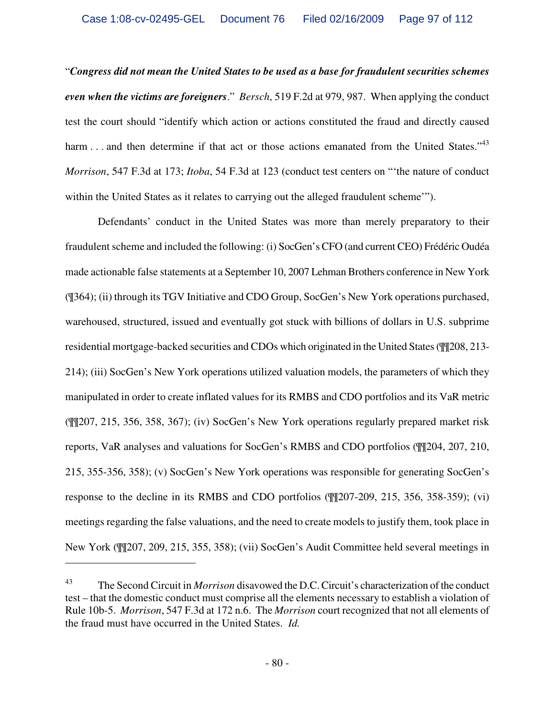"*Congress did not mean the United States to be used as a base for fraudulent securities schemes even when the victims are foreigners*." *Bersch*, 519 F.2d at 979, 987. When applying the conduct test the court should "identify which action or actions constituted the fraud and directly caused harm . . . and then determine if that act or those actions emanated from the United States."<sup>43</sup> *Morrison*, 547 F.3d at 173; *Itoba*, 54 F.3d at 123 (conduct test centers on "'the nature of conduct within the United States as it relates to carrying out the alleged fraudulent scheme'").

Defendants' conduct in the United States was more than merely preparatory to their fraudulent scheme and included the following: (i) SocGen's CFO (and current CEO) Frédéric Oudéa made actionable false statements at a September 10, 2007 Lehman Brothers conference in New York (¶364); (ii) through its TGV Initiative and CDO Group, SocGen's New York operations purchased, warehoused, structured, issued and eventually got stuck with billions of dollars in U.S. subprime residential mortgage-backed securities and CDOs which originated in the United States (¶¶208, 213- 214); (iii) SocGen's New York operations utilized valuation models, the parameters of which they manipulated in order to create inflated values for its RMBS and CDO portfolios and its VaR metric (¶¶207, 215, 356, 358, 367); (iv) SocGen's New York operations regularly prepared market risk reports, VaR analyses and valuations for SocGen's RMBS and CDO portfolios (¶¶204, 207, 210, 215, 355-356, 358); (v) SocGen's New York operations was responsible for generating SocGen's response to the decline in its RMBS and CDO portfolios (¶¶207-209, 215, 356, 358-359); (vi) meetings regarding the false valuations, and the need to create models to justify them, took place in New York (¶¶207, 209, 215, 355, 358); (vii) SocGen's Audit Committee held several meetings in

<u>.</u>

<sup>43</sup> The Second Circuit in *Morrison* disavowed the D.C. Circuit's characterization of the conduct test – that the domestic conduct must comprise all the elements necessary to establish a violation of Rule 10b-5. *Morrison*, 547 F.3d at 172 n.6. The *Morrison* court recognized that not all elements of the fraud must have occurred in the United States. *Id.*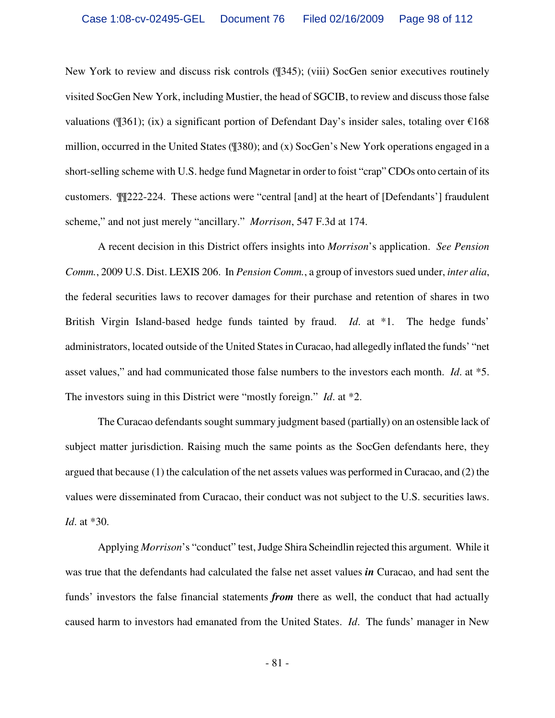New York to review and discuss risk controls (¶345); (viii) SocGen senior executives routinely visited SocGen New York, including Mustier, the head of SGCIB, to review and discuss those false valuations (¶361); (ix) a significant portion of Defendant Day's insider sales, totaling over  $\epsilon$ 168 million, occurred in the United States (¶380); and (x) SocGen's New York operations engaged in a short-selling scheme with U.S. hedge fund Magnetar in order to foist "crap" CDOs onto certain of its customers. ¶¶222-224. These actions were "central [and] at the heart of [Defendants'] fraudulent scheme," and not just merely "ancillary." *Morrison*, 547 F.3d at 174.

A recent decision in this District offers insights into *Morrison*'s application. *See Pension Comm.*, 2009 U.S. Dist. LEXIS 206. In *Pension Comm.*, a group of investors sued under, *inter alia*, the federal securities laws to recover damages for their purchase and retention of shares in two British Virgin Island-based hedge funds tainted by fraud. *Id*. at \*1. The hedge funds' administrators, located outside of the United States in Curacao, had allegedly inflated the funds' "net asset values," and had communicated those false numbers to the investors each month. *Id*. at \*5. The investors suing in this District were "mostly foreign." *Id*. at \*2.

The Curacao defendants sought summary judgment based (partially) on an ostensible lack of subject matter jurisdiction. Raising much the same points as the SocGen defendants here, they argued that because (1) the calculation of the net assets values was performed in Curacao, and (2) the values were disseminated from Curacao, their conduct was not subject to the U.S. securities laws. *Id*. at \*30.

Applying *Morrison*'s "conduct" test, Judge Shira Scheindlin rejected this argument. While it was true that the defendants had calculated the false net asset values *in* Curacao, and had sent the funds' investors the false financial statements *from* there as well, the conduct that had actually caused harm to investors had emanated from the United States. *Id*. The funds' manager in New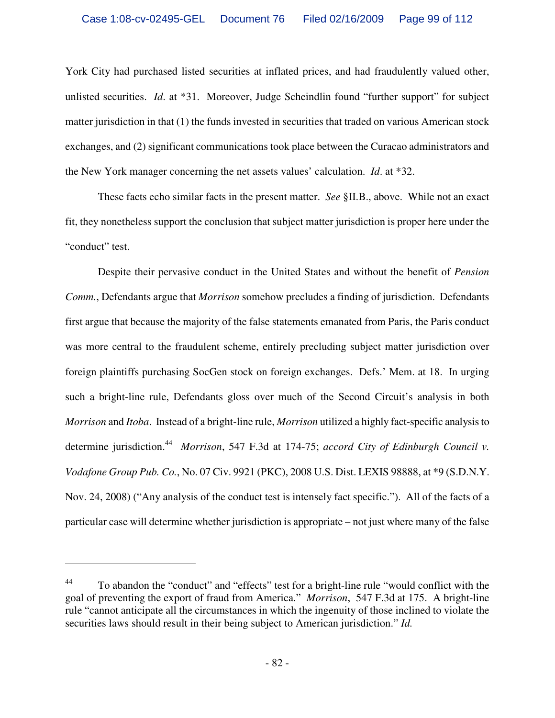York City had purchased listed securities at inflated prices, and had fraudulently valued other, unlisted securities. *Id*. at \*31. Moreover, Judge Scheindlin found "further support" for subject matter jurisdiction in that (1) the funds invested in securities that traded on various American stock exchanges, and (2) significant communications took place between the Curacao administrators and the New York manager concerning the net assets values' calculation. *Id*. at \*32.

These facts echo similar facts in the present matter. *See* §II.B., above. While not an exact fit, they nonetheless support the conclusion that subject matter jurisdiction is proper here under the "conduct" test.

Despite their pervasive conduct in the United States and without the benefit of *Pension Comm.*, Defendants argue that *Morrison* somehow precludes a finding of jurisdiction. Defendants first argue that because the majority of the false statements emanated from Paris, the Paris conduct was more central to the fraudulent scheme, entirely precluding subject matter jurisdiction over foreign plaintiffs purchasing SocGen stock on foreign exchanges. Defs.' Mem. at 18. In urging such a bright-line rule, Defendants gloss over much of the Second Circuit's analysis in both *Morrison* and *Itoba*. Instead of a bright-line rule, *Morrison* utilized a highly fact-specific analysis to determine jurisdiction.<sup>44</sup> Morrison, 547 F.3d at 174-75; *accord City of Edinburgh Council v. Vodafone Group Pub. Co.*, No. 07 Civ. 9921 (PKC), 2008 U.S. Dist. LEXIS 98888, at \*9 (S.D.N.Y. Nov. 24, 2008) ("Any analysis of the conduct test is intensely fact specific."). All of the facts of a particular case will determine whether jurisdiction is appropriate – not just where many of the false

 $\overline{a}$ 

<sup>&</sup>lt;sup>44</sup> To abandon the "conduct" and "effects" test for a bright-line rule "would conflict with the goal of preventing the export of fraud from America." *Morrison*, 547 F.3d at 175. A bright-line rule "cannot anticipate all the circumstances in which the ingenuity of those inclined to violate the securities laws should result in their being subject to American jurisdiction." *Id.*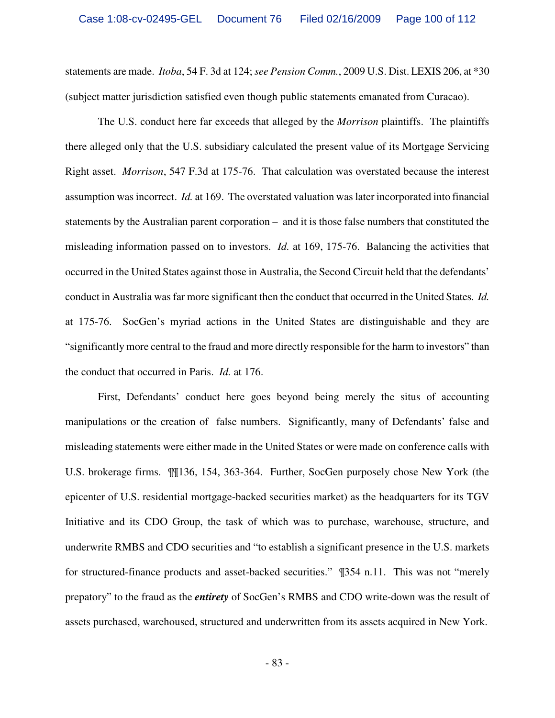statements are made. *Itoba*, 54 F. 3d at 124; *see Pension Comm.*, 2009 U.S. Dist. LEXIS 206, at \*30 (subject matter jurisdiction satisfied even though public statements emanated from Curacao).

The U.S. conduct here far exceeds that alleged by the *Morrison* plaintiffs. The plaintiffs there alleged only that the U.S. subsidiary calculated the present value of its Mortgage Servicing Right asset. *Morrison*, 547 F.3d at 175-76. That calculation was overstated because the interest assumption was incorrect. *Id.* at 169. The overstated valuation was later incorporated into financial statements by the Australian parent corporation – and it is those false numbers that constituted the misleading information passed on to investors. *Id.* at 169, 175-76. Balancing the activities that occurred in the United States against those in Australia, the Second Circuit held that the defendants' conduct in Australia was far more significant then the conduct that occurred in the United States. *Id.* at 175-76. SocGen's myriad actions in the United States are distinguishable and they are "significantly more central to the fraud and more directly responsible for the harm to investors" than the conduct that occurred in Paris. *Id.* at 176.

First, Defendants' conduct here goes beyond being merely the situs of accounting manipulations or the creation of false numbers. Significantly, many of Defendants' false and misleading statements were either made in the United States or were made on conference calls with U.S. brokerage firms. ¶¶136, 154, 363-364. Further, SocGen purposely chose New York (the epicenter of U.S. residential mortgage-backed securities market) as the headquarters for its TGV Initiative and its CDO Group, the task of which was to purchase, warehouse, structure, and underwrite RMBS and CDO securities and "to establish a significant presence in the U.S. markets for structured-finance products and asset-backed securities." ¶354 n.11. This was not "merely prepatory" to the fraud as the *entirety* of SocGen's RMBS and CDO write-down was the result of assets purchased, warehoused, structured and underwritten from its assets acquired in New York.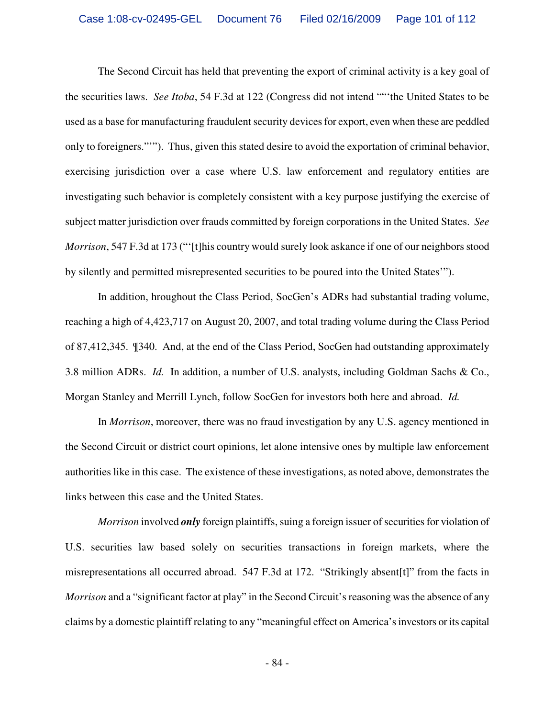The Second Circuit has held that preventing the export of criminal activity is a key goal of the securities laws. *See Itoba*, 54 F.3d at 122 (Congress did not intend ""'the United States to be used as a base for manufacturing fraudulent security devices for export, even when these are peddled only to foreigners."'"). Thus, given this stated desire to avoid the exportation of criminal behavior, exercising jurisdiction over a case where U.S. law enforcement and regulatory entities are investigating such behavior is completely consistent with a key purpose justifying the exercise of subject matter jurisdiction over frauds committed by foreign corporations in the United States. *See Morrison*, 547 F.3d at 173 ("'[t]his country would surely look askance if one of our neighbors stood by silently and permitted misrepresented securities to be poured into the United States'").

In addition, hroughout the Class Period, SocGen's ADRs had substantial trading volume, reaching a high of 4,423,717 on August 20, 2007, and total trading volume during the Class Period of 87,412,345. ¶340. And, at the end of the Class Period, SocGen had outstanding approximately 3.8 million ADRs. *Id.* In addition, a number of U.S. analysts, including Goldman Sachs & Co., Morgan Stanley and Merrill Lynch, follow SocGen for investors both here and abroad. *Id.*

In *Morrison*, moreover, there was no fraud investigation by any U.S. agency mentioned in the Second Circuit or district court opinions, let alone intensive ones by multiple law enforcement authorities like in this case.The existence of these investigations, as noted above, demonstrates the links between this case and the United States.

*Morrison* involved *only* foreign plaintiffs, suing a foreign issuer of securities for violation of U.S. securities law based solely on securities transactions in foreign markets, where the misrepresentations all occurred abroad. 547 F.3d at 172. "Strikingly absent [t]" from the facts in *Morrison* and a "significant factor at play" in the Second Circuit's reasoning was the absence of any claims by a domestic plaintiff relating to any "meaningful effect on America's investors or its capital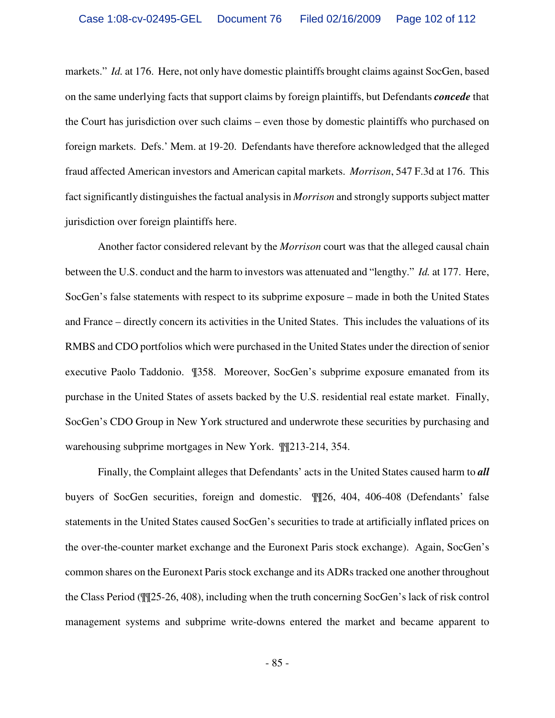markets." *Id.* at 176. Here, not only have domestic plaintiffs brought claims against SocGen, based on the same underlying facts that support claims by foreign plaintiffs, but Defendants *concede* that the Court has jurisdiction over such claims – even those by domestic plaintiffs who purchased on foreign markets. Defs.' Mem. at 19-20. Defendants have therefore acknowledged that the alleged fraud affected American investors and American capital markets. *Morrison*, 547 F.3d at 176. This fact significantly distinguishes the factual analysis in *Morrison* and strongly supports subject matter jurisdiction over foreign plaintiffs here.

Another factor considered relevant by the *Morrison* court was that the alleged causal chain between the U.S. conduct and the harm to investors was attenuated and "lengthy." *Id.* at 177. Here, SocGen's false statements with respect to its subprime exposure – made in both the United States and France – directly concern its activities in the United States. This includes the valuations of its RMBS and CDO portfolios which were purchased in the United States under the direction of senior executive Paolo Taddonio. ¶358. Moreover, SocGen's subprime exposure emanated from its purchase in the United States of assets backed by the U.S. residential real estate market. Finally, SocGen's CDO Group in New York structured and underwrote these securities by purchasing and warehousing subprime mortgages in New York. ¶¶213-214, 354.

Finally, the Complaint alleges that Defendants' acts in the United States caused harm to *all* buyers of SocGen securities, foreign and domestic. ¶¶26, 404, 406-408 (Defendants' false statements in the United States caused SocGen's securities to trade at artificially inflated prices on the over-the-counter market exchange and the Euronext Paris stock exchange). Again, SocGen's common shares on the Euronext Paris stock exchange and its ADRs tracked one another throughout the Class Period (¶¶25-26, 408), including when the truth concerning SocGen's lack of risk control management systems and subprime write-downs entered the market and became apparent to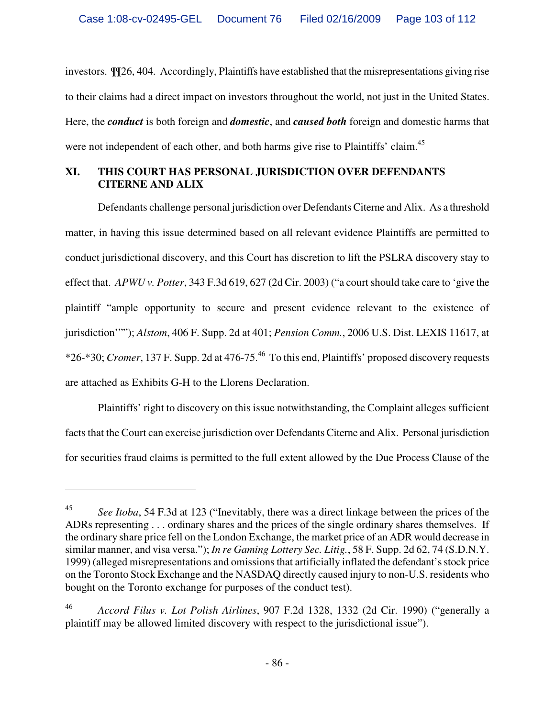investors. ¶¶26, 404. Accordingly, Plaintiffs have established that the misrepresentations giving rise to their claims had a direct impact on investors throughout the world, not just in the United States. Here, the *conduct* is both foreign and *domestic*, and *caused both* foreign and domestic harms that were not independent of each other, and both harms give rise to Plaintiffs' claim.<sup>45</sup>

# **XI. THIS COURT HAS PERSONAL JURISDICTION OVER DEFENDANTS CITERNE AND ALIX**

Defendants challenge personal jurisdiction over Defendants Citerne and Alix. As a threshold matter, in having this issue determined based on all relevant evidence Plaintiffs are permitted to conduct jurisdictional discovery, and this Court has discretion to lift the PSLRA discovery stay to effect that. *APWU v. Potter*, 343 F.3d 619, 627 (2d Cir. 2003) ("a court should take care to 'give the plaintiff "ample opportunity to secure and present evidence relevant to the existence of jurisdiction'""); *Alstom*, 406 F. Supp. 2d at 401; *Pension Comm.*, 2006 U.S. Dist. LEXIS 11617, at \*26-\*30; *Cromer*, 137 F. Supp. 2d at 476-75.<sup>46</sup> To this end, Plaintiffs' proposed discovery requests are attached as Exhibits G-H to the Llorens Declaration.

Plaintiffs' right to discovery on this issue notwithstanding, the Complaint alleges sufficient facts that the Court can exercise jurisdiction over Defendants Citerne and Alix. Personal jurisdiction for securities fraud claims is permitted to the full extent allowed by the Due Process Clause of the

 $\overline{a}$ 

<sup>45</sup> *See Itoba*, 54 F.3d at 123 ("Inevitably, there was a direct linkage between the prices of the ADRs representing . . . ordinary shares and the prices of the single ordinary shares themselves. If the ordinary share price fell on the London Exchange, the market price of an ADR would decrease in similar manner, and visa versa."); *In re Gaming Lottery Sec. Litig.*, 58 F. Supp. 2d 62, 74 (S.D.N.Y. 1999) (alleged misrepresentations and omissions that artificially inflated the defendant's stock price on the Toronto Stock Exchange and the NASDAQ directly caused injury to non-U.S. residents who bought on the Toronto exchange for purposes of the conduct test).

<sup>46</sup> *Accord Filus v. Lot Polish Airlines*, 907 F.2d 1328, 1332 (2d Cir. 1990) ("generally a plaintiff may be allowed limited discovery with respect to the jurisdictional issue").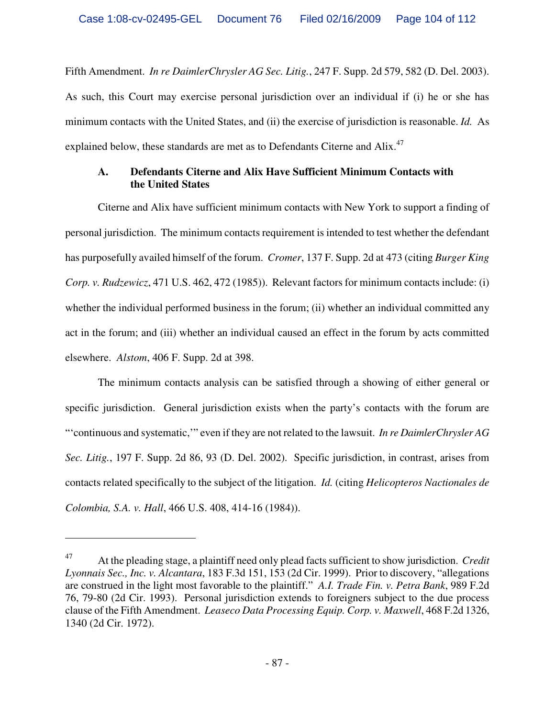Fifth Amendment. *In re DaimlerChrysler AG Sec. Litig.*, 247 F. Supp. 2d 579, 582 (D. Del. 2003). As such, this Court may exercise personal jurisdiction over an individual if (i) he or she has minimum contacts with the United States, and (ii) the exercise of jurisdiction is reasonable. *Id.* As explained below, these standards are met as to Defendants Citerne and Alix.<sup>47</sup>

## **A. Defendants Citerne and Alix Have Sufficient Minimum Contacts with the United States**

Citerne and Alix have sufficient minimum contacts with New York to support a finding of personal jurisdiction. The minimum contacts requirement is intended to test whether the defendant has purposefully availed himself of the forum. *Cromer*, 137 F. Supp. 2d at 473 (citing *Burger King Corp. v. Rudzewicz*, 471 U.S. 462, 472 (1985)). Relevant factors for minimum contacts include: (i) whether the individual performed business in the forum; (ii) whether an individual committed any act in the forum; and (iii) whether an individual caused an effect in the forum by acts committed elsewhere. *Alstom*, 406 F. Supp. 2d at 398.

The minimum contacts analysis can be satisfied through a showing of either general or specific jurisdiction. General jurisdiction exists when the party's contacts with the forum are "'continuous and systematic,'" even if they are not related to the lawsuit. *In re DaimlerChrysler AG Sec. Litig.*, 197 F. Supp. 2d 86, 93 (D. Del. 2002). Specific jurisdiction, in contrast, arises from contacts related specifically to the subject of the litigation. *Id.* (citing *Helicopteros Nactionales de Colombia, S.A. v. Hall*, 466 U.S. 408, 414-16 (1984)).

1

<sup>47</sup> At the pleading stage, a plaintiff need only plead facts sufficient to show jurisdiction. *Credit Lyonnais Sec., Inc. v. Alcantara*, 183 F.3d 151, 153 (2d Cir. 1999). Prior to discovery, "allegations are construed in the light most favorable to the plaintiff." *A.I. Trade Fin. v. Petra Bank*, 989 F.2d 76, 79-80 (2d Cir. 1993). Personal jurisdiction extends to foreigners subject to the due process clause of the Fifth Amendment. *Leaseco Data Processing Equip. Corp. v. Maxwell*, 468 F.2d 1326, 1340 (2d Cir. 1972).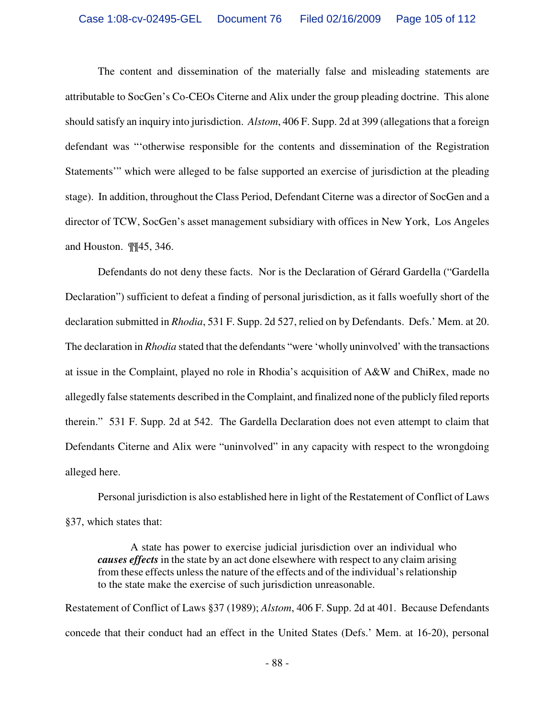The content and dissemination of the materially false and misleading statements are attributable to SocGen's Co-CEOs Citerne and Alix under the group pleading doctrine. This alone should satisfy an inquiry into jurisdiction. *Alstom*, 406 F. Supp. 2d at 399 (allegations that a foreign defendant was "'otherwise responsible for the contents and dissemination of the Registration Statements'" which were alleged to be false supported an exercise of jurisdiction at the pleading stage). In addition, throughout the Class Period, Defendant Citerne was a director of SocGen and a director of TCW, SocGen's asset management subsidiary with offices in New York, Los Angeles and Houston. ¶¶45, 346.

Defendants do not deny these facts. Nor is the Declaration of Gérard Gardella ("Gardella Declaration") sufficient to defeat a finding of personal jurisdiction, as it falls woefully short of the declaration submitted in *Rhodia*, 531 F. Supp. 2d 527, relied on by Defendants. Defs.' Mem. at 20. The declaration in *Rhodia* stated that the defendants "were 'wholly uninvolved' with the transactions at issue in the Complaint, played no role in Rhodia's acquisition of A&W and ChiRex, made no allegedly false statements described in the Complaint, and finalized none of the publicly filed reports therein." 531 F. Supp. 2d at 542. The Gardella Declaration does not even attempt to claim that Defendants Citerne and Alix were "uninvolved" in any capacity with respect to the wrongdoing alleged here.

Personal jurisdiction is also established here in light of the Restatement of Conflict of Laws §37, which states that:

A state has power to exercise judicial jurisdiction over an individual who *causes effects* in the state by an act done elsewhere with respect to any claim arising from these effects unless the nature of the effects and of the individual's relationship to the state make the exercise of such jurisdiction unreasonable.

Restatement of Conflict of Laws §37 (1989); *Alstom*, 406 F. Supp. 2d at 401. Because Defendants concede that their conduct had an effect in the United States (Defs.' Mem. at 16-20), personal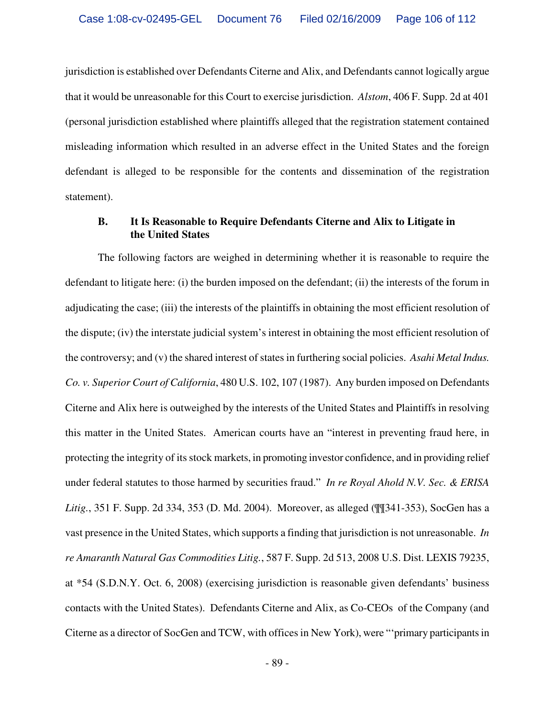jurisdiction is established over Defendants Citerne and Alix, and Defendants cannot logically argue that it would be unreasonable for this Court to exercise jurisdiction. *Alstom*, 406 F. Supp. 2d at 401 (personal jurisdiction established where plaintiffs alleged that the registration statement contained misleading information which resulted in an adverse effect in the United States and the foreign defendant is alleged to be responsible for the contents and dissemination of the registration statement).

### **B. It Is Reasonable to Require Defendants Citerne and Alix to Litigate in the United States**

The following factors are weighed in determining whether it is reasonable to require the defendant to litigate here: (i) the burden imposed on the defendant; (ii) the interests of the forum in adjudicating the case; (iii) the interests of the plaintiffs in obtaining the most efficient resolution of the dispute; (iv) the interstate judicial system's interest in obtaining the most efficient resolution of the controversy; and (v) the shared interest of states in furthering social policies. *Asahi Metal Indus. Co. v. Superior Court of California*, 480 U.S. 102, 107 (1987). Any burden imposed on Defendants Citerne and Alix here is outweighed by the interests of the United States and Plaintiffs in resolving this matter in the United States. American courts have an "interest in preventing fraud here, in protecting the integrity of its stock markets, in promoting investor confidence, and in providing relief under federal statutes to those harmed by securities fraud." *In re Royal Ahold N.V. Sec. & ERISA Litig.*, 351 F. Supp. 2d 334, 353 (D. Md. 2004). Moreover, as alleged (¶¶341-353), SocGen has a vast presence in the United States, which supports a finding that jurisdiction is not unreasonable. *In re Amaranth Natural Gas Commodities Litig.*, 587 F. Supp. 2d 513, 2008 U.S. Dist. LEXIS 79235, at \*54 (S.D.N.Y. Oct. 6, 2008) (exercising jurisdiction is reasonable given defendants' business contacts with the United States). Defendants Citerne and Alix, as Co-CEOs of the Company (and Citerne as a director of SocGen and TCW, with offices in New York), were "'primary participants in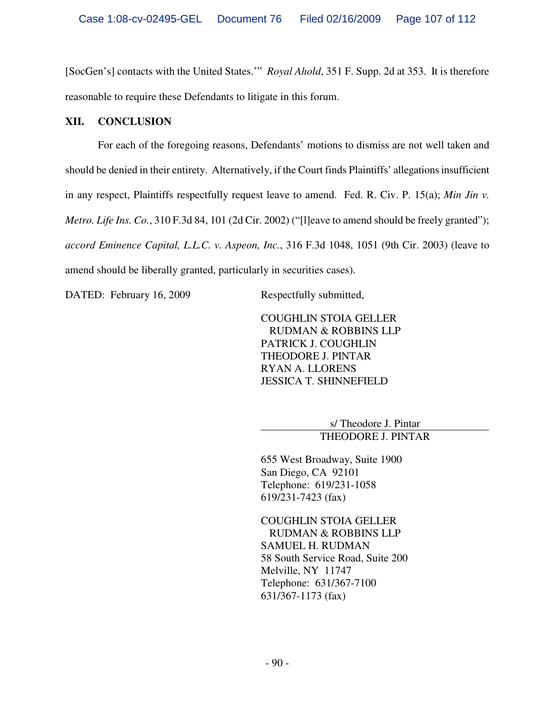[SocGen's] contacts with the United States.'" *Royal Ahold*, 351 F. Supp. 2d at 353. It is therefore reasonable to require these Defendants to litigate in this forum.

## **XII. CONCLUSION**

For each of the foregoing reasons, Defendants' motions to dismiss are not well taken and should be denied in their entirety. Alternatively, if the Court finds Plaintiffs' allegations insufficient in any respect, Plaintiffs respectfully request leave to amend. Fed. R. Civ. P. 15(a); *Min Jin v. Metro. Life Ins. Co.*, 310 F.3d 84, 101 (2d Cir. 2002) ("[l]eave to amend should be freely granted"); *accord Eminence Capital, L.L.C. v. Aspeon, Inc.*, 316 F.3d 1048, 1051 (9th Cir. 2003) (leave to amend should be liberally granted, particularly in securities cases).

DATED: February 16, 2009 Respectfully submitted,

COUGHLIN STOIA GELLER RUDMAN & ROBBINS LLP PATRICK J. COUGHLIN THEODORE J. PINTAR RYAN A. LLORENS JESSICA T. SHINNEFIELD

> s/ Theodore J. Pintar THEODORE J. PINTAR

655 West Broadway, Suite 1900 San Diego, CA 92101 Telephone: 619/231-1058 619/231-7423 (fax)

COUGHLIN STOIA GELLER RUDMAN & ROBBINS LLP SAMUEL H. RUDMAN 58 South Service Road, Suite 200 Melville, NY 11747 Telephone: 631/367-7100 631/367-1173 (fax)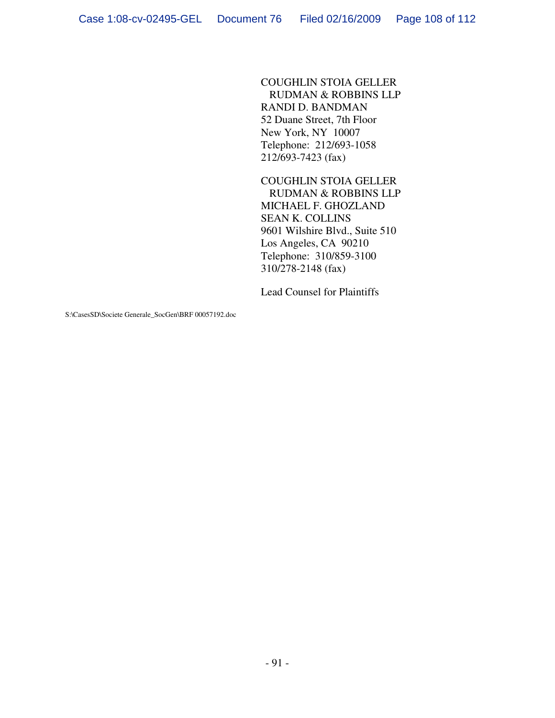COUGHLIN STOIA GELLER RUDMAN & ROBBINS LLP RANDI D. BANDMAN 52 Duane Street, 7th Floor New York, NY 10007 Telephone: 212/693-1058 212/693-7423 (fax)

COUGHLIN STOIA GELLER RUDMAN & ROBBINS LLP MICHAEL F. GHOZLAND SEAN K. COLLINS 9601 Wilshire Blvd., Suite 510 Los Angeles, CA 90210 Telephone: 310/859-3100 310/278-2148 (fax)

Lead Counsel for Plaintiffs

S:\CasesSD\Societe Generale\_SocGen\BRF 00057192.doc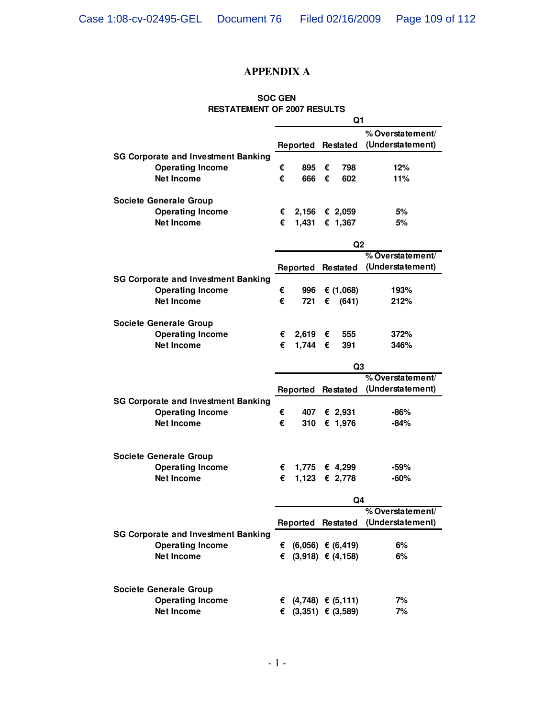# **APPENDIX A**

#### **SOC GEN RESTATEMENT OF 2007 RESULTS**

|                                                          | Q1                     |                         |                  |             |                  |
|----------------------------------------------------------|------------------------|-------------------------|------------------|-------------|------------------|
|                                                          |                        |                         | % Overstatement/ |             |                  |
|                                                          |                        | Reported Restated       |                  |             | (Understatement) |
| <b>SG Corporate and Investment Banking</b>               |                        |                         |                  |             |                  |
| <b>Operating Income</b>                                  | €                      | 895                     | €                | 798         | 12%              |
| <b>Net Income</b>                                        | €                      | 666                     | €                | 602         | 11%              |
|                                                          |                        |                         |                  |             |                  |
| <b>Societe Generale Group</b><br><b>Operating Income</b> | €                      | 2,156                   |                  | € 2,059     | 5%               |
| <b>Net Income</b>                                        | €                      | 1,431                   |                  | € 1,367     | 5%               |
|                                                          |                        |                         |                  |             |                  |
|                                                          | Q <sub>2</sub>         |                         |                  |             |                  |
|                                                          |                        |                         |                  |             | % Overstatement/ |
|                                                          |                        | Reported                |                  | Restated    | (Understatement) |
| <b>SG Corporate and Investment Banking</b>               |                        |                         |                  |             |                  |
| <b>Operating Income</b>                                  | €                      | 996                     |                  | € $(1,068)$ | 193%             |
| <b>Net Income</b>                                        | €                      | 721                     | €                | (641)       | 212%             |
| <b>Societe Generale Group</b>                            |                        |                         |                  |             |                  |
| <b>Operating Income</b>                                  | €                      | 2,619                   | €                | 555         | 372%             |
| <b>Net Income</b>                                        | €                      | 1,744                   | €                | 391         | 346%             |
|                                                          |                        |                         |                  |             |                  |
|                                                          | Q <sub>3</sub>         |                         |                  |             |                  |
|                                                          |                        |                         |                  |             | % Overstatement/ |
|                                                          |                        | Reported                |                  | Restated    | (Understatement) |
| <b>SG Corporate and Investment Banking</b>               |                        |                         |                  |             |                  |
| <b>Operating Income</b>                                  | €                      | 407                     |                  | € 2,931     | -86%             |
| <b>Net Income</b>                                        | €                      | 310                     |                  | € 1,976     | $-84%$           |
|                                                          |                        |                         |                  |             |                  |
| <b>Societe Generale Group</b>                            |                        |                         |                  |             |                  |
| <b>Operating Income</b>                                  | €                      | 1,775                   |                  | € 4,299     | -59%             |
| <b>Net Income</b>                                        | €                      | 1,123                   |                  | € 2,778     | $-60%$           |
|                                                          |                        |                         |                  |             |                  |
|                                                          | Q4<br>% Overstatement/ |                         |                  |             |                  |
|                                                          | Reported               |                         | Restated         |             | (Understatement) |
| <b>SG Corporate and Investment Banking</b>               |                        |                         |                  |             |                  |
| <b>Operating Income</b>                                  |                        | € $(6,056)$ € $(6,419)$ |                  |             | 6%               |
| <b>Net Income</b>                                        |                        | € $(3,918) \in (4,158)$ |                  |             | 6%               |
|                                                          |                        |                         |                  |             |                  |
|                                                          |                        |                         |                  |             |                  |
| <b>Societe Generale Group</b>                            |                        |                         |                  |             |                  |
| <b>Operating Income</b>                                  |                        | € $(4,748) \in (5,111)$ |                  |             | 7%               |
| <b>Net Income</b>                                        |                        | € $(3,351) \in (3,589)$ |                  |             | 7%               |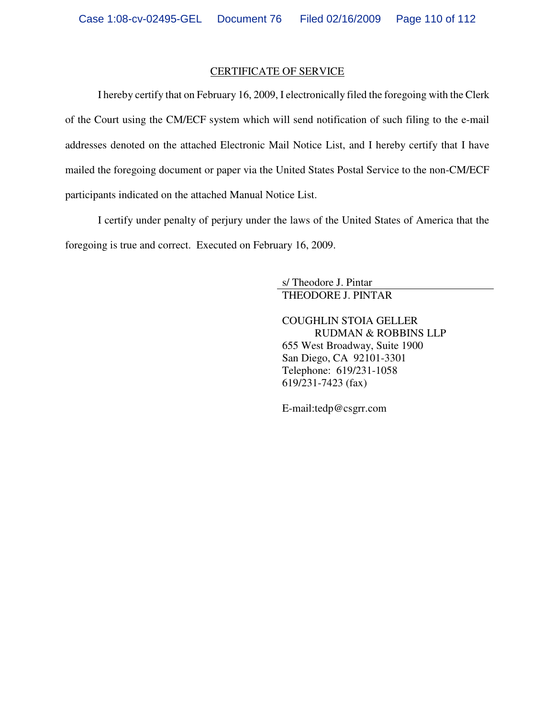### CERTIFICATE OF SERVICE

I hereby certify that on February 16, 2009, I electronically filed the foregoing with the Clerk of the Court using the CM/ECF system which will send notification of such filing to the e-mail addresses denoted on the attached Electronic Mail Notice List, and I hereby certify that I have mailed the foregoing document or paper via the United States Postal Service to the non-CM/ECF participants indicated on the attached Manual Notice List.

I certify under penalty of perjury under the laws of the United States of America that the foregoing is true and correct. Executed on February 16, 2009.

> s/ Theodore J. Pintar THEODORE J. PINTAR

COUGHLIN STOIA GELLER RUDMAN & ROBBINS LLP 655 West Broadway, Suite 1900 San Diego, CA 92101-3301 Telephone: 619/231-1058 619/231-7423 (fax)

E-mail:tedp@csgrr.com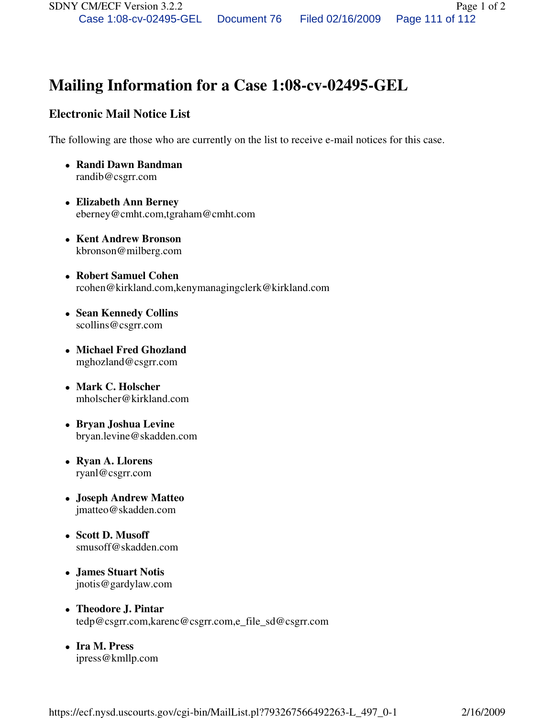# **Mailing Information for a Case 1:08-cv-02495-GEL**

## **Electronic Mail Notice List**

The following are those who are currently on the list to receive e-mail notices for this case.

- **Randi Dawn Bandman**  randib@csgrr.com
- **Elizabeth Ann Berney**  eberney@cmht.com,tgraham@cmht.com
- **Kent Andrew Bronson**  kbronson@milberg.com
- **Robert Samuel Cohen**  rcohen@kirkland.com,kenymanagingclerk@kirkland.com
- **Sean Kennedy Collins**  scollins@csgrr.com
- **Michael Fred Ghozland**  mghozland@csgrr.com
- **Mark C. Holscher**  mholscher@kirkland.com
- **Bryan Joshua Levine**  bryan.levine@skadden.com
- **Ryan A. Llorens**  ryanl@csgrr.com
- **Joseph Andrew Matteo**  jmatteo@skadden.com
- **Scott D. Musoff**  smusoff@skadden.com
- **James Stuart Notis**  jnotis@gardylaw.com
- **Theodore J. Pintar**  tedp@csgrr.com,karenc@csgrr.com,e\_file\_sd@csgrr.com
- **Ira M. Press**  ipress@kmllp.com